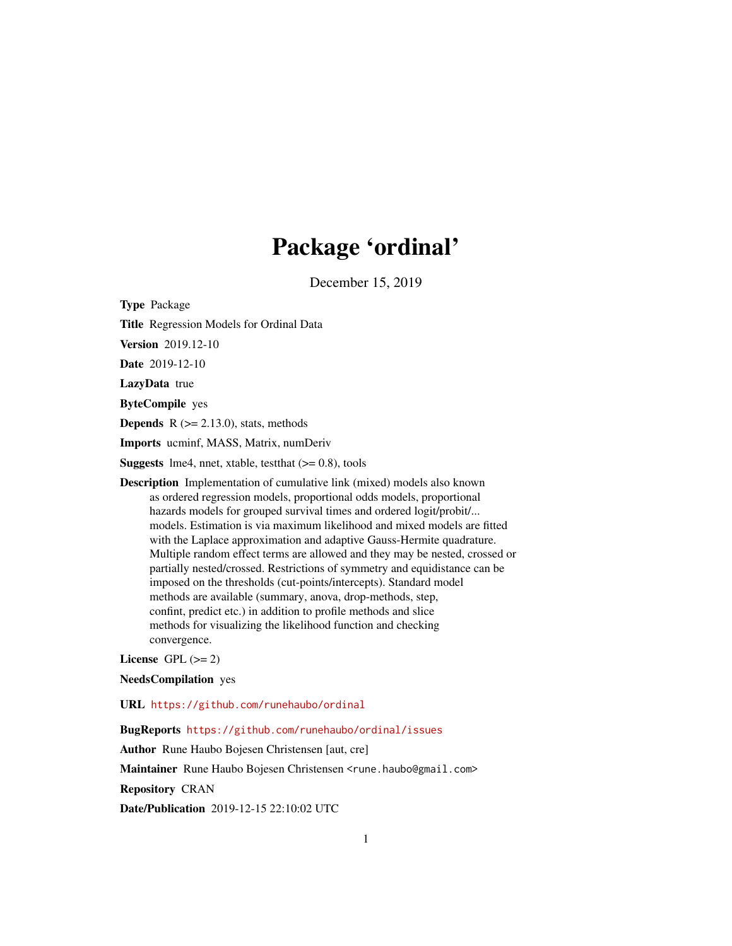# Package 'ordinal'

December 15, 2019

<span id="page-0-0"></span>Type Package

Title Regression Models for Ordinal Data

Version 2019.12-10

Date 2019-12-10

LazyData true

ByteCompile yes

**Depends**  $R$  ( $>= 2.13.0$ ), stats, methods

Imports ucminf, MASS, Matrix, numDeriv

**Suggests** lme4, nnet, xtable, test that  $(>= 0.8)$ , tools

Description Implementation of cumulative link (mixed) models also known as ordered regression models, proportional odds models, proportional hazards models for grouped survival times and ordered logit/probit/... models. Estimation is via maximum likelihood and mixed models are fitted with the Laplace approximation and adaptive Gauss-Hermite quadrature. Multiple random effect terms are allowed and they may be nested, crossed or partially nested/crossed. Restrictions of symmetry and equidistance can be imposed on the thresholds (cut-points/intercepts). Standard model methods are available (summary, anova, drop-methods, step, confint, predict etc.) in addition to profile methods and slice methods for visualizing the likelihood function and checking convergence.

License GPL  $(>= 2)$ 

NeedsCompilation yes

URL <https://github.com/runehaubo/ordinal>

BugReports <https://github.com/runehaubo/ordinal/issues>

Author Rune Haubo Bojesen Christensen [aut, cre]

Maintainer Rune Haubo Bojesen Christensen <rune.haubo@gmail.com>

Repository CRAN

Date/Publication 2019-12-15 22:10:02 UTC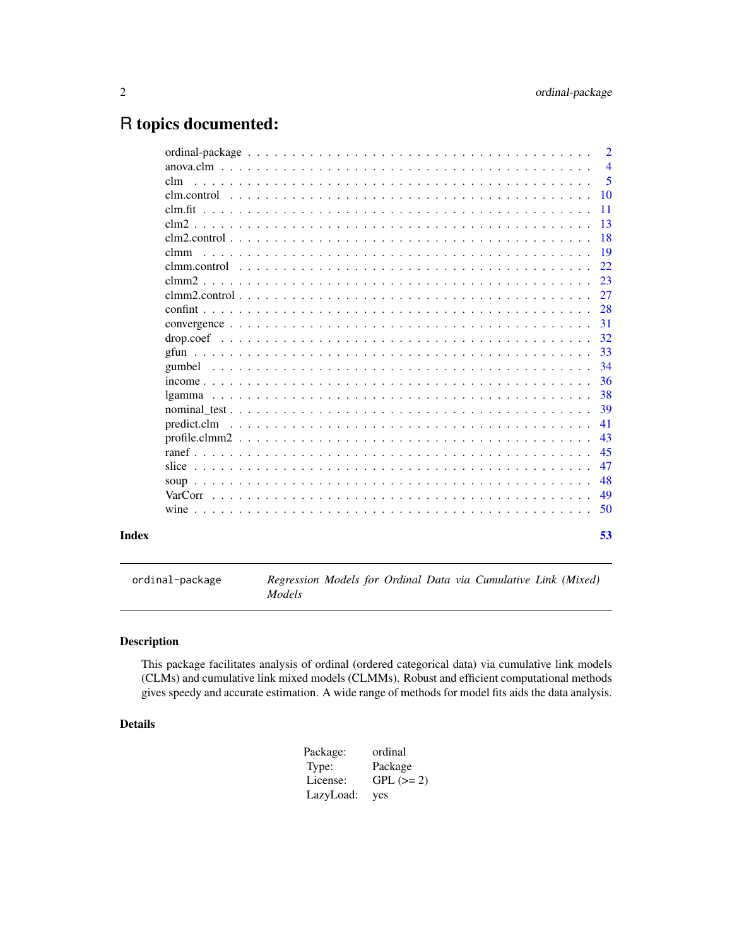## <span id="page-1-0"></span>R topics documented:

|       |             | $\overline{2}$ |
|-------|-------------|----------------|
|       |             | $\overline{4}$ |
|       | clm         | 5              |
|       |             | 10             |
|       |             | 11             |
|       |             | 13             |
|       |             | 18             |
|       | clmm        | 19             |
|       |             | 22             |
|       |             | 23             |
|       |             | 27             |
|       |             | 28             |
|       |             | 31             |
|       |             | 32             |
|       |             | 33             |
|       |             | 34             |
|       |             | 36             |
|       |             | 38             |
|       |             | 39             |
|       | predict.clm | 41             |
|       |             | 43             |
|       |             | 45             |
|       | slice       | 47             |
|       |             | 48             |
|       |             | 49             |
|       |             | 50             |
|       |             |                |
| Index |             | 53             |

ordinal-package *Regression Models for Ordinal Data via Cumulative Link (Mixed) Models*

#### Description

This package facilitates analysis of ordinal (ordered categorical data) via cumulative link models (CLMs) and cumulative link mixed models (CLMMs). Robust and efficient computational methods gives speedy and accurate estimation. A wide range of methods for model fits aids the data analysis.

#### Details

| Package:  | ordinal    |
|-----------|------------|
| Type:     | Package    |
| License:  | $GPL (=2)$ |
| LazyLoad: | yes        |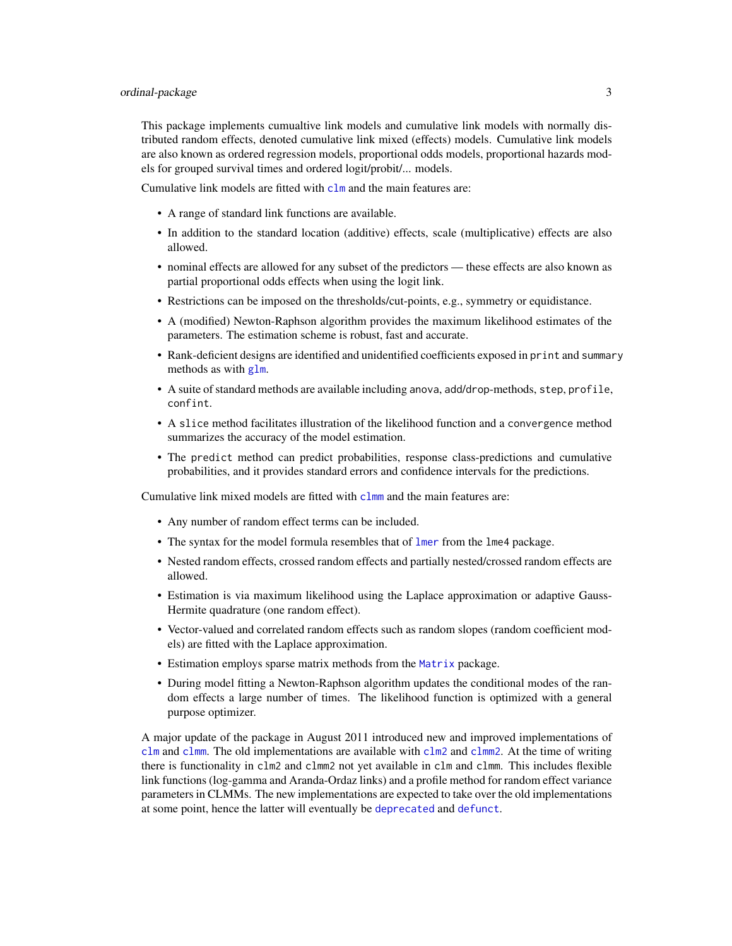<span id="page-2-0"></span>This package implements cumualtive link models and cumulative link models with normally distributed random effects, denoted cumulative link mixed (effects) models. Cumulative link models are also known as ordered regression models, proportional odds models, proportional hazards models for grouped survival times and ordered logit/probit/... models.

Cumulative link models are fitted with  $clm$  and the main features are:

- A range of standard link functions are available.
- In addition to the standard location (additive) effects, scale (multiplicative) effects are also allowed.
- nominal effects are allowed for any subset of the predictors these effects are also known as partial proportional odds effects when using the logit link.
- Restrictions can be imposed on the thresholds/cut-points, e.g., symmetry or equidistance.
- A (modified) Newton-Raphson algorithm provides the maximum likelihood estimates of the parameters. The estimation scheme is robust, fast and accurate.
- Rank-deficient designs are identified and unidentified coefficients exposed in print and summary methods as with [glm](#page-0-0).
- A suite of standard methods are available including anova, add/drop-methods, step, profile, confint.
- A slice method facilitates illustration of the likelihood function and a convergence method summarizes the accuracy of the model estimation.
- The predict method can predict probabilities, response class-predictions and cumulative probabilities, and it provides standard errors and confidence intervals for the predictions.

Cumulative link mixed models are fitted with [clmm](#page-18-1) and the main features are:

- Any number of random effect terms can be included.
- The syntax for the model formula resembles that of [lmer](#page-0-0) from the lme4 package.
- Nested random effects, crossed random effects and partially nested/crossed random effects are allowed.
- Estimation is via maximum likelihood using the Laplace approximation or adaptive Gauss-Hermite quadrature (one random effect).
- Vector-valued and correlated random effects such as random slopes (random coefficient models) are fitted with the Laplace approximation.
- Estimation employs sparse matrix methods from the [Matrix](#page-0-0) package.
- During model fitting a Newton-Raphson algorithm updates the conditional modes of the random effects a large number of times. The likelihood function is optimized with a general purpose optimizer.

A major update of the package in August 2011 introduced new and improved implementations of [clm](#page-4-1) and [clmm](#page-18-1). The old implementations are available with  $\text{clm2}$  $\text{clm2}$  $\text{clm2}$  and  $\text{clmm2}$  $\text{clmm2}$  $\text{clmm2}$ . At the time of writing there is functionality in clm2 and clmm2 not yet available in clm and clmm. This includes flexible link functions (log-gamma and Aranda-Ordaz links) and a profile method for random effect variance parameters in CLMMs. The new implementations are expected to take over the old implementations at some point, hence the latter will eventually be [deprecated](#page-0-0) and [defunct](#page-0-0).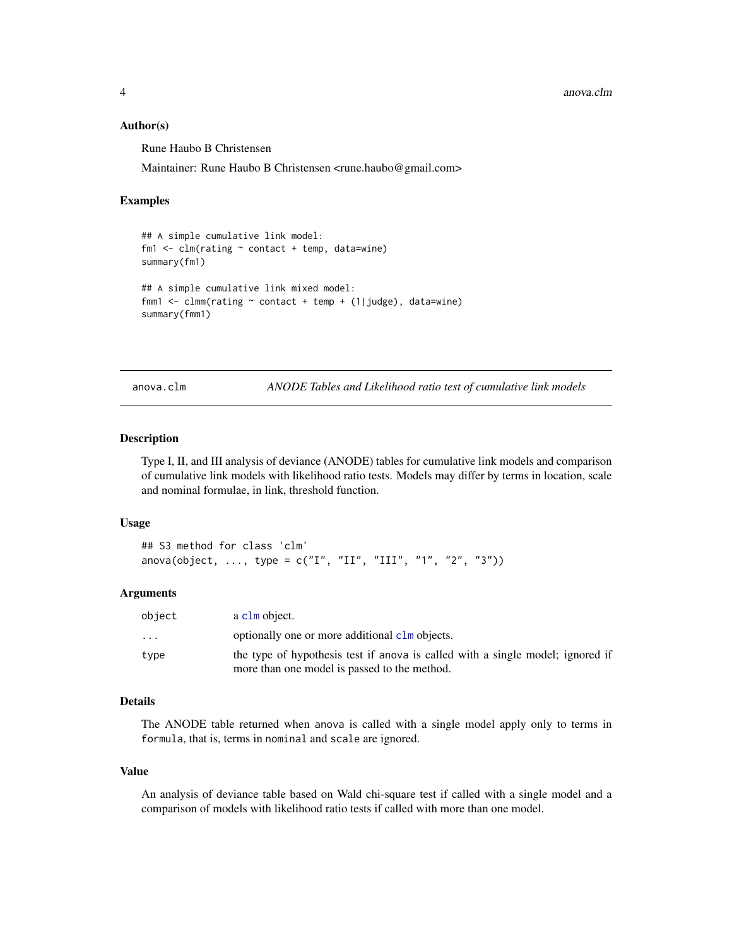#### <span id="page-3-0"></span>Author(s)

Rune Haubo B Christensen

Maintainer: Rune Haubo B Christensen <rune.haubo@gmail.com>

#### Examples

```
## A simple cumulative link model:
fm1 \leftarrow \text{clm}(\text{rating} \sim \text{contact} + \text{temp}, \text{ data} = \text{wire})summary(fm1)
## A simple cumulative link mixed model:
fmm1 <- clmm(rating ~ contact + temp + (1|judge), data=wine)
summary(fmm1)
```
anova.clm *ANODE Tables and Likelihood ratio test of cumulative link models*

#### Description

Type I, II, and III analysis of deviance (ANODE) tables for cumulative link models and comparison of cumulative link models with likelihood ratio tests. Models may differ by terms in location, scale and nominal formulae, in link, threshold function.

#### Usage

```
## S3 method for class 'clm'
anova(object, ..., type = c("I", "II", "III", "1", "2", "3")))
```
#### Arguments

| object   | a clm object.                                                                                                                  |
|----------|--------------------------------------------------------------------------------------------------------------------------------|
| $\cdots$ | optionally one or more additional clm objects.                                                                                 |
| type     | the type of hypothesis test if anova is called with a single model; ignored if<br>more than one model is passed to the method. |

#### Details

The ANODE table returned when anova is called with a single model apply only to terms in formula, that is, terms in nominal and scale are ignored.

#### Value

An analysis of deviance table based on Wald chi-square test if called with a single model and a comparison of models with likelihood ratio tests if called with more than one model.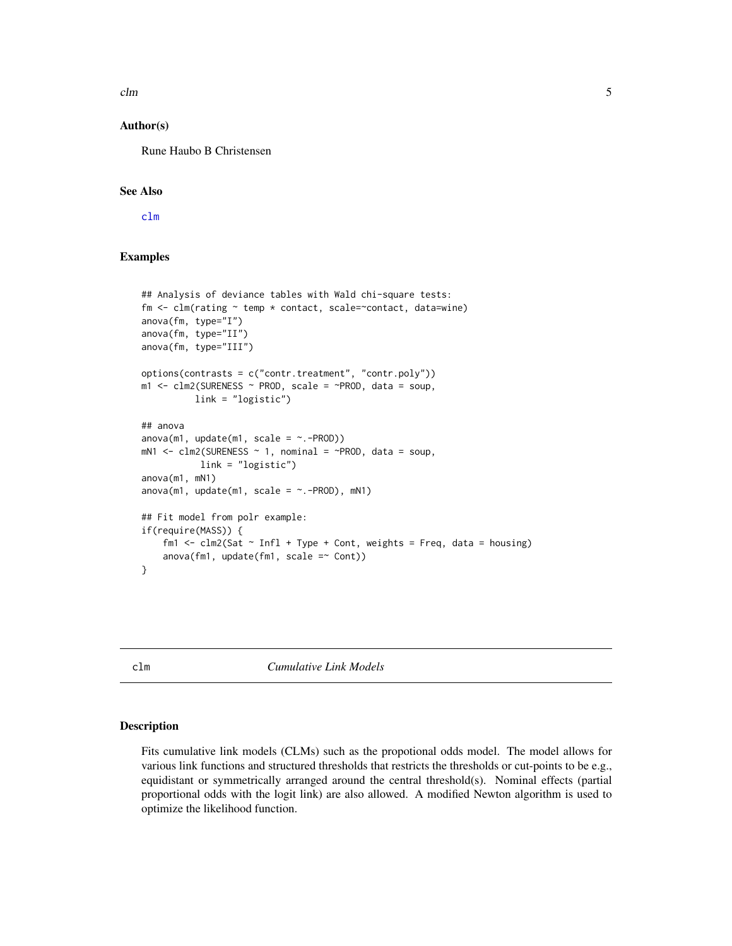<span id="page-4-0"></span> $clm$  5

#### Author(s)

Rune Haubo B Christensen

#### See Also

[clm](#page-4-1)

#### Examples

```
## Analysis of deviance tables with Wald chi-square tests:
fm \leq clm(rating \sim temp \times contact, scale=\text{contact}, data=\text{wire})anova(fm, type="I")
anova(fm, type="II")
anova(fm, type="III")
options(contrasts = c("contr.treatment", "contr.poly"))
m1 \le -\text{clm2(SURENESS \sim PROD, scale = \sim PROD, data = soup,}link = "logistic")
## anova
anova(m1, update(m1, scale = ~.-PROD))mN1 <- clm2(SURENESS \sim 1, nominal = \sim PROD, data = soup,link = "logistic")
anova(m1, mN1)
anova(m1, update(m1, scale = ~. -PROD), mN1)## Fit model from polr example:
if(require(MASS)) {
    fm1 <- clm2(Sat \sim Infl + Type + Cont, weights = Freq, data = housing)anova(fm1, update(fm1, scale = ~Cont))}
```
<span id="page-4-1"></span>clm *Cumulative Link Models*

#### Description

Fits cumulative link models (CLMs) such as the propotional odds model. The model allows for various link functions and structured thresholds that restricts the thresholds or cut-points to be e.g., equidistant or symmetrically arranged around the central threshold(s). Nominal effects (partial proportional odds with the logit link) are also allowed. A modified Newton algorithm is used to optimize the likelihood function.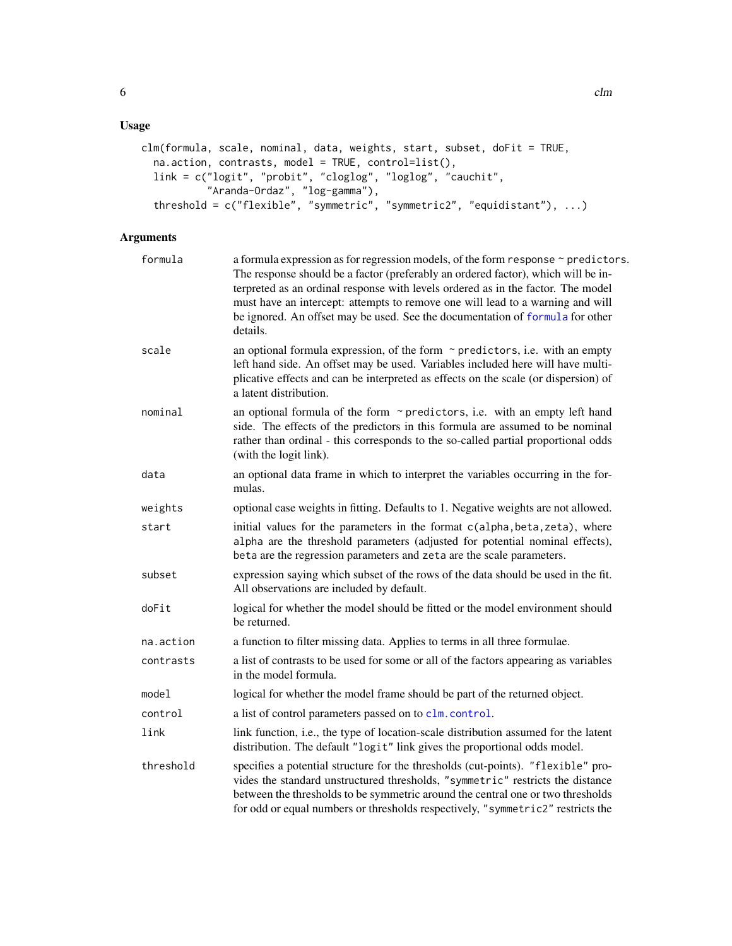#### <span id="page-5-0"></span>Usage

```
clm(formula, scale, nominal, data, weights, start, subset, doFit = TRUE,
 na.action, contrasts, model = TRUE, control=list(),
 link = c("logit", "probit", "cloglog", "loglog", "cauchit",
           "Aranda-Ordaz", "log-gamma"),
  threshold = c("flexible", "symmetric", "symmetric2", "equidistant"), ...)
```
### Arguments

| formula   | a formula expression as for regression models, of the form response ~ predictors.<br>The response should be a factor (preferably an ordered factor), which will be in-<br>terpreted as an ordinal response with levels ordered as in the factor. The model<br>must have an intercept: attempts to remove one will lead to a warning and will<br>be ignored. An offset may be used. See the documentation of formula for other<br>details. |
|-----------|-------------------------------------------------------------------------------------------------------------------------------------------------------------------------------------------------------------------------------------------------------------------------------------------------------------------------------------------------------------------------------------------------------------------------------------------|
| scale     | an optional formula expression, of the form $\sim$ predictors, i.e. with an empty<br>left hand side. An offset may be used. Variables included here will have multi-<br>plicative effects and can be interpreted as effects on the scale (or dispersion) of<br>a latent distribution.                                                                                                                                                     |
| nominal   | an optional formula of the form $\sim$ predictors, i.e. with an empty left hand<br>side. The effects of the predictors in this formula are assumed to be nominal<br>rather than ordinal - this corresponds to the so-called partial proportional odds<br>(with the logit link).                                                                                                                                                           |
| data      | an optional data frame in which to interpret the variables occurring in the for-<br>mulas.                                                                                                                                                                                                                                                                                                                                                |
| weights   | optional case weights in fitting. Defaults to 1. Negative weights are not allowed.                                                                                                                                                                                                                                                                                                                                                        |
| start     | initial values for the parameters in the format c(alpha, beta, zeta), where<br>alpha are the threshold parameters (adjusted for potential nominal effects),<br>beta are the regression parameters and zeta are the scale parameters.                                                                                                                                                                                                      |
| subset    | expression saying which subset of the rows of the data should be used in the fit.<br>All observations are included by default.                                                                                                                                                                                                                                                                                                            |
| doFit     | logical for whether the model should be fitted or the model environment should<br>be returned.                                                                                                                                                                                                                                                                                                                                            |
| na.action | a function to filter missing data. Applies to terms in all three formulae.                                                                                                                                                                                                                                                                                                                                                                |
| contrasts | a list of contrasts to be used for some or all of the factors appearing as variables<br>in the model formula.                                                                                                                                                                                                                                                                                                                             |
| model     | logical for whether the model frame should be part of the returned object.                                                                                                                                                                                                                                                                                                                                                                |
| control   | a list of control parameters passed on to clm. control.                                                                                                                                                                                                                                                                                                                                                                                   |
| link      | link function, i.e., the type of location-scale distribution assumed for the latent<br>distribution. The default "logit" link gives the proportional odds model.                                                                                                                                                                                                                                                                          |
| threshold | specifies a potential structure for the thresholds (cut-points). "flexible" pro-<br>vides the standard unstructured thresholds, "symmetric" restricts the distance<br>between the thresholds to be symmetric around the central one or two thresholds<br>for odd or equal numbers or thresholds respectively, "symmetric2" restricts the                                                                                                  |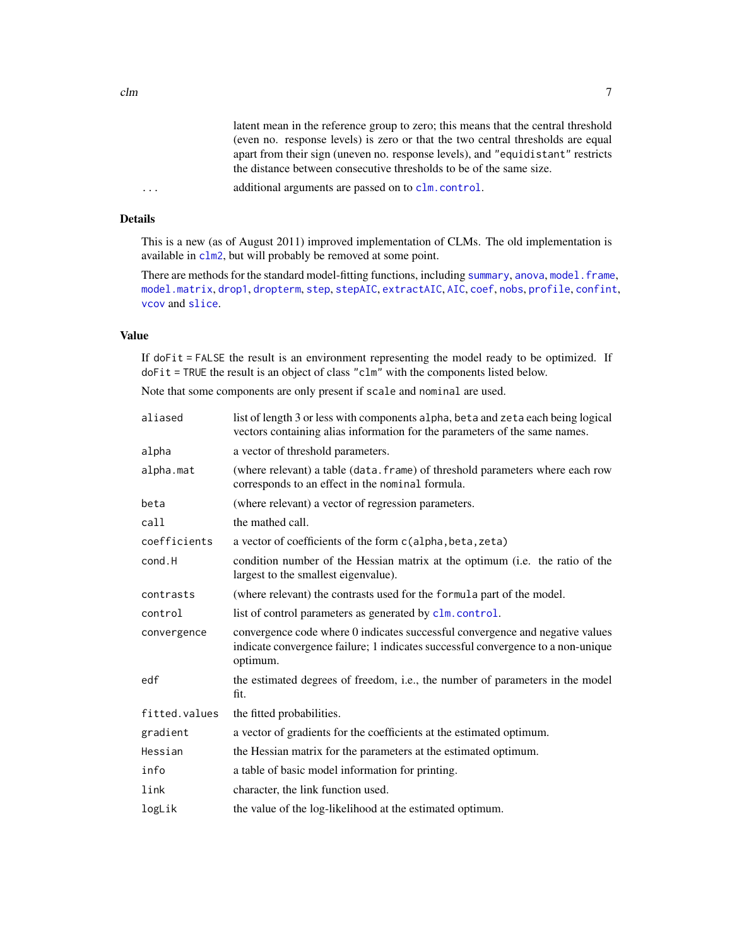#### <span id="page-6-0"></span>Details

This is a new (as of August 2011) improved implementation of CLMs. The old implementation is available in [clm2](#page-12-1), but will probably be removed at some point.

There are methods for the standard model-fitting functions, including [summary](#page-0-0), [anova](#page-0-0), model. frame, [model.matrix](#page-0-0), [drop1](#page-0-0), [dropterm](#page-0-0), [step](#page-0-0), [stepAIC](#page-0-0), [extractAIC](#page-0-0), [AIC](#page-0-0), [coef](#page-0-0), [nobs](#page-0-0), [profile](#page-0-0), [confint](#page-27-1), [vcov](#page-0-0) and [slice](#page-46-1).

#### Value

If doFit = FALSE the result is an environment representing the model ready to be optimized. If doFit = TRUE the result is an object of class "clm" with the components listed below.

Note that some components are only present if scale and nominal are used.

| aliased       | list of length 3 or less with components alpha, beta and zeta each being logical<br>vectors containing alias information for the parameters of the same names.                |
|---------------|-------------------------------------------------------------------------------------------------------------------------------------------------------------------------------|
| alpha         | a vector of threshold parameters.                                                                                                                                             |
| alpha.mat     | (where relevant) a table (data. frame) of threshold parameters where each row<br>corresponds to an effect in the nominal formula.                                             |
| beta          | (where relevant) a vector of regression parameters.                                                                                                                           |
| call          | the mathed call.                                                                                                                                                              |
| coefficients  | a vector of coefficients of the form c(alpha, beta, zeta)                                                                                                                     |
| cond.H        | condition number of the Hessian matrix at the optimum (i.e. the ratio of the<br>largest to the smallest eigenvalue).                                                          |
| contrasts     | (where relevant) the contrasts used for the formula part of the model.                                                                                                        |
| control       | list of control parameters as generated by clm. control.                                                                                                                      |
| convergence   | convergence code where 0 indicates successful convergence and negative values<br>indicate convergence failure; 1 indicates successful convergence to a non-unique<br>optimum. |
| edf           | the estimated degrees of freedom, i.e., the number of parameters in the model<br>fit.                                                                                         |
| fitted.values | the fitted probabilities.                                                                                                                                                     |
| gradient      | a vector of gradients for the coefficients at the estimated optimum.                                                                                                          |
| Hessian       | the Hessian matrix for the parameters at the estimated optimum.                                                                                                               |
| info          | a table of basic model information for printing.                                                                                                                              |
| link          | character, the link function used.                                                                                                                                            |
| logLik        | the value of the log-likelihood at the estimated optimum.                                                                                                                     |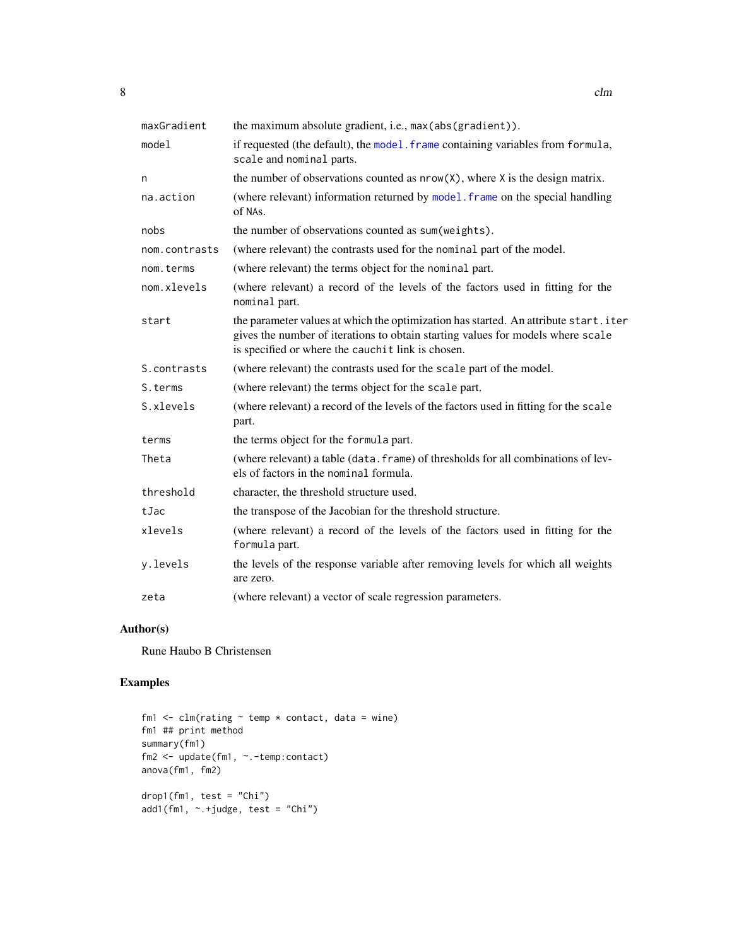<span id="page-7-0"></span>

| maxGradient   | the maximum absolute gradient, i.e., max (abs (gradient)).                                                                                                                                                                  |
|---------------|-----------------------------------------------------------------------------------------------------------------------------------------------------------------------------------------------------------------------------|
| model         | if requested (the default), the model. frame containing variables from formula,<br>scale and nominal parts.                                                                                                                 |
| n             | the number of observations counted as $nrow(X)$ , where X is the design matrix.                                                                                                                                             |
| na.action     | (where relevant) information returned by model. frame on the special handling<br>of NAs.                                                                                                                                    |
| nobs          | the number of observations counted as sum (weights).                                                                                                                                                                        |
| nom.contrasts | (where relevant) the contrasts used for the nominal part of the model.                                                                                                                                                      |
| nom.terms     | (where relevant) the terms object for the nominal part.                                                                                                                                                                     |
| nom.xlevels   | (where relevant) a record of the levels of the factors used in fitting for the<br>nominal part.                                                                                                                             |
| start         | the parameter values at which the optimization has started. An attribute start.iter<br>gives the number of iterations to obtain starting values for models where scale<br>is specified or where the cauchit link is chosen. |
| S.contrasts   | (where relevant) the contrasts used for the scale part of the model.                                                                                                                                                        |
| S.terms       | (where relevant) the terms object for the scale part.                                                                                                                                                                       |
| S.xlevels     | (where relevant) a record of the levels of the factors used in fitting for the scale<br>part.                                                                                                                               |
| terms         | the terms object for the formula part.                                                                                                                                                                                      |
| Theta         | (where relevant) a table (data. frame) of thresholds for all combinations of lev-<br>els of factors in the nominal formula.                                                                                                 |
| threshold     | character, the threshold structure used.                                                                                                                                                                                    |
| tJac          | the transpose of the Jacobian for the threshold structure.                                                                                                                                                                  |
| xlevels       | (where relevant) a record of the levels of the factors used in fitting for the<br>formula part.                                                                                                                             |
| y.levels      | the levels of the response variable after removing levels for which all weights<br>are zero.                                                                                                                                |
| zeta          | (where relevant) a vector of scale regression parameters.                                                                                                                                                                   |

#### Author(s)

Rune Haubo B Christensen

#### Examples

```
fm1 \leftarrow clm(rating \sim temp * contact, data = wine)
fm1 ## print method
summary(fm1)
fm2 <- update(fm1, ~.-temp:contact)
anova(fm1, fm2)
drop1(fm1, test = "Chi")add1(fm1, \sim +judge, test = "Chi")
```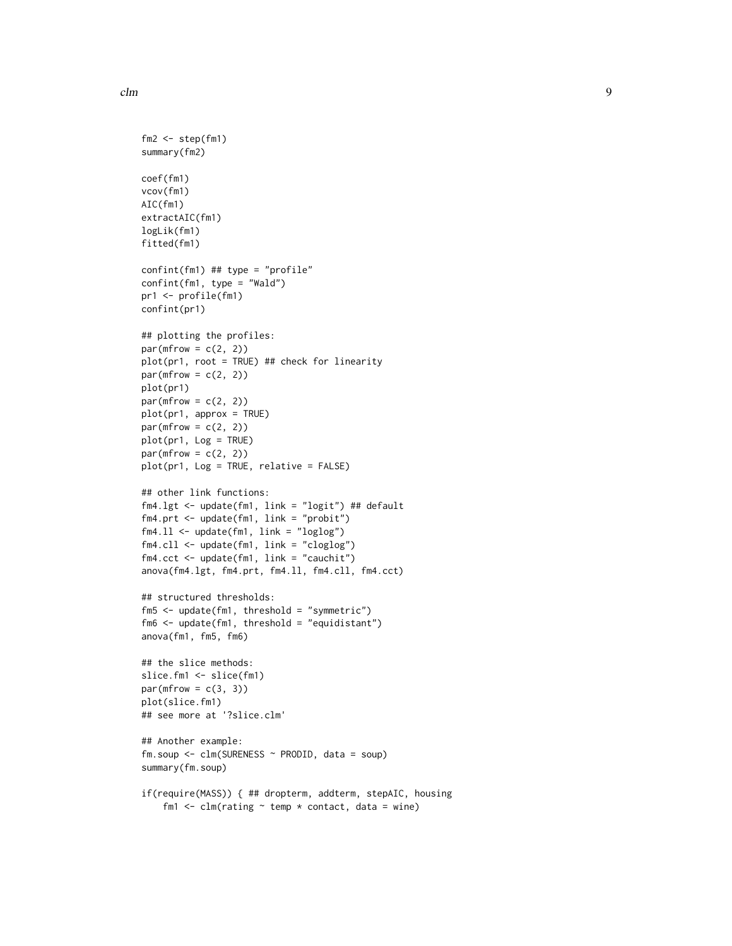```
fm2 \leq step(fm1)summary(fm2)
coef(fm1)
vcov(fm1)
AIC(fm1)
extractAIC(fm1)
logLik(fm1)
fitted(fm1)
confint(fm1) ## type = "profile"
confint(fm1, type = "Wald")
pr1 <- profile(fm1)
confint(pr1)
## plotting the profiles:
par(mfrow = c(2, 2))plot(pr1, root = TRUE) ## check for linearity
par(mfrow = c(2, 2))plot(pr1)
par(mfrow = c(2, 2))plot(pr1, approx = TRUE)
par(mfrow = c(2, 2))plot(pr1, Log = TRUE)
par(mfrow = c(2, 2))plot(pr1, Log = TRUE, relative = FALSE)
## other link functions:
fm4.lgt <- update(fm1, link = "logit") ## default
fm4.prt <- update(fm1, link = "probit")
fm4.ll <- update(fm1, link = "loglog")
fm4.cll <- update(fm1, link = "cloglog")
fm4.cct <- update(fm1, link = "cauchit")
anova(fm4.lgt, fm4.prt, fm4.ll, fm4.cll, fm4.cct)
## structured thresholds:
fm5 <- update(fm1, threshold = "symmetric")
fm6 <- update(fm1, threshold = "equidistant")
anova(fm1, fm5, fm6)
## the slice methods:
slice.fm1 <- slice(fm1)
par(mfrow = c(3, 3))plot(slice.fm1)
## see more at '?slice.clm'
## Another example:
fm.soup <- clm(SURENESS ~ PRODID, data = soup)
summary(fm.soup)
if(require(MASS)) { ## dropterm, addterm, stepAIC, housing
    fm1 \le - clm(rating \sim temp \star contact, data = wine)
```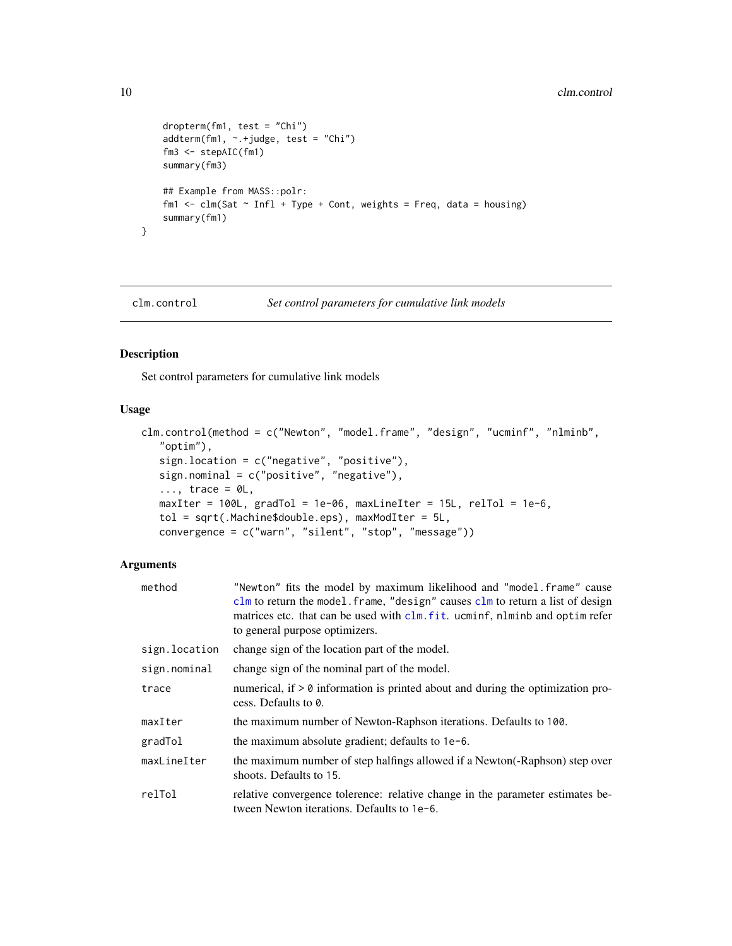```
dropterm(fm1, test = "Chi")
    addterm(fm1, ~.+judge, test = "Chi")
    fm3 <- stepAIC(fm1)
    summary(fm3)
    ## Example from MASS::polr:
    fm1 \le - clm(Sat \sim Infl + Type + Cont, weights = Freq, data = housing)
    summary(fm1)
}
```
<span id="page-9-1"></span>clm.control *Set control parameters for cumulative link models*

#### Description

Set control parameters for cumulative link models

#### Usage

```
clm.control(method = c("Newton", "model.frame", "design", "ucminf", "nlminb",
   "optim"),
   sign.location = c("negative", "positive"),
   sign.nominal = c("positive", "negative"),\ldots, trace = \emptysetL,
   maxIter = 100L, gradTol = 1e-06, maxLinear = 15L, relTol = 1e-6,
   tol = sqrt(.Machine$double.eps), maxModIter = 5L,
   convergence = c("warn", "silent", "stop", "message"))
```
#### Arguments

| method        | "Newton" fits the model by maximum likelihood and "model.frame" cause<br>clm to return the model. frame, "design" causes clm to return a list of design<br>matrices etc. that can be used with clm. fit. ucminf, nlminb and optime<br>to general purpose optimizers. |
|---------------|----------------------------------------------------------------------------------------------------------------------------------------------------------------------------------------------------------------------------------------------------------------------|
| sign.location | change sign of the location part of the model.                                                                                                                                                                                                                       |
| sign.nominal  | change sign of the nominal part of the model.                                                                                                                                                                                                                        |
| trace         | numerical, if $> 0$ information is printed about and during the optimization pro-<br>cess. Defaults to 0.                                                                                                                                                            |
| maxIter       | the maximum number of Newton-Raphson iterations. Defaults to 100.                                                                                                                                                                                                    |
| gradTol       | the maximum absolute gradient; defaults to 1e-6.                                                                                                                                                                                                                     |
| maxLineIter   | the maximum number of step halfings allowed if a Newton(-Raphson) step over<br>shoots. Defaults to 15.                                                                                                                                                               |
| relTol        | relative convergence tolerence: relative change in the parameter estimates be-<br>tween Newton iterations. Defaults to 1e-6.                                                                                                                                         |

<span id="page-9-0"></span>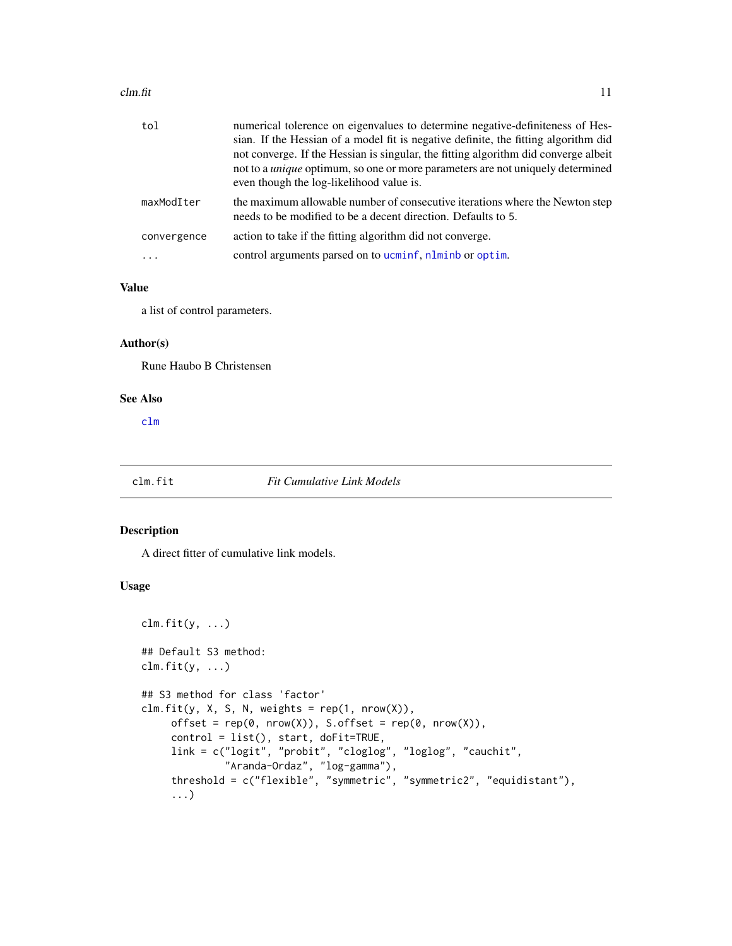#### <span id="page-10-0"></span> $clm.fit$  11

| tol         | numerical tolerence on eigenvalues to determine negative-definiteness of Hes-<br>sian. If the Hessian of a model fit is negative definite, the fitting algorithm did<br>not converge. If the Hessian is singular, the fitting algorithm did converge albeit<br>not to a <i>unique</i> optimum, so one or more parameters are not uniquely determined<br>even though the log-likelihood value is. |
|-------------|--------------------------------------------------------------------------------------------------------------------------------------------------------------------------------------------------------------------------------------------------------------------------------------------------------------------------------------------------------------------------------------------------|
| maxModIter  | the maximum allowable number of consecutive iterations where the Newton step<br>needs to be modified to be a decent direction. Defaults to 5.                                                                                                                                                                                                                                                    |
| convergence | action to take if the fitting algorithm did not converge.                                                                                                                                                                                                                                                                                                                                        |
| $\ddots$    | control arguments parsed on to ucminf, nlminb or optim.                                                                                                                                                                                                                                                                                                                                          |

#### Value

a list of control parameters.

#### Author(s)

Rune Haubo B Christensen

#### See Also

[clm](#page-4-1)

#### <span id="page-10-1"></span>clm.fit *Fit Cumulative Link Models*

#### Description

A direct fitter of cumulative link models.

#### Usage

```
clm.fit(y, ...)
## Default S3 method:
clm.fit(y, \ldots)## S3 method for class 'factor'
clm.fit(y, X, S, N, weights = rep(1, nrow(X)),offset = rep(0, nrow(X)), S.offset = rep(0, nrow(X)),control = list(), start, doFit=TRUE,
     link = c("logit", "probit", "cloglog", "loglog", "cauchit",
              "Aranda-Ordaz", "log-gamma"),
     threshold = c("flexible", "symmetric", "symmetric2", "equidistant"),
     ...)
```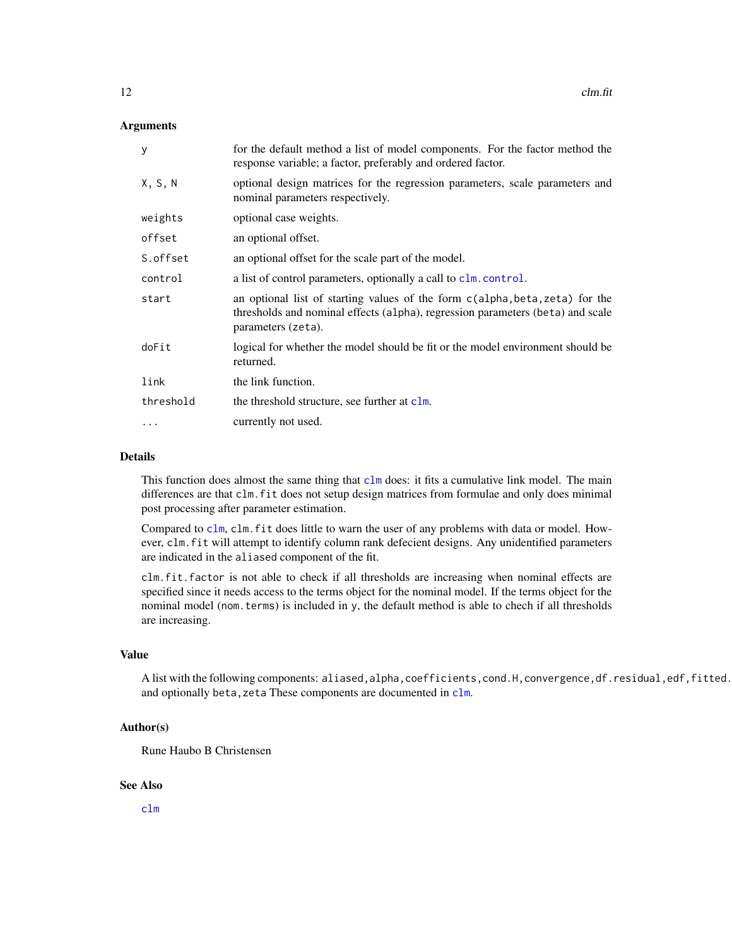#### <span id="page-11-0"></span>Arguments

| y         | for the default method a list of model components. For the factor method the<br>response variable; a factor, preferably and ordered factor.                                          |
|-----------|--------------------------------------------------------------------------------------------------------------------------------------------------------------------------------------|
| X, S, N   | optional design matrices for the regression parameters, scale parameters and<br>nominal parameters respectively.                                                                     |
| weights   | optional case weights.                                                                                                                                                               |
| offset    | an optional offset.                                                                                                                                                                  |
| S.offset  | an optional offset for the scale part of the model.                                                                                                                                  |
| control   | a list of control parameters, optionally a call to clm. control.                                                                                                                     |
| start     | an optional list of starting values of the form c(alpha, beta, zeta) for the<br>thresholds and nominal effects (alpha), regression parameters (beta) and scale<br>parameters (zeta). |
| doFit     | logical for whether the model should be fit or the model environment should be<br>returned.                                                                                          |
| link      | the link function.                                                                                                                                                                   |
| threshold | the threshold structure, see further at clm.                                                                                                                                         |
| $\cdots$  | currently not used.                                                                                                                                                                  |

#### Details

This function does almost the same thing that [clm](#page-4-1) does: it fits a cumulative link model. The main differences are that clm.fit does not setup design matrices from formulae and only does minimal post processing after parameter estimation.

Compared to [clm](#page-4-1), clm.fit does little to warn the user of any problems with data or model. However, clm.fit will attempt to identify column rank defecient designs. Any unidentified parameters are indicated in the aliased component of the fit.

clm.fit.factor is not able to check if all thresholds are increasing when nominal effects are specified since it needs access to the terms object for the nominal model. If the terms object for the nominal model (nom.terms) is included in y, the default method is able to chech if all thresholds are increasing.

#### Value

A list with the following components: aliased,alpha,coefficients,cond.H,convergence,df.residual,edf,fitted. and optionally beta, zeta These components are documented in [clm](#page-4-1).

#### Author(s)

Rune Haubo B Christensen

#### See Also

[clm](#page-4-1)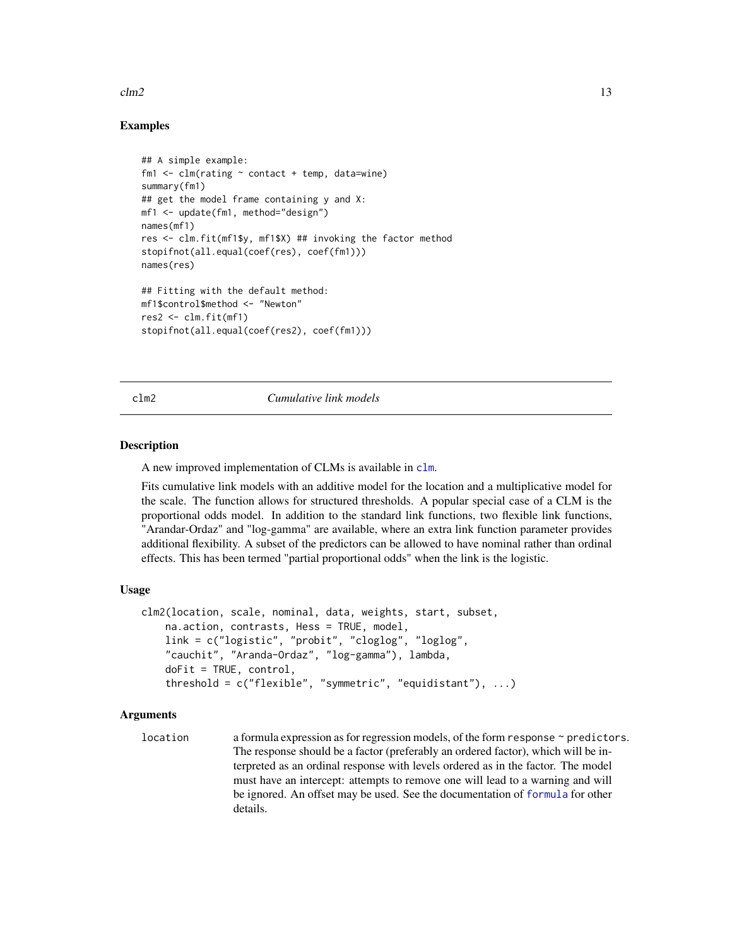#### <span id="page-12-0"></span> $clm2$  13

#### Examples

```
## A simple example:
fm1 \leq clm(rating \sim contact + temp, data=wine)
summary(fm1)
## get the model frame containing y and X:
mf1 <- update(fm1, method="design")
names(mf1)
res <- clm.fit(mf1$y, mf1$X) ## invoking the factor method
stopifnot(all.equal(coef(res), coef(fm1)))
names(res)
## Fitting with the default method:
mf1$control$method <- "Newton"
res2 <- clm.fit(mf1)
stopifnot(all.equal(coef(res2), coef(fm1)))
```
<span id="page-12-1"></span>

#### clm2 *Cumulative link models*

#### Description

A new improved implementation of CLMs is available in [clm](#page-4-1).

Fits cumulative link models with an additive model for the location and a multiplicative model for the scale. The function allows for structured thresholds. A popular special case of a CLM is the proportional odds model. In addition to the standard link functions, two flexible link functions, "Arandar-Ordaz" and "log-gamma" are available, where an extra link function parameter provides additional flexibility. A subset of the predictors can be allowed to have nominal rather than ordinal effects. This has been termed "partial proportional odds" when the link is the logistic.

#### Usage

```
clm2(location, scale, nominal, data, weights, start, subset,
    na.action, contrasts, Hess = TRUE, model,
    link = c("logistic", "probit", "cloglog", "loglog",
    "cauchit", "Aranda-Ordaz", "log-gamma"), lambda,
    doFit = TRUE, control,
    threshold = c("flexible", "symmetric", "equidistant"), ...)
```
#### Arguments

```
location a formula expression as for regression models, of the form response ~ predictors.
                  The response should be a factor (preferably an ordered factor), which will be in-
                  terpreted as an ordinal response with levels ordered as in the factor. The model
                  must have an intercept: attempts to remove one will lead to a warning and will
                  be ignored. An offset may be used. See the documentation of formula for other
                  details.
```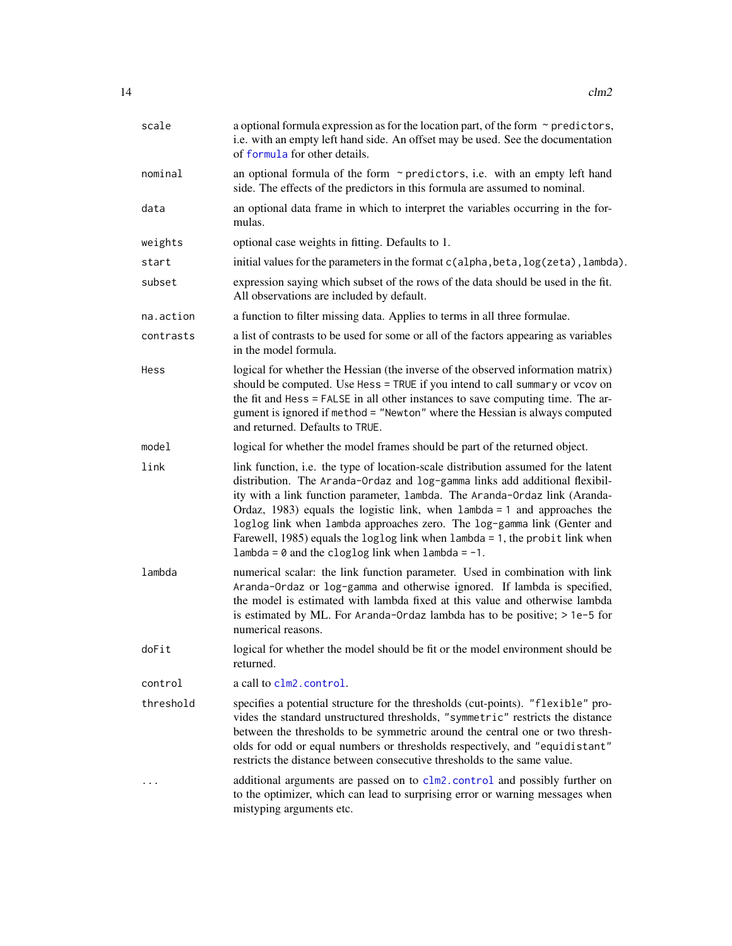<span id="page-13-0"></span>

| scale     | a optional formula expression as for the location part, of the form $\sim$ predictors,<br>i.e. with an empty left hand side. An offset may be used. See the documentation<br>of formula for other details.                                                                                                                                                                                                                                                                                                                                           |
|-----------|------------------------------------------------------------------------------------------------------------------------------------------------------------------------------------------------------------------------------------------------------------------------------------------------------------------------------------------------------------------------------------------------------------------------------------------------------------------------------------------------------------------------------------------------------|
| nominal   | an optional formula of the form $\sim$ predictors, i.e. with an empty left hand<br>side. The effects of the predictors in this formula are assumed to nominal.                                                                                                                                                                                                                                                                                                                                                                                       |
| data      | an optional data frame in which to interpret the variables occurring in the for-<br>mulas.                                                                                                                                                                                                                                                                                                                                                                                                                                                           |
| weights   | optional case weights in fitting. Defaults to 1.                                                                                                                                                                                                                                                                                                                                                                                                                                                                                                     |
| start     | initial values for the parameters in the format c(alpha, beta, log(zeta), lambda).                                                                                                                                                                                                                                                                                                                                                                                                                                                                   |
| subset    | expression saying which subset of the rows of the data should be used in the fit.<br>All observations are included by default.                                                                                                                                                                                                                                                                                                                                                                                                                       |
| na.action | a function to filter missing data. Applies to terms in all three formulae.                                                                                                                                                                                                                                                                                                                                                                                                                                                                           |
| contrasts | a list of contrasts to be used for some or all of the factors appearing as variables<br>in the model formula.                                                                                                                                                                                                                                                                                                                                                                                                                                        |
| Hess      | logical for whether the Hessian (the inverse of the observed information matrix)<br>should be computed. Use Hess = TRUE if you intend to call summary or vcov on<br>the fit and Hess = FALSE in all other instances to save computing time. The ar-<br>gument is ignored if method = "Newton" where the Hessian is always computed<br>and returned. Defaults to TRUE.                                                                                                                                                                                |
| model     | logical for whether the model frames should be part of the returned object.                                                                                                                                                                                                                                                                                                                                                                                                                                                                          |
| link      | link function, i.e. the type of location-scale distribution assumed for the latent<br>distribution. The Aranda-Ordaz and log-gamma links add additional flexibil-<br>ity with a link function parameter, lambda. The Aranda-Ordaz link (Aranda-<br>Ordaz, 1983) equals the logistic link, when $l$ ambda = 1 and approaches the<br>loglog link when lambda approaches zero. The log-gamma link (Genter and<br>Farewell, 1985) equals the loglog link when lambda = 1, the probit link when<br>$lambda = 0$ and the cloglog link when $lambda = -1$ . |
| lambda    | numerical scalar: the link function parameter. Used in combination with link<br>Aranda-Ordaz or log-gamma and otherwise ignored. If lambda is specified,<br>the model is estimated with lambda fixed at this value and otherwise lambda<br>is estimated by ML. For Aranda-Ordaz lambda has to be positive; $> 1e-5$ for<br>numerical reasons.                                                                                                                                                                                                        |
| doFit     | logical for whether the model should be fit or the model environment should be<br>returned.                                                                                                                                                                                                                                                                                                                                                                                                                                                          |
| control   | a call to clm2. control.                                                                                                                                                                                                                                                                                                                                                                                                                                                                                                                             |
| threshold | specifies a potential structure for the thresholds (cut-points). "flexible" pro-<br>vides the standard unstructured thresholds, "symmetric" restricts the distance<br>between the thresholds to be symmetric around the central one or two thresh-<br>olds for odd or equal numbers or thresholds respectively, and "equidistant"<br>restricts the distance between consecutive thresholds to the same value.                                                                                                                                        |
| .         | additional arguments are passed on to clm2. control and possibly further on<br>to the optimizer, which can lead to surprising error or warning messages when<br>mistyping arguments etc.                                                                                                                                                                                                                                                                                                                                                             |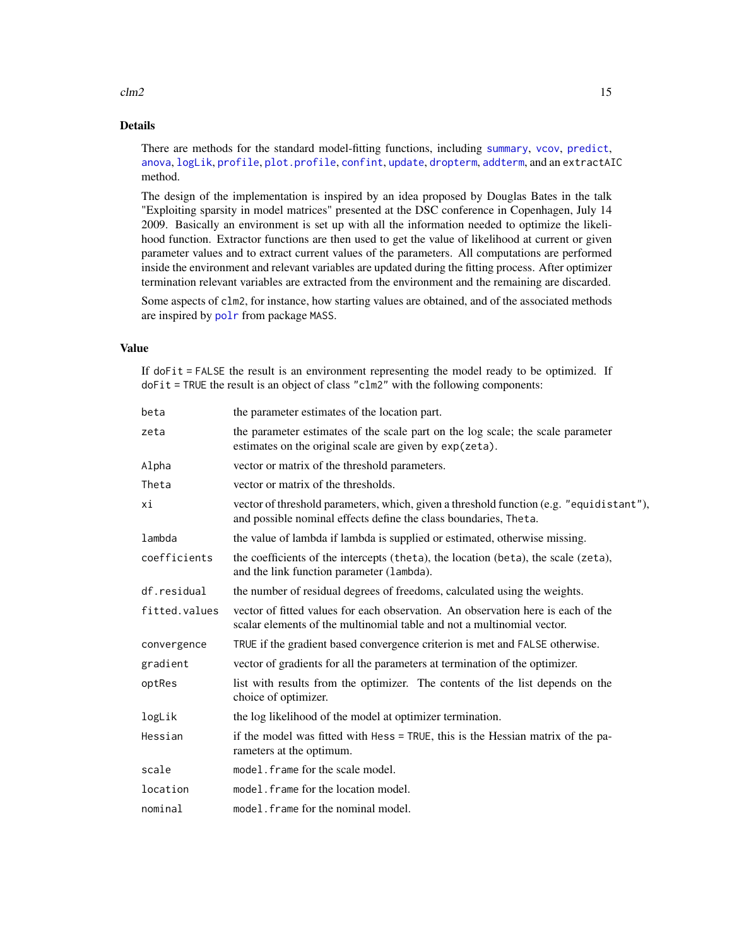#### <span id="page-14-0"></span> $clm2$  15

#### Details

There are methods for the standard model-fitting functions, including [summary](#page-0-0), [vcov](#page-0-0), [predict](#page-0-0), [anova](#page-0-0), [logLik](#page-0-0), [profile](#page-0-0), [plot.profile](#page-0-0), [confint](#page-0-0), [update](#page-0-0), [dropterm](#page-0-0), [addterm](#page-0-0), and an extractAIC method.

The design of the implementation is inspired by an idea proposed by Douglas Bates in the talk "Exploiting sparsity in model matrices" presented at the DSC conference in Copenhagen, July 14 2009. Basically an environment is set up with all the information needed to optimize the likelihood function. Extractor functions are then used to get the value of likelihood at current or given parameter values and to extract current values of the parameters. All computations are performed inside the environment and relevant variables are updated during the fitting process. After optimizer termination relevant variables are extracted from the environment and the remaining are discarded.

Some aspects of clm2, for instance, how starting values are obtained, and of the associated methods are inspired by [polr](#page-0-0) from package MASS.

#### Value

If doFit = FALSE the result is an environment representing the model ready to be optimized. If doFit = TRUE the result is an object of class "clm2" with the following components:

| beta          | the parameter estimates of the location part.                                                                                                               |
|---------------|-------------------------------------------------------------------------------------------------------------------------------------------------------------|
| zeta          | the parameter estimates of the scale part on the log scale; the scale parameter<br>estimates on the original scale are given by exp(zeta).                  |
| Alpha         | vector or matrix of the threshold parameters.                                                                                                               |
| Theta         | vector or matrix of the thresholds.                                                                                                                         |
| хi            | vector of threshold parameters, which, given a threshold function (e.g. "equidistant"),<br>and possible nominal effects define the class boundaries, Theta. |
| lambda        | the value of lambda if lambda is supplied or estimated, otherwise missing.                                                                                  |
| coefficients  | the coefficients of the intercepts (theta), the location (beta), the scale (zeta),<br>and the link function parameter (lambda).                             |
| df.residual   | the number of residual degrees of freedoms, calculated using the weights.                                                                                   |
| fitted.values | vector of fitted values for each observation. An observation here is each of the<br>scalar elements of the multinomial table and not a multinomial vector.  |
| convergence   | TRUE if the gradient based convergence criterion is met and FALSE otherwise.                                                                                |
| gradient      | vector of gradients for all the parameters at termination of the optimizer.                                                                                 |
| optRes        | list with results from the optimizer. The contents of the list depends on the<br>choice of optimizer.                                                       |
| logLik        | the log likelihood of the model at optimizer termination.                                                                                                   |
| Hessian       | if the model was fitted with Hess = TRUE, this is the Hessian matrix of the pa-<br>rameters at the optimum.                                                 |
| scale         | model. frame for the scale model.                                                                                                                           |
| location      | model. frame for the location model.                                                                                                                        |
| nominal       | model. frame for the nominal model.                                                                                                                         |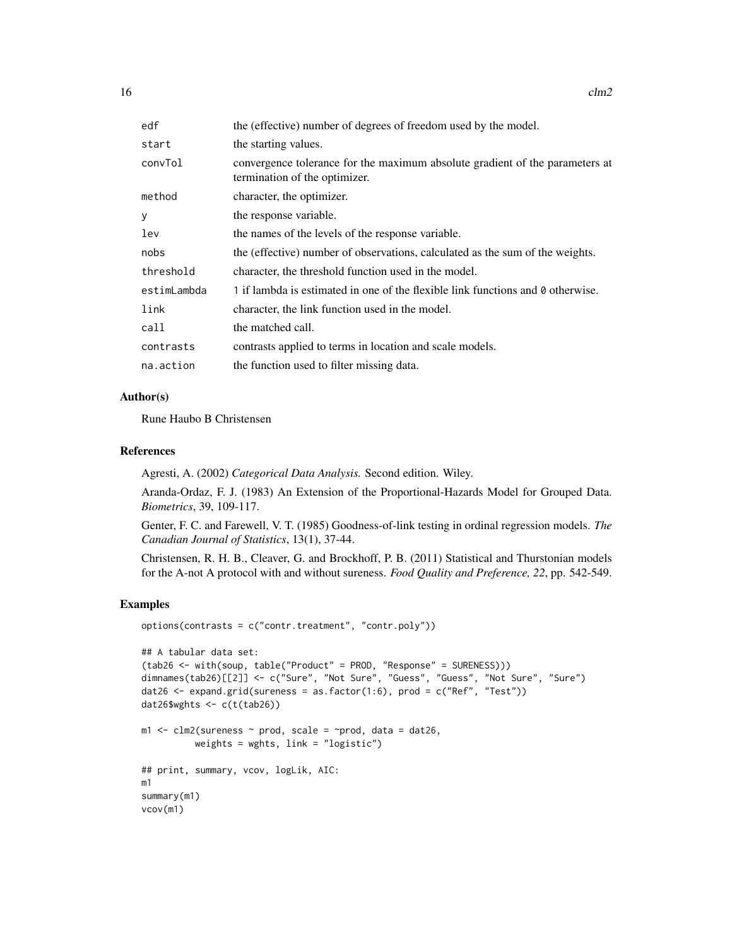$16$  clm2

| edf         | the (effective) number of degrees of freedom used by the model.                                               |
|-------------|---------------------------------------------------------------------------------------------------------------|
| start       | the starting values.                                                                                          |
| convTol     | convergence tolerance for the maximum absolute gradient of the parameters at<br>termination of the optimizer. |
| method      | character, the optimizer.                                                                                     |
| У           | the response variable.                                                                                        |
| lev         | the names of the levels of the response variable.                                                             |
| nobs        | the (effective) number of observations, calculated as the sum of the weights.                                 |
| threshold   | character, the threshold function used in the model.                                                          |
| estimLambda | 1 if lambda is estimated in one of the flexible link functions and 0 otherwise.                               |
| link        | character, the link function used in the model.                                                               |
| call        | the matched call.                                                                                             |
| contrasts   | contrasts applied to terms in location and scale models.                                                      |
| na.action   | the function used to filter missing data.                                                                     |

#### Author(s)

Rune Haubo B Christensen

#### References

Agresti, A. (2002) *Categorical Data Analysis.* Second edition. Wiley.

Aranda-Ordaz, F. J. (1983) An Extension of the Proportional-Hazards Model for Grouped Data. *Biometrics*, 39, 109-117.

Genter, F. C. and Farewell, V. T. (1985) Goodness-of-link testing in ordinal regression models. *The Canadian Journal of Statistics*, 13(1), 37-44.

Christensen, R. H. B., Cleaver, G. and Brockhoff, P. B. (2011) Statistical and Thurstonian models for the A-not A protocol with and without sureness. *Food Quality and Preference, 22*, pp. 542-549.

#### Examples

```
options(contrasts = c("contr.treatment", "contr.poly"))
## A tabular data set:
(tab26 <- with(soup, table("Product" = PROD, "Response" = SURENESS)))
dimnames(tab26)[[2]] <- c("Sure", "Not Sure", "Guess", "Guess", "Not Sure", "Sure")
dat26 <- expand.grid(sureness = as.factor(1:6), prod = c("Ref", "Test"))
dat26$wghts <- c(t(tab26))
m1 \le - clm2(sureness \sim prod, scale = \simprod, data = dat26,
          weights = wghts, link = "logistic")
## print, summary, vcov, logLik, AIC:
m1
summary(m1)
vcov(m1)
```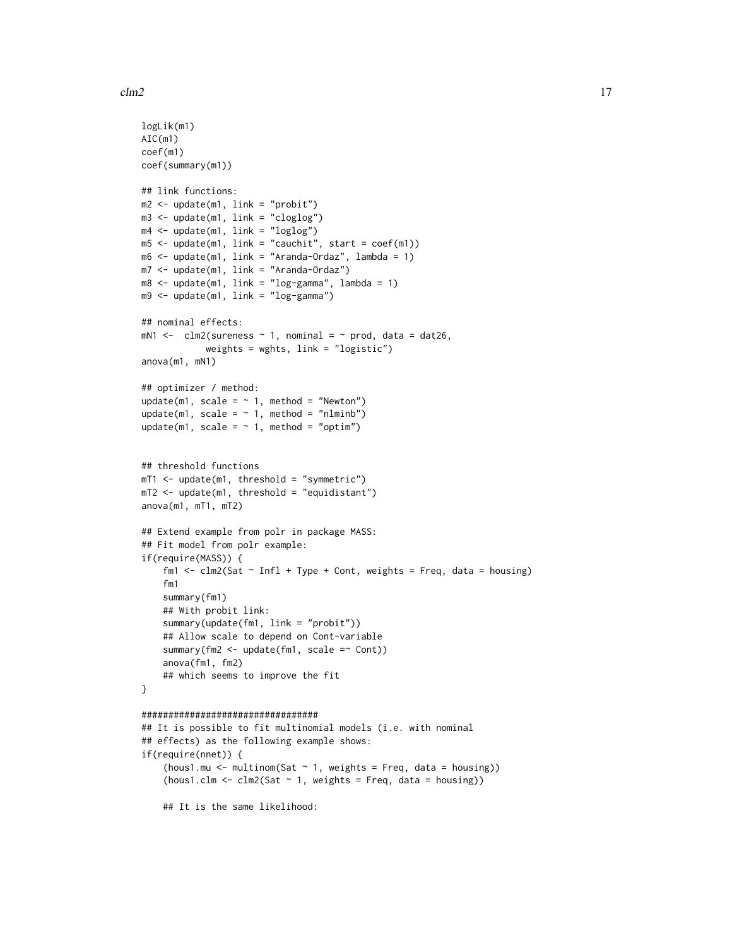$\text{clm2}$  and  $\text{clm2}$  17

```
logLik(m1)
AIC(m1)
coef(m1)
coef(summary(m1))
## link functions:
m2 \leq update(m1, link = "probit")
m3 <- update(m1, link = "cloglog")
m4 \leq update(m1, link = "loglog")
m5 < - update(m1, link = "cauchit", start = coef(m1))
m6 <- update(m1, link = "Aranda-Ordaz", lambda = 1)
m7 <- update(m1, link = "Aranda-Ordaz")
m8 <- update(m1, link = "log-gamma", lambda = 1)
m9 <- update(m1, link = "log-gamma")
## nominal effects:
mN1 <- clm2(sureness \sim 1, nominal = \sim prod, data = dat26,
            weights = wghts, link = "logistic")
anova(m1, mN1)
## optimizer / method:
update(m1, scale = \sim 1, method = "Newton")
update(m1, scale = \sim 1, method = "nlminb")
update(m1, scale = \sim 1, method = "optim")
## threshold functions
mT1 <- update(m1, threshold = "symmetric")
mT2 <- update(m1, threshold = "equidistant")
anova(m1, mT1, mT2)
## Extend example from polr in package MASS:
## Fit model from polr example:
if(require(MASS)) {
    fm1 <- clm2(Sat \sim Infl + Type + Cont, weights = Freq, data = housing)fm1
    summary(fm1)
    ## With probit link:
    summary(update(fm1, link = "probit"))
    ## Allow scale to depend on Cont-variable
    summary(fm2 <- update(fm1, scale =~ Cont))
    anova(fm1, fm2)
    ## which seems to improve the fit
}
#################################
## It is possible to fit multinomial models (i.e. with nominal
## effects) as the following example shows:
if(require(nnet)) {
    (hous1.mu \leq multinom(Sat \sim 1, weights = Freq, data = housing))
```
 $(hous1.clm < -clm2(Sat - 1, weights = Freq, data = housing))$ 

## It is the same likelihood: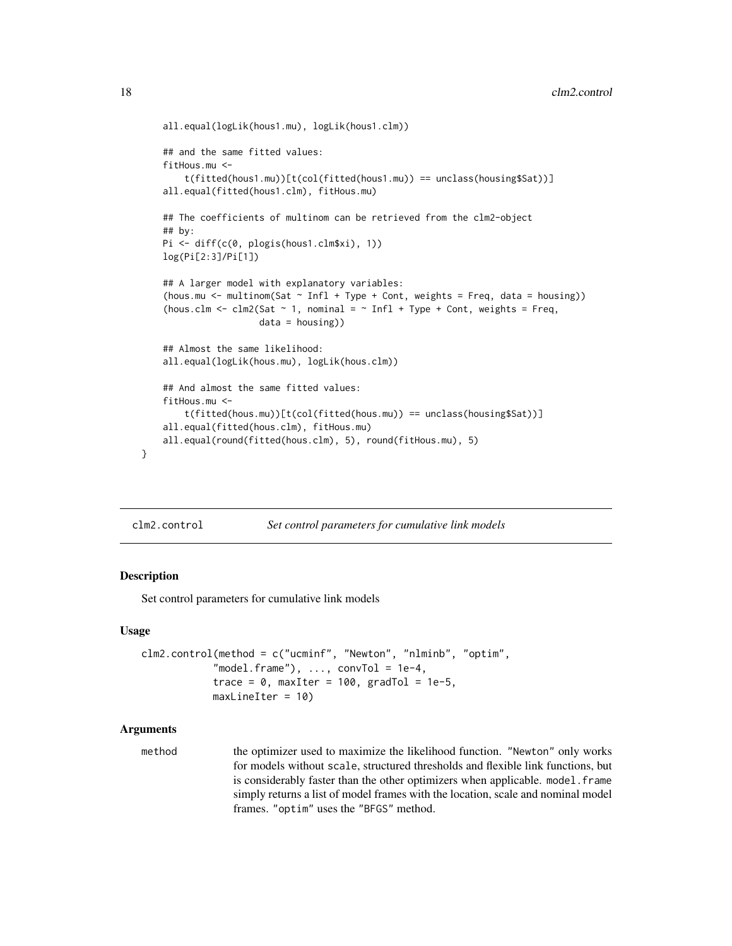```
all.equal(logLik(hous1.mu), logLik(hous1.clm))
## and the same fitted values:
fitHous.mu <-
    t(fitted(hous1.mu))[t(col(fitted(hous1.mu)) == unclass(housing$Sat))]
all.equal(fitted(hous1.clm), fitHous.mu)
## The coefficients of multinom can be retrieved from the clm2-object
## by:
Pi <- diff(c(0, plogis(hous1.clm$xi), 1))
log(Pi[2:3]/Pi[1])
## A larger model with explanatory variables:
(hous.mu \le multinom(Sat \sim Infl + Type + Cont, weights = Freq, data = housing))
(hous.clm <- clm2(Sat \sim 1, nominal = \sim Infl + Type + Cont, weights = Freq,
                  data = housing))
## Almost the same likelihood:
all.equal(logLik(hous.mu), logLik(hous.clm))
## And almost the same fitted values:
fitHous.mu <-
    t(fitted(hous.mu))[t(col(fitted(hous.mu)) == unclass(housing$Sat))]
all.equal(fitted(hous.clm), fitHous.mu)
all.equal(round(fitted(hous.clm), 5), round(fitHous.mu), 5)
```
<span id="page-17-1"></span>

#### Description

}

Set control parameters for cumulative link models

#### Usage

```
clm2.control(method = c("ucminf", "Newton", "nlminb", "optim",
            "model.frame"), \ldots, convTol = 1e-4,
            trace = 0, maxIter = 100, gradTol = 1e-5,
            maxLineIter = 10)
```
#### Arguments

method the optimizer used to maximize the likelihood function. "Newton" only works for models without scale, structured thresholds and flexible link functions, but is considerably faster than the other optimizers when applicable. model. frame simply returns a list of model frames with the location, scale and nominal model frames. "optim" uses the "BFGS" method.

<span id="page-17-0"></span>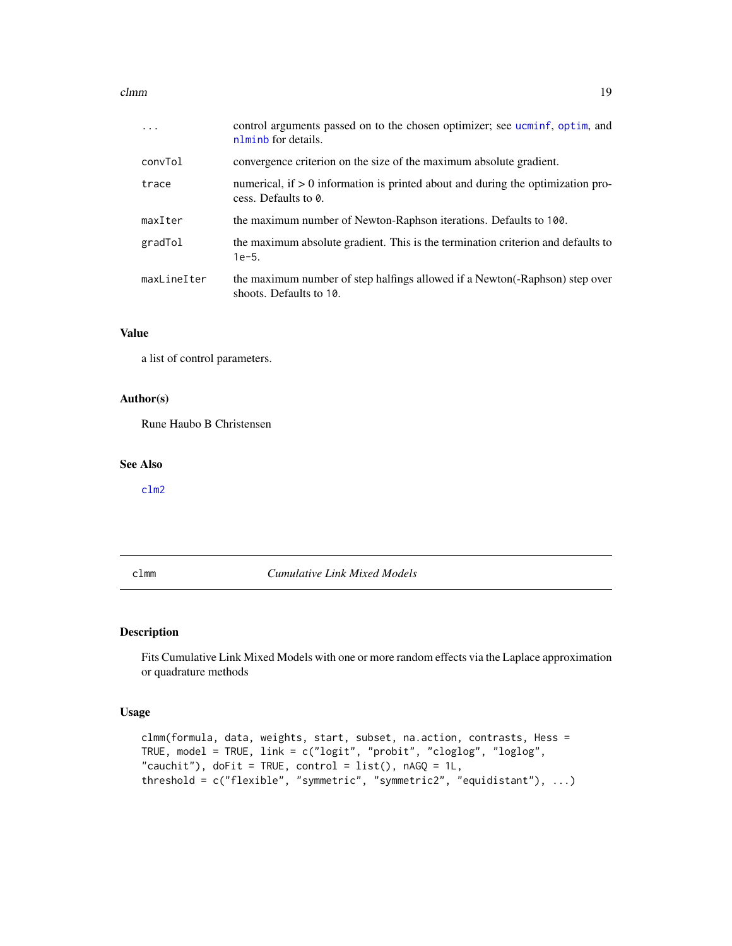#### <span id="page-18-0"></span>clmm and the contract of the contract of the contract of the contract of the contract of the contract of the contract of the contract of the contract of the contract of the contract of the contract of the contract of the c

| $\ddots$    | control arguments passed on to the chosen optimizer; see ucminf, optim, and<br>nlminb for details.        |
|-------------|-----------------------------------------------------------------------------------------------------------|
| convTol     | convergence criterion on the size of the maximum absolute gradient.                                       |
| trace       | numerical, if $> 0$ information is printed about and during the optimization pro-<br>cess. Defaults to 0. |
| maxIter     | the maximum number of Newton-Raphson iterations. Defaults to 100.                                         |
| gradTol     | the maximum absolute gradient. This is the termination criterion and defaults to<br>$1e-5.$               |
| maxLineIter | the maximum number of step halfings allowed if a Newton(-Raphson) step over<br>shoots. Defaults to 10.    |

#### Value

a list of control parameters.

#### Author(s)

Rune Haubo B Christensen

#### See Also

[clm2](#page-12-1)

<span id="page-18-1"></span>clmm *Cumulative Link Mixed Models*

#### Description

Fits Cumulative Link Mixed Models with one or more random effects via the Laplace approximation or quadrature methods

#### Usage

```
clmm(formula, data, weights, start, subset, na.action, contrasts, Hess =
TRUE, model = TRUE, link = c("logit", "probit", "cloglog", "loglog",
"cauchit"), doFit = TRUE, control = list(), nAGQ = 1L,
threshold = c("flexible", "symmetric", "symmetric2", "equidistant"), ...)
```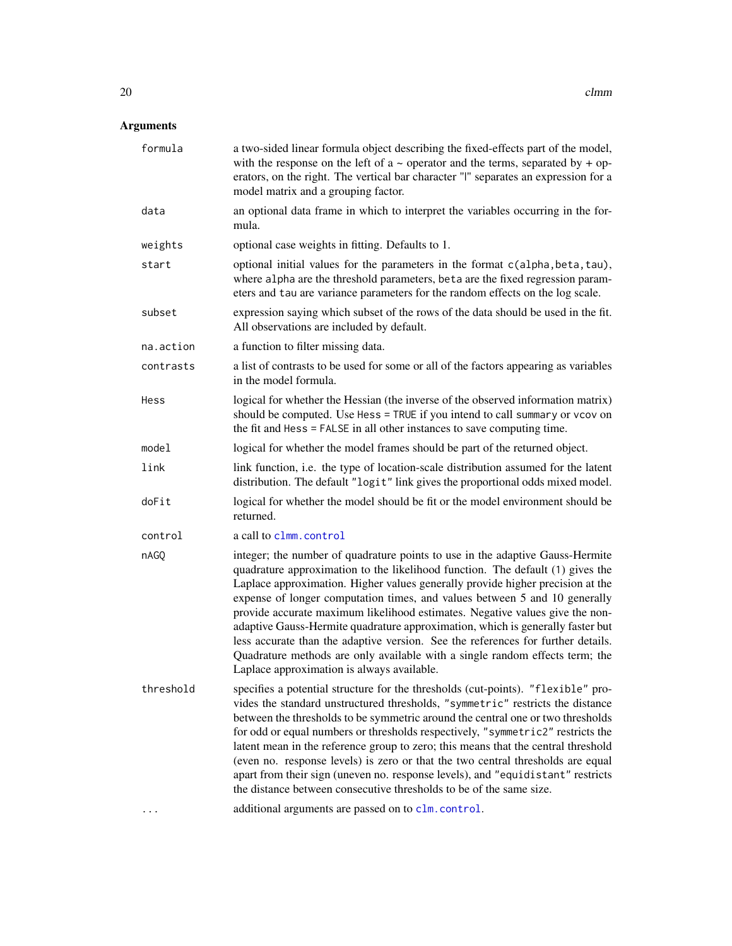### <span id="page-19-0"></span>Arguments

| formula   | a two-sided linear formula object describing the fixed-effects part of the model,<br>with the response on the left of $a \sim$ operator and the terms, separated by + op-<br>erators, on the right. The vertical bar character "I" separates an expression for a<br>model matrix and a grouping factor.                                                                                                                                                                                                                                                                                                                                                                                                             |  |
|-----------|---------------------------------------------------------------------------------------------------------------------------------------------------------------------------------------------------------------------------------------------------------------------------------------------------------------------------------------------------------------------------------------------------------------------------------------------------------------------------------------------------------------------------------------------------------------------------------------------------------------------------------------------------------------------------------------------------------------------|--|
| data      | an optional data frame in which to interpret the variables occurring in the for-<br>mula.                                                                                                                                                                                                                                                                                                                                                                                                                                                                                                                                                                                                                           |  |
| weights   | optional case weights in fitting. Defaults to 1.                                                                                                                                                                                                                                                                                                                                                                                                                                                                                                                                                                                                                                                                    |  |
| start     | optional initial values for the parameters in the format c(alpha, beta, tau),<br>where alpha are the threshold parameters, beta are the fixed regression param-<br>eters and tau are variance parameters for the random effects on the log scale.                                                                                                                                                                                                                                                                                                                                                                                                                                                                   |  |
| subset    | expression saying which subset of the rows of the data should be used in the fit.<br>All observations are included by default.                                                                                                                                                                                                                                                                                                                                                                                                                                                                                                                                                                                      |  |
| na.action | a function to filter missing data.                                                                                                                                                                                                                                                                                                                                                                                                                                                                                                                                                                                                                                                                                  |  |
| contrasts | a list of contrasts to be used for some or all of the factors appearing as variables<br>in the model formula.                                                                                                                                                                                                                                                                                                                                                                                                                                                                                                                                                                                                       |  |
| Hess      | logical for whether the Hessian (the inverse of the observed information matrix)<br>should be computed. Use Hess = TRUE if you intend to call summary or vcov on<br>the fit and Hess = FALSE in all other instances to save computing time.                                                                                                                                                                                                                                                                                                                                                                                                                                                                         |  |
| model     | logical for whether the model frames should be part of the returned object.                                                                                                                                                                                                                                                                                                                                                                                                                                                                                                                                                                                                                                         |  |
| link      | link function, i.e. the type of location-scale distribution assumed for the latent<br>distribution. The default "logit" link gives the proportional odds mixed model.                                                                                                                                                                                                                                                                                                                                                                                                                                                                                                                                               |  |
| doFit     | logical for whether the model should be fit or the model environment should be<br>returned.                                                                                                                                                                                                                                                                                                                                                                                                                                                                                                                                                                                                                         |  |
| control   | a call to clmm. control                                                                                                                                                                                                                                                                                                                                                                                                                                                                                                                                                                                                                                                                                             |  |
| nAGQ      | integer; the number of quadrature points to use in the adaptive Gauss-Hermite<br>quadrature approximation to the likelihood function. The default (1) gives the<br>Laplace approximation. Higher values generally provide higher precision at the<br>expense of longer computation times, and values between 5 and 10 generally<br>provide accurate maximum likelihood estimates. Negative values give the non-<br>adaptive Gauss-Hermite quadrature approximation, which is generally faster but<br>less accurate than the adaptive version. See the references for further details.<br>Quadrature methods are only available with a single random effects term; the<br>Laplace approximation is always available. |  |
| threshold | specifies a potential structure for the thresholds (cut-points). "flexible" pro-<br>vides the standard unstructured thresholds, "symmetric" restricts the distance<br>between the thresholds to be symmetric around the central one or two thresholds<br>for odd or equal numbers or thresholds respectively, "symmetric2" restricts the<br>latent mean in the reference group to zero; this means that the central threshold<br>(even no. response levels) is zero or that the two central thresholds are equal<br>apart from their sign (uneven no. response levels), and "equidistant" restricts<br>the distance between consecutive thresholds to be of the same size.                                          |  |
|           | additional arguments are passed on to clm.control.                                                                                                                                                                                                                                                                                                                                                                                                                                                                                                                                                                                                                                                                  |  |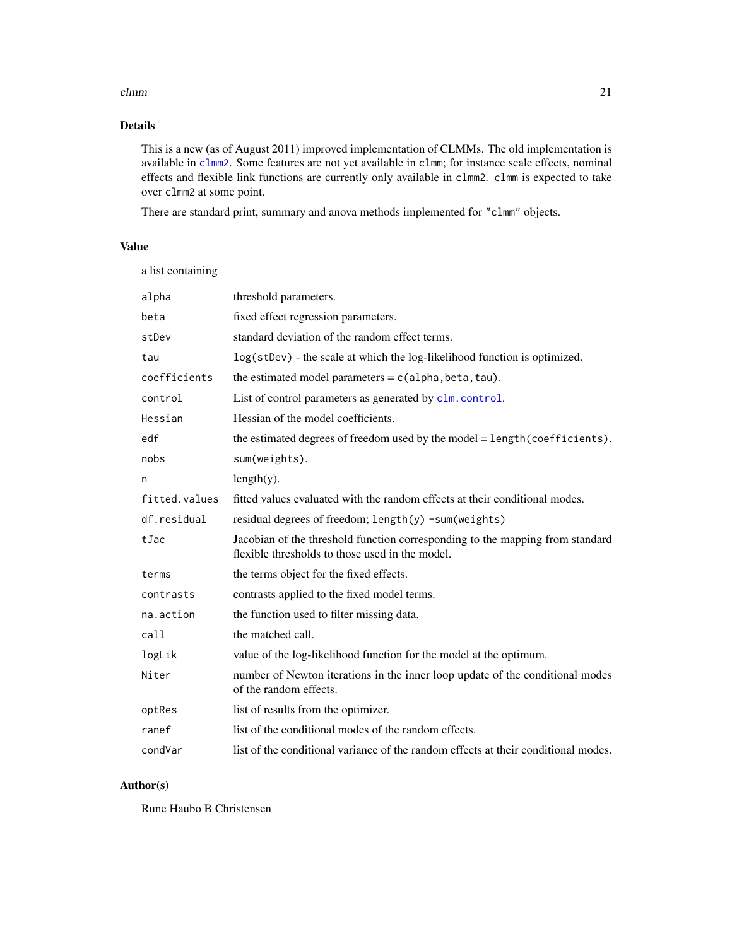#### <span id="page-20-0"></span> $clmm$  21

#### Details

This is a new (as of August 2011) improved implementation of CLMMs. The old implementation is available in [clmm2](#page-22-1). Some features are not yet available in clmm; for instance scale effects, nominal effects and flexible link functions are currently only available in clmm2. clmm is expected to take over clmm2 at some point.

There are standard print, summary and anova methods implemented for "clmm" objects.

#### Value

a list containing

| alpha         | threshold parameters.                                                                                                            |  |
|---------------|----------------------------------------------------------------------------------------------------------------------------------|--|
| beta          | fixed effect regression parameters.                                                                                              |  |
| stDev         | standard deviation of the random effect terms.                                                                                   |  |
| tau           | log(stDev) - the scale at which the log-likelihood function is optimized.                                                        |  |
| coefficients  | the estimated model parameters = $c$ (alpha, beta, tau).                                                                         |  |
| control       | List of control parameters as generated by clm. control.                                                                         |  |
| Hessian       | Hessian of the model coefficients.                                                                                               |  |
| edf           | the estimated degrees of freedom used by the model = length(coefficients).                                                       |  |
| nobs          | sum(weights).                                                                                                                    |  |
| n             | $length(y)$ .                                                                                                                    |  |
| fitted.values | fitted values evaluated with the random effects at their conditional modes.                                                      |  |
| df.residual   | residual degrees of freedom; length(y) -sum(weights)                                                                             |  |
| tJac          | Jacobian of the threshold function corresponding to the mapping from standard<br>flexible thresholds to those used in the model. |  |
| terms         | the terms object for the fixed effects.                                                                                          |  |
| contrasts     | contrasts applied to the fixed model terms.                                                                                      |  |
| na.action     | the function used to filter missing data.                                                                                        |  |
| call          | the matched call.                                                                                                                |  |
| logLik        | value of the log-likelihood function for the model at the optimum.                                                               |  |
| Niter         | number of Newton iterations in the inner loop update of the conditional modes<br>of the random effects.                          |  |
| optRes        | list of results from the optimizer.                                                                                              |  |
| ranef         | list of the conditional modes of the random effects.                                                                             |  |
| condVar       | list of the conditional variance of the random effects at their conditional modes.                                               |  |

#### Author(s)

Rune Haubo B Christensen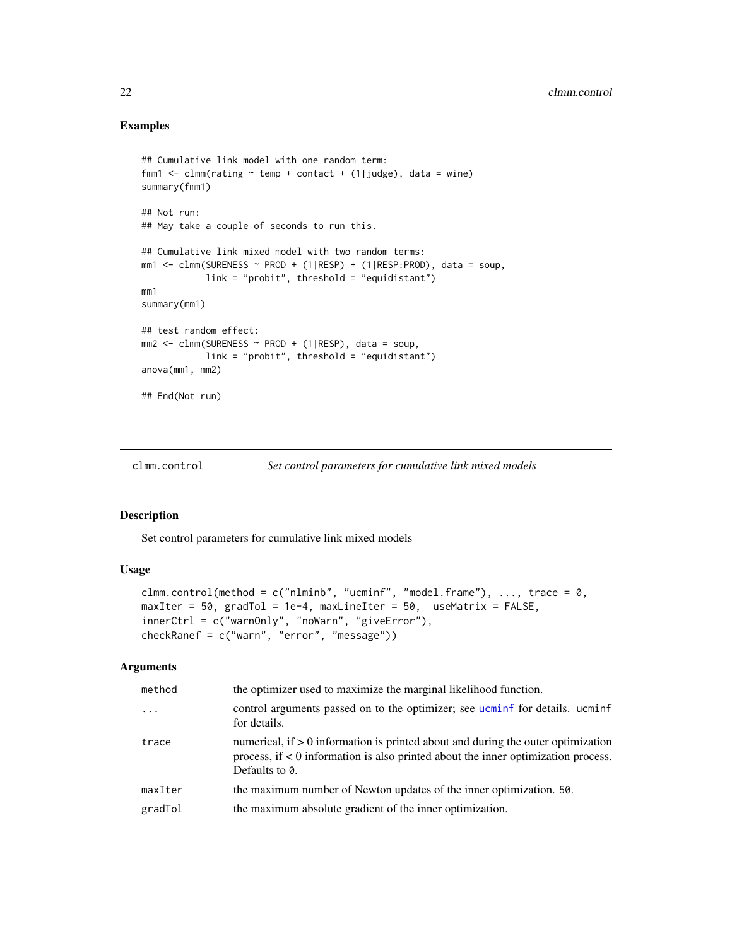#### Examples

```
## Cumulative link model with one random term:
fmm1 \leq clmm(rating \sim temp + contact + (1|judge), data = wine)
summary(fmm1)
## Not run:
## May take a couple of seconds to run this.
## Cumulative link mixed model with two random terms:
mm1 <- clmm(SURENESS ~ PROD + (1|RESP) + (1|RESP:PROD), data = soup,
            link = "probit", threshold = "equidistant")
mm1
summary(mm1)
## test random effect:
mm2 \le - clmm(SURENESS \sim PROD + (1|RESP), data = soup,
            link = "probit", threshold = "equidistant")
anova(mm1, mm2)
## End(Not run)
```
<span id="page-21-1"></span>clmm.control *Set control parameters for cumulative link mixed models*

#### Description

Set control parameters for cumulative link mixed models

#### Usage

```
clmm.control(method = c("nlminb", "ucminf", "model.frame"), ..., trace = 0,
maxIter = 50, gradTol = 1e-4, maxLinear = 50, useMatrix = FALSE,
innerCtrl = c("warnOnly", "noWarn", "giveError"),
checkRanef = c("warn", "error", "message"))
```
#### Arguments

| method   | the optimizer used to maximize the marginal likelihood function.                                                                                                                            |  |
|----------|---------------------------------------------------------------------------------------------------------------------------------------------------------------------------------------------|--|
| $\ddots$ | control arguments passed on to the optimizer; see ucminf for details. ucminf<br>for details.                                                                                                |  |
| trace    | numerical, if $> 0$ information is printed about and during the outer optimization<br>process, if $< 0$ information is also printed about the inner optimization process.<br>Defaults to 0. |  |
| maxIter  | the maximum number of Newton updates of the inner optimization. 50.                                                                                                                         |  |
| gradTol  | the maximum absolute gradient of the inner optimization.                                                                                                                                    |  |

<span id="page-21-0"></span>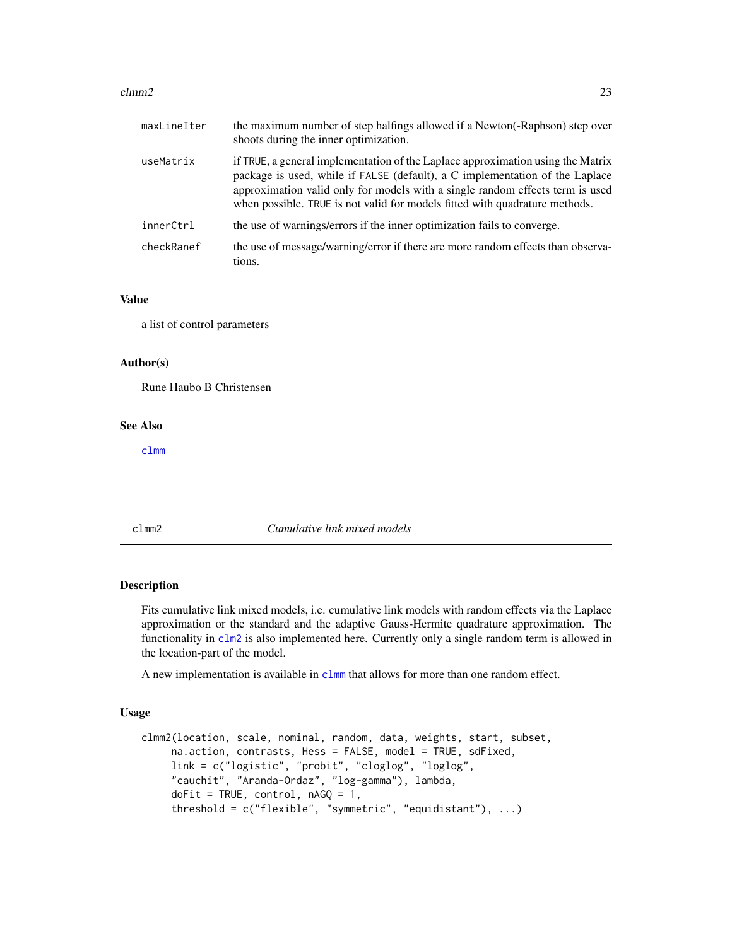#### <span id="page-22-0"></span> $clmm2$  23

| maxLineIter | the maximum number of step halfings allowed if a Newton(-Raphson) step over<br>shoots during the inner optimization.                                                                                                                                                                                                            |
|-------------|---------------------------------------------------------------------------------------------------------------------------------------------------------------------------------------------------------------------------------------------------------------------------------------------------------------------------------|
| useMatrix   | if TRUE, a general implementation of the Laplace approximation using the Matrix<br>package is used, while if FALSE (default), a C implementation of the Laplace<br>approximation valid only for models with a single random effects term is used<br>when possible. TRUE is not valid for models fitted with quadrature methods. |
| innerCtrl   | the use of warnings/errors if the inner optimization fails to converge.                                                                                                                                                                                                                                                         |
| checkRanef  | the use of message/warning/error if there are more random effects than observa-<br>tions.                                                                                                                                                                                                                                       |

#### Value

a list of control parameters

#### Author(s)

Rune Haubo B Christensen

#### See Also

[clmm](#page-18-1)

<span id="page-22-1"></span>clmm2 *Cumulative link mixed models*

#### Description

Fits cumulative link mixed models, i.e. cumulative link models with random effects via the Laplace approximation or the standard and the adaptive Gauss-Hermite quadrature approximation. The functionality in [clm2](#page-12-1) is also implemented here. Currently only a single random term is allowed in the location-part of the model.

A new implementation is available in [clmm](#page-18-1) that allows for more than one random effect.

#### Usage

```
clmm2(location, scale, nominal, random, data, weights, start, subset,
     na.action, contrasts, Hess = FALSE, model = TRUE, sdFixed,
     link = c("logistic", "probit", "cloglog", "loglog",
     "cauchit", "Aranda-Ordaz", "log-gamma"), lambda,
     dofit = TRUE, control, nAGQ = 1,threshold = c("flexible", "symmetric", "equidistant"), ...)
```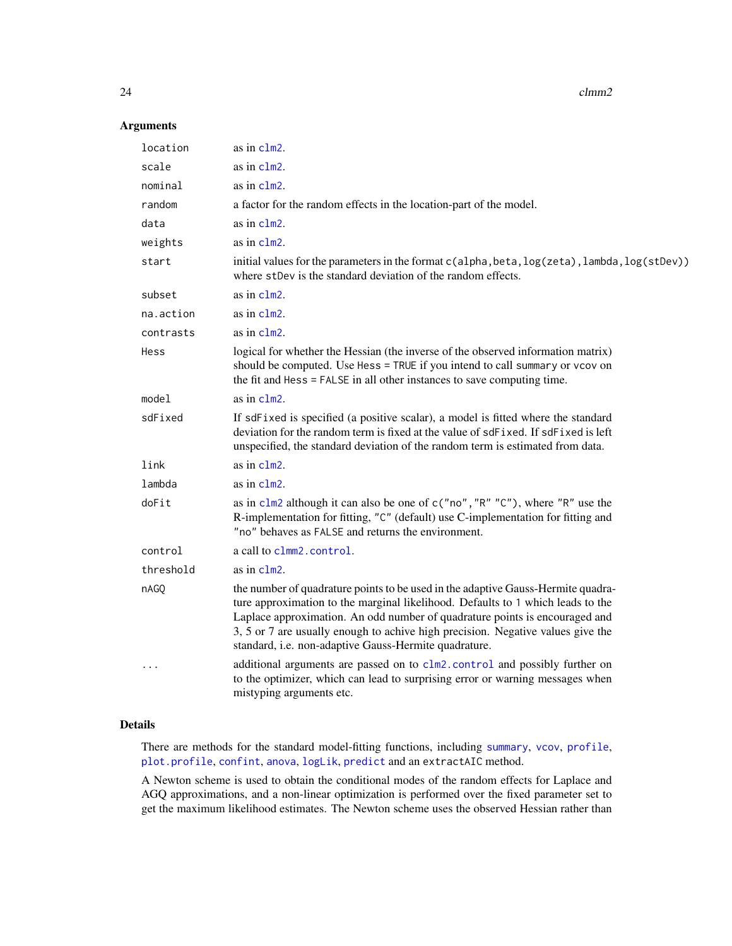24 clmm2

#### Arguments

| location  | as in clm2.                                                                                                                                                                                                                                                                                                                                                                                    |  |
|-----------|------------------------------------------------------------------------------------------------------------------------------------------------------------------------------------------------------------------------------------------------------------------------------------------------------------------------------------------------------------------------------------------------|--|
| scale     | as in clm2.                                                                                                                                                                                                                                                                                                                                                                                    |  |
| nominal   | as in $clm2$ .                                                                                                                                                                                                                                                                                                                                                                                 |  |
| random    | a factor for the random effects in the location-part of the model.                                                                                                                                                                                                                                                                                                                             |  |
| data      | as in clm2.                                                                                                                                                                                                                                                                                                                                                                                    |  |
| weights   | as in clm2.                                                                                                                                                                                                                                                                                                                                                                                    |  |
| start     | initial values for the parameters in the format c(alpha, beta, log(zeta), lambda, log(stDev))<br>where stDev is the standard deviation of the random effects.                                                                                                                                                                                                                                  |  |
| subset    | as in clm2.                                                                                                                                                                                                                                                                                                                                                                                    |  |
| na.action | as in clm2.                                                                                                                                                                                                                                                                                                                                                                                    |  |
| contrasts | as in clm2.                                                                                                                                                                                                                                                                                                                                                                                    |  |
| Hess      | logical for whether the Hessian (the inverse of the observed information matrix)<br>should be computed. Use Hess = TRUE if you intend to call summary or vcov on<br>the fit and Hess = FALSE in all other instances to save computing time.                                                                                                                                                    |  |
| model     | as in clm2.                                                                                                                                                                                                                                                                                                                                                                                    |  |
| sdFixed   | If sdFixed is specified (a positive scalar), a model is fitted where the standard<br>deviation for the random term is fixed at the value of sdFixed. If sdFixed is left<br>unspecified, the standard deviation of the random term is estimated from data.                                                                                                                                      |  |
| link      | as in clm2.                                                                                                                                                                                                                                                                                                                                                                                    |  |
| lambda    | as in clm2.                                                                                                                                                                                                                                                                                                                                                                                    |  |
| doFit     | as in $c1m2$ although it can also be one of $c("no", "R" "C")$ , where "R" use the<br>R-implementation for fitting, "C" (default) use C-implementation for fitting and<br>"no" behaves as FALSE and returns the environment.                                                                                                                                                                   |  |
| control   | a call to clmm2. control.                                                                                                                                                                                                                                                                                                                                                                      |  |
| threshold | as in $clm2$ .                                                                                                                                                                                                                                                                                                                                                                                 |  |
| nAGQ      | the number of quadrature points to be used in the adaptive Gauss-Hermite quadra-<br>ture approximation to the marginal likelihood. Defaults to 1 which leads to the<br>Laplace approximation. An odd number of quadrature points is encouraged and<br>3, 5 or 7 are usually enough to achive high precision. Negative values give the<br>standard, i.e. non-adaptive Gauss-Hermite quadrature. |  |
| $\ddotsc$ | additional arguments are passed on to clm2. control and possibly further on<br>to the optimizer, which can lead to surprising error or warning messages when<br>mistyping arguments etc.                                                                                                                                                                                                       |  |

#### Details

There are methods for the standard model-fitting functions, including [summary](#page-0-0), [vcov](#page-0-0), [profile](#page-42-1), [plot.profile](#page-42-1), [confint](#page-42-2), [anova](#page-0-0), [logLik](#page-0-0), [predict](#page-0-0) and an extractAIC method.

A Newton scheme is used to obtain the conditional modes of the random effects for Laplace and AGQ approximations, and a non-linear optimization is performed over the fixed parameter set to get the maximum likelihood estimates. The Newton scheme uses the observed Hessian rather than

<span id="page-23-0"></span>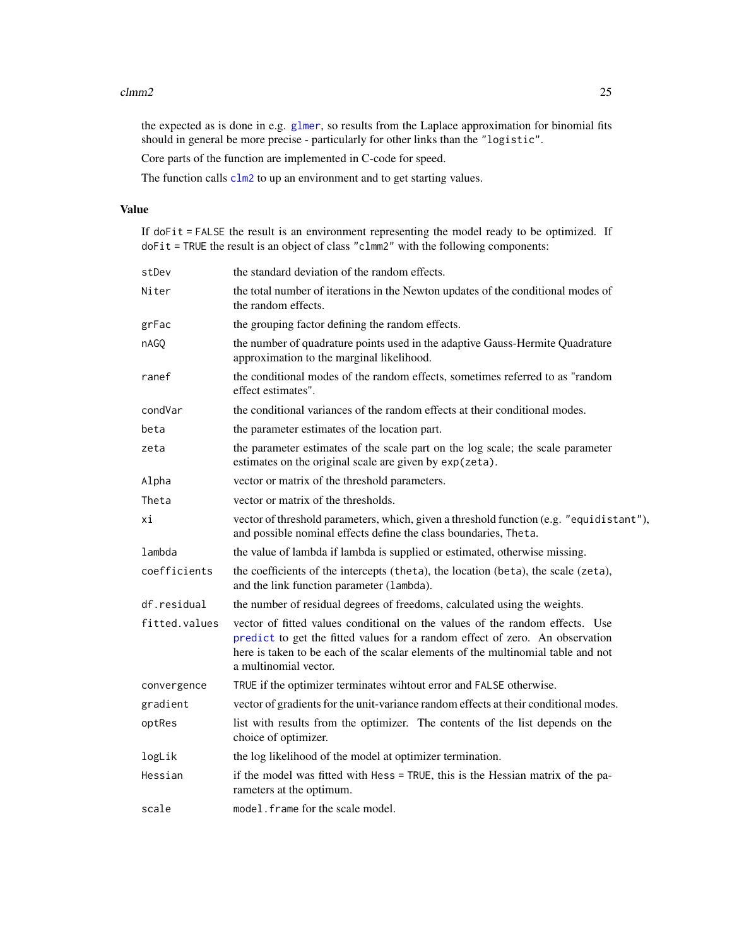#### <span id="page-24-0"></span> $clmm2$  25

the expected as is done in e.g. [glmer](#page-0-0), so results from the Laplace approximation for binomial fits should in general be more precise - particularly for other links than the "logistic".

Core parts of the function are implemented in C-code for speed.

The function calls  $c1m2$  to up an environment and to get starting values.

#### Value

If doFit = FALSE the result is an environment representing the model ready to be optimized. If doFit = TRUE the result is an object of class "clmm2" with the following components:

| stDev         | the standard deviation of the random effects.                                                                                                                                                                                                                             |  |
|---------------|---------------------------------------------------------------------------------------------------------------------------------------------------------------------------------------------------------------------------------------------------------------------------|--|
| Niter         | the total number of iterations in the Newton updates of the conditional modes of<br>the random effects.                                                                                                                                                                   |  |
| grFac         | the grouping factor defining the random effects.                                                                                                                                                                                                                          |  |
| nAGO          | the number of quadrature points used in the adaptive Gauss-Hermite Quadrature<br>approximation to the marginal likelihood.                                                                                                                                                |  |
| ranef         | the conditional modes of the random effects, sometimes referred to as "random<br>effect estimates".                                                                                                                                                                       |  |
| condVar       | the conditional variances of the random effects at their conditional modes.                                                                                                                                                                                               |  |
| beta          | the parameter estimates of the location part.                                                                                                                                                                                                                             |  |
| zeta          | the parameter estimates of the scale part on the log scale; the scale parameter<br>estimates on the original scale are given by exp(zeta).                                                                                                                                |  |
| Alpha         | vector or matrix of the threshold parameters.                                                                                                                                                                                                                             |  |
| Theta         | vector or matrix of the thresholds.                                                                                                                                                                                                                                       |  |
| хi            | vector of threshold parameters, which, given a threshold function (e.g. "equidistant"),<br>and possible nominal effects define the class boundaries, Theta.                                                                                                               |  |
| lambda        | the value of lambda if lambda is supplied or estimated, otherwise missing.                                                                                                                                                                                                |  |
| coefficients  | the coefficients of the intercepts (theta), the location (beta), the scale (zeta),<br>and the link function parameter (lambda).                                                                                                                                           |  |
| df.residual   | the number of residual degrees of freedoms, calculated using the weights.                                                                                                                                                                                                 |  |
| fitted.values | vector of fitted values conditional on the values of the random effects. Use<br>predict to get the fitted values for a random effect of zero. An observation<br>here is taken to be each of the scalar elements of the multinomial table and not<br>a multinomial vector. |  |
| convergence   | TRUE if the optimizer terminates wihtout error and FALSE otherwise.                                                                                                                                                                                                       |  |
| gradient      | vector of gradients for the unit-variance random effects at their conditional modes.                                                                                                                                                                                      |  |
| optRes        | list with results from the optimizer. The contents of the list depends on the<br>choice of optimizer.                                                                                                                                                                     |  |
| logLik        | the log likelihood of the model at optimizer termination.                                                                                                                                                                                                                 |  |
| Hessian       | if the model was fitted with Hess = TRUE, this is the Hessian matrix of the pa-<br>rameters at the optimum.                                                                                                                                                               |  |
| scale         | model. frame for the scale model.                                                                                                                                                                                                                                         |  |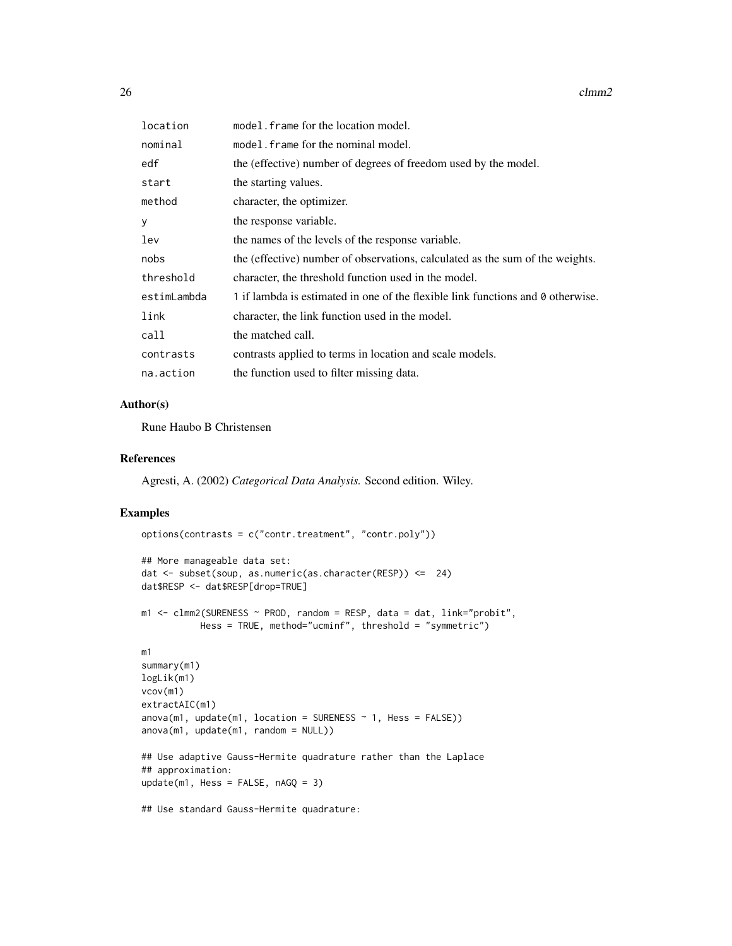$26$  clmm2

| location    | model. frame for the location model.                                            |  |
|-------------|---------------------------------------------------------------------------------|--|
| nominal     | model. frame for the nominal model.                                             |  |
| edf         | the (effective) number of degrees of freedom used by the model.                 |  |
| start       | the starting values.                                                            |  |
| method      | character, the optimizer.                                                       |  |
| У           | the response variable.                                                          |  |
| lev         | the names of the levels of the response variable.                               |  |
| nobs        | the (effective) number of observations, calculated as the sum of the weights.   |  |
| threshold   | character, the threshold function used in the model.                            |  |
| estimLambda | 1 if lambda is estimated in one of the flexible link functions and 0 otherwise. |  |
| link        | character, the link function used in the model.                                 |  |
| call        | the matched call.                                                               |  |
| contrasts   | contrasts applied to terms in location and scale models.                        |  |
| na.action   | the function used to filter missing data.                                       |  |

#### Author(s)

Rune Haubo B Christensen

#### References

Agresti, A. (2002) *Categorical Data Analysis.* Second edition. Wiley.

#### Examples

```
options(contrasts = c("contr.treatment", "contr.poly"))
## More manageable data set:
dat <- subset(soup, as.numeric(as.character(RESP)) <= 24)
dat$RESP <- dat$RESP[drop=TRUE]
m1 <- clmm2(SURENESS ~ PROD, random = RESP, data = dat, link="probit",
          Hess = TRUE, method="ucminf", threshold = "symmetric")
m1
summary(m1)
logLik(m1)
vcov(m1)
extractAIC(m1)
anova(m1, update(m1, location = SURENESS ~ 1, Hess = FALSE))anova(m1, update(m1, random = NULL))## Use adaptive Gauss-Hermite quadrature rather than the Laplace
## approximation:
update(m1, Hess = FALSE, nAGQ = 3)
```
## Use standard Gauss-Hermite quadrature: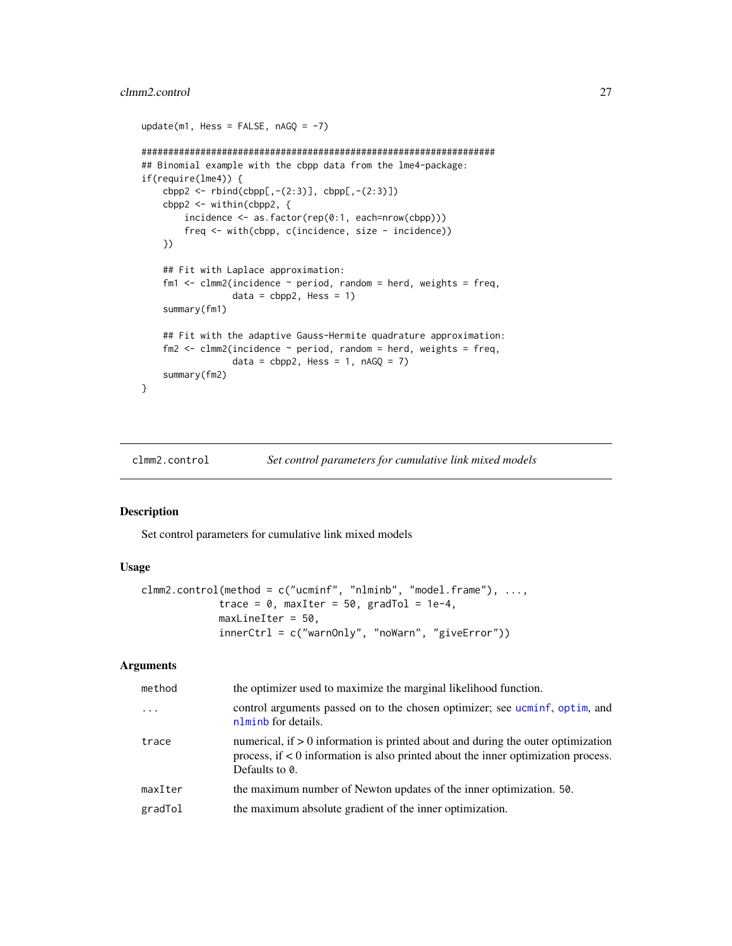#### <span id="page-26-0"></span>clmm2.control 27

```
update(m1, Hess = FALSE, nAGQ = -7)
##################################################################
## Binomial example with the cbpp data from the lme4-package:
if(require(lme4)) {
   cbpp2 < -rbind(cbpp[, -(2:3)], cbpp[, -(2:3)]cbpp2 <- within(cbpp2, {
        incidence <- as.factor(rep(0:1, each=nrow(cbpp)))
        freq <- with(cbpp, c(incidence, size - incidence))
   })
    ## Fit with Laplace approximation:
    fm1 \le - clmm2(incidence \sim period, random = herd, weights = freq,
                 data = cbpp2, Hess = 1summary(fm1)
    ## Fit with the adaptive Gauss-Hermite quadrature approximation:
    fm2 \le - clmm2(incidence \sim period, random = herd, weights = freq,
                 data = cbpp2, Hess = 1, nAGQ = 7)
    summary(fm2)
}
```
<span id="page-26-1"></span>clmm2.control *Set control parameters for cumulative link mixed models*

#### Description

Set control parameters for cumulative link mixed models

#### Usage

```
clmm2.control(method = c("ucminf", "nlminb", "model.frame"), ...,
             trace = 0, maxIter = 50, gradTol = 1e-4,
             maxLineIter = 50,
             innerCtrl = c("warnOnly", "noWarn", "giveError"))
```
#### Arguments

| method   | the optimizer used to maximize the marginal likelihood function.                                                                                                                            |  |
|----------|---------------------------------------------------------------------------------------------------------------------------------------------------------------------------------------------|--|
| $\ddots$ | control arguments passed on to the chosen optimizer; see ucminf, optim, and<br>nlminb for details.                                                                                          |  |
| trace    | numerical, if $> 0$ information is printed about and during the outer optimization<br>process, if $< 0$ information is also printed about the inner optimization process.<br>Defaults to 0. |  |
| maxIter  | the maximum number of Newton updates of the inner optimization. 50.                                                                                                                         |  |
| gradTol  | the maximum absolute gradient of the inner optimization.                                                                                                                                    |  |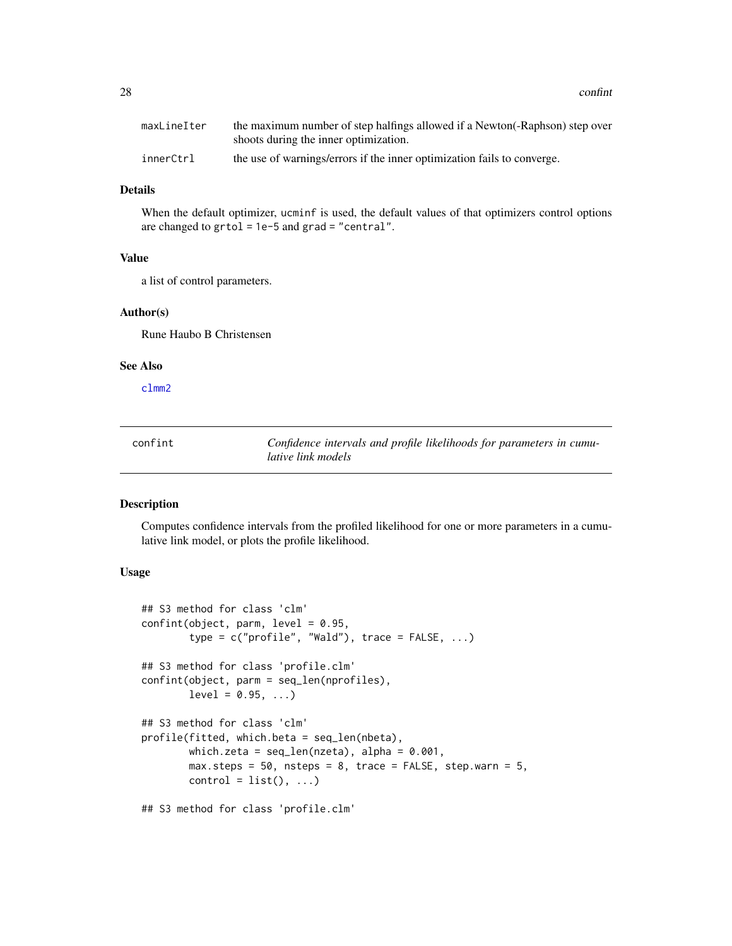<span id="page-27-0"></span>

| maxLineIter | the maximum number of step halfings allowed if a Newton-Raphson) step over |
|-------------|----------------------------------------------------------------------------|
|             | shoots during the inner optimization.                                      |
| innerCtrl   | the use of warnings/errors if the inner optimization fails to converge.    |

#### Details

When the default optimizer, ucminf is used, the default values of that optimizers control options are changed to  $grtol = 1e-5$  and  $grad = "central".$ 

#### Value

a list of control parameters.

#### Author(s)

Rune Haubo B Christensen

#### See Also

[clmm2](#page-22-1)

<span id="page-27-1"></span>

| confint | Confidence intervals and profile likelihoods for parameters in cumu- |
|---------|----------------------------------------------------------------------|
|         | lative link models                                                   |

#### Description

Computes confidence intervals from the profiled likelihood for one or more parameters in a cumulative link model, or plots the profile likelihood.

#### Usage

```
## S3 method for class 'clm'
confint(object, parm, level = 0.95,type = c("profile", "Wald"), trace = FALSE, ...)## S3 method for class 'profile.clm'
confint(object, parm = seq_len(nprofiles),
       level = 0.95, ...## S3 method for class 'clm'
profile(fitted, which.beta = seq_len(nbeta),
       which.zeta = seq\_len(nzeta), alpha = 0.001,
       max. steps = 50, nsteps = 8, trace = FALSE, step. warm = 5,
       control = list(), ...)
```
## S3 method for class 'profile.clm'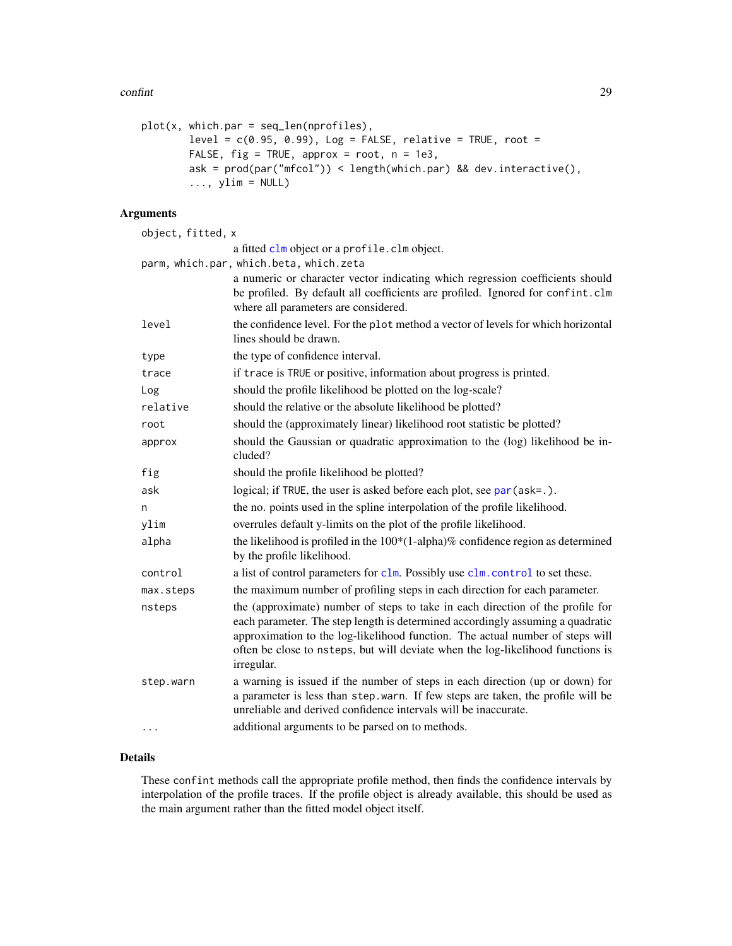#### <span id="page-28-0"></span>confint 29

```
plot(x, which par = seq_length(nprofiles),level = c(0.95, 0.99), Log = FALSE, relative = TRUE, root =FALSE, fig = TRUE, approx = root, n = 1e3,
        ask = prod(par("mfcol")) < length(which.par) && dev.interactive(),
        \ldots, ylim = NULL)
```
#### Arguments

| object, fitted, x |                                                                                                                                                                                                                                                                                                                                                    |
|-------------------|----------------------------------------------------------------------------------------------------------------------------------------------------------------------------------------------------------------------------------------------------------------------------------------------------------------------------------------------------|
|                   | a fitted clm object or a profile. clm object.                                                                                                                                                                                                                                                                                                      |
|                   | parm, which.par, which.beta, which.zeta                                                                                                                                                                                                                                                                                                            |
|                   | a numeric or character vector indicating which regression coefficients should<br>be profiled. By default all coefficients are profiled. Ignored for confint.clm<br>where all parameters are considered.                                                                                                                                            |
| level             | the confidence level. For the plot method a vector of levels for which horizontal<br>lines should be drawn.                                                                                                                                                                                                                                        |
| type              | the type of confidence interval.                                                                                                                                                                                                                                                                                                                   |
| trace             | if trace is TRUE or positive, information about progress is printed.                                                                                                                                                                                                                                                                               |
| Log               | should the profile likelihood be plotted on the log-scale?                                                                                                                                                                                                                                                                                         |
| relative          | should the relative or the absolute likelihood be plotted?                                                                                                                                                                                                                                                                                         |
| root              | should the (approximately linear) likelihood root statistic be plotted?                                                                                                                                                                                                                                                                            |
| approx            | should the Gaussian or quadratic approximation to the (log) likelihood be in-<br>cluded?                                                                                                                                                                                                                                                           |
| fig               | should the profile likelihood be plotted?                                                                                                                                                                                                                                                                                                          |
| ask               | logical; if TRUE, the user is asked before each plot, see par (ask=.).                                                                                                                                                                                                                                                                             |
| n                 | the no. points used in the spline interpolation of the profile likelihood.                                                                                                                                                                                                                                                                         |
| ylim              | overrules default y-limits on the plot of the profile likelihood.                                                                                                                                                                                                                                                                                  |
| alpha             | the likelihood is profiled in the $100*(1$ -alpha)% confidence region as determined<br>by the profile likelihood.                                                                                                                                                                                                                                  |
| control           | a list of control parameters for clm. Possibly use clm. control to set these.                                                                                                                                                                                                                                                                      |
| max.steps         | the maximum number of profiling steps in each direction for each parameter.                                                                                                                                                                                                                                                                        |
| nsteps            | the (approximate) number of steps to take in each direction of the profile for<br>each parameter. The step length is determined accordingly assuming a quadratic<br>approximation to the log-likelihood function. The actual number of steps will<br>often be close to nsteps, but will deviate when the log-likelihood functions is<br>irregular. |
| step.warn         | a warning is issued if the number of steps in each direction (up or down) for<br>a parameter is less than step.warn. If few steps are taken, the profile will be<br>unreliable and derived confidence intervals will be inaccurate.                                                                                                                |
| .                 | additional arguments to be parsed on to methods.                                                                                                                                                                                                                                                                                                   |

#### Details

These confint methods call the appropriate profile method, then finds the confidence intervals by interpolation of the profile traces. If the profile object is already available, this should be used as the main argument rather than the fitted model object itself.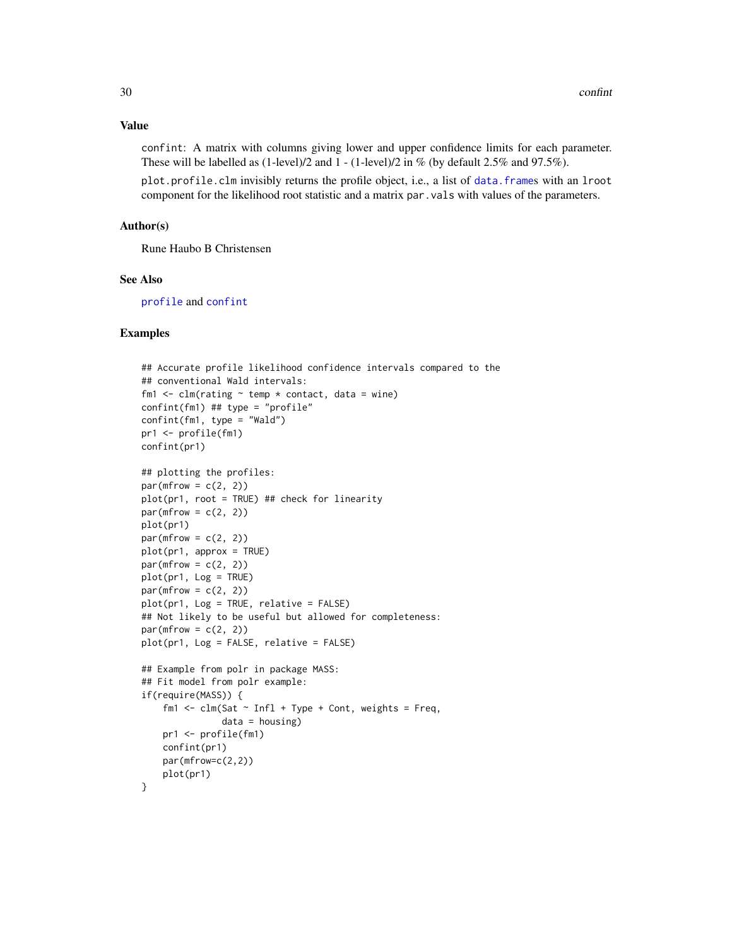#### <span id="page-29-0"></span>Value

confint: A matrix with columns giving lower and upper confidence limits for each parameter. These will be labelled as  $(1$ -level)/2 and  $1 - (1$ -level)/2 in % (by default 2.5% and 97.5%).

plot.profile.clm invisibly returns the profile object, i.e., a list of [data.frame](#page-0-0)s with an lroot component for the likelihood root statistic and a matrix par.vals with values of the parameters.

#### Author(s)

Rune Haubo B Christensen

#### See Also

[profile](#page-0-0) and [confint](#page-27-1)

#### Examples

```
## Accurate profile likelihood confidence intervals compared to the
## conventional Wald intervals:
fm1 \leftarrow clm(rating \sim temp \star contact, data = wine)
confint(fm1) ## type = "profile"
confint(fm1, type = "Wald")
pr1 <- profile(fm1)
confint(pr1)
## plotting the profiles:
par(mfrow = c(2, 2))plot(pr1, root = TRUE) ## check for linearity
par(mfrow = c(2, 2))plot(pr1)
par(mfrow = c(2, 2))plot(pr1, approx = TRUE)
par(mfrow = c(2, 2))plot(pr1, Log = TRUE)
par(mfrow = c(2, 2))plot(pr1, Log = TRUE, relative = FALSE)
## Not likely to be useful but allowed for completeness:
par(mfrow = c(2, 2))plot(pr1, Log = FALSE, relative = FALSE)
## Example from polr in package MASS:
## Fit model from polr example:
if(require(MASS)) {
    fm1 <- clm(Sat \sim Infl + Type + Cont, weights = Freq,data = housing)pr1 <- profile(fm1)
    confint(pr1)
   par(mfrow=c(2,2))
   plot(pr1)
}
```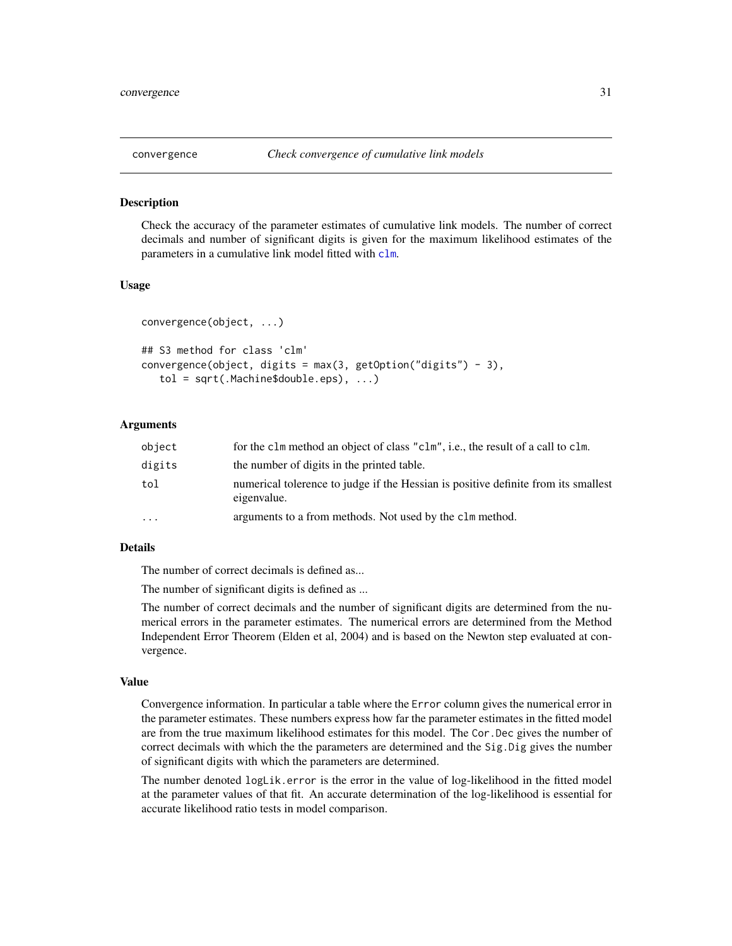<span id="page-30-0"></span>

#### Description

Check the accuracy of the parameter estimates of cumulative link models. The number of correct decimals and number of significant digits is given for the maximum likelihood estimates of the parameters in a cumulative link model fitted with [clm](#page-4-1).

#### Usage

```
convergence(object, ...)
## S3 method for class 'clm'
convergence(object, digits = max(3, getOption("digits") - 3),tol = sqrt(.Machine$double.eps), ...)
```
#### Arguments

| object   | for the clm method an object of class "clm", i.e., the result of a call to clm.                   |
|----------|---------------------------------------------------------------------------------------------------|
| digits   | the number of digits in the printed table.                                                        |
| tol      | numerical tolerance to judge if the Hessian is positive definite from its smallest<br>eigenvalue. |
| $\cdots$ | arguments to a from methods. Not used by the clm method.                                          |

#### Details

The number of correct decimals is defined as...

The number of significant digits is defined as ...

The number of correct decimals and the number of significant digits are determined from the numerical errors in the parameter estimates. The numerical errors are determined from the Method Independent Error Theorem (Elden et al, 2004) and is based on the Newton step evaluated at convergence.

#### Value

Convergence information. In particular a table where the Error column gives the numerical error in the parameter estimates. These numbers express how far the parameter estimates in the fitted model are from the true maximum likelihood estimates for this model. The Cor.Dec gives the number of correct decimals with which the the parameters are determined and the Sig.Dig gives the number of significant digits with which the parameters are determined.

The number denoted logLik.error is the error in the value of log-likelihood in the fitted model at the parameter values of that fit. An accurate determination of the log-likelihood is essential for accurate likelihood ratio tests in model comparison.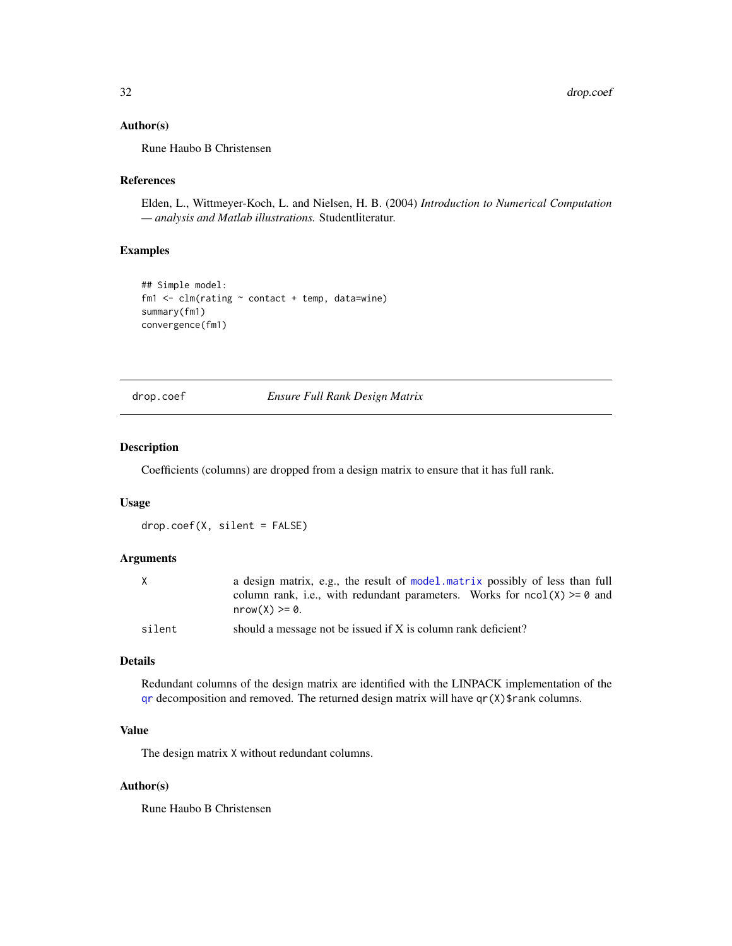#### <span id="page-31-0"></span>Author(s)

Rune Haubo B Christensen

#### References

Elden, L., Wittmeyer-Koch, L. and Nielsen, H. B. (2004) *Introduction to Numerical Computation — analysis and Matlab illustrations.* Studentliteratur.

#### Examples

```
## Simple model:
fm1 \leq \text{clm}(\text{rating} \sim \text{contact} + \text{temp}, \text{ data} = \text{wire})summary(fm1)
convergence(fm1)
```
drop.coef *Ensure Full Rank Design Matrix*

#### Description

Coefficients (columns) are dropped from a design matrix to ensure that it has full rank.

#### Usage

drop.coef(X, silent = FALSE)

#### Arguments

| X      | a design matrix, e.g., the result of model matrix possibly of less than full |
|--------|------------------------------------------------------------------------------|
|        | column rank, i.e., with redundant parameters. Works for $ncol(X) \ge 0$ and  |
|        | $nrow(X) \ge 0$ .                                                            |
| silent | should a message not be issued if X is column rank deficient?                |

#### Details

Redundant columns of the design matrix are identified with the LINPACK implementation of the  $qr$  decomposition and removed. The returned design matrix will have  $qr(X)$ \$rank columns.

#### Value

The design matrix X without redundant columns.

#### Author(s)

Rune Haubo B Christensen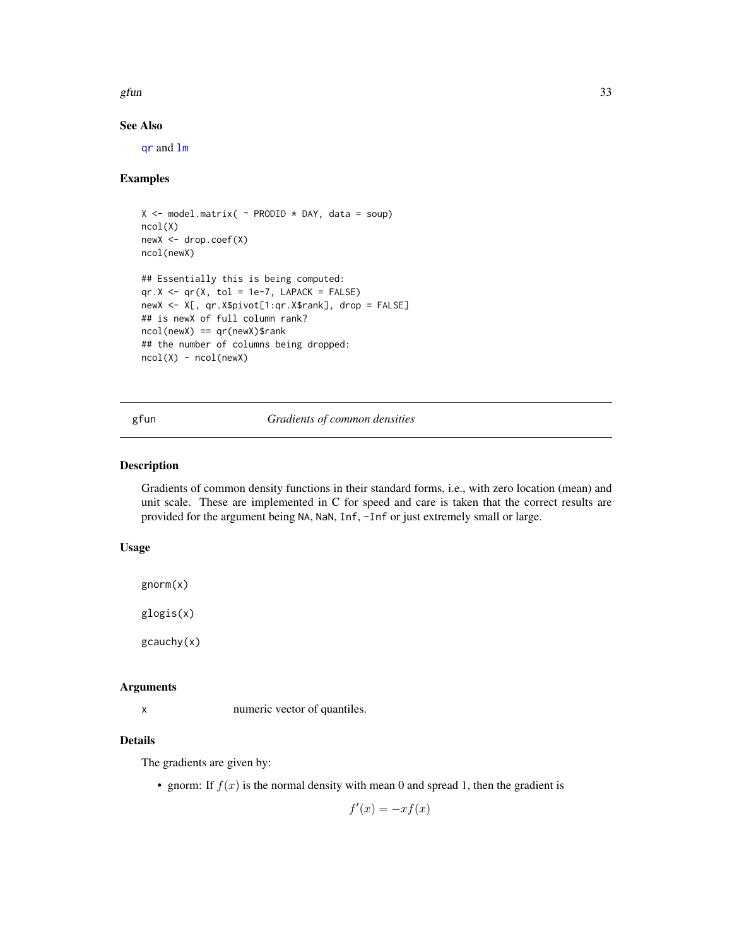<span id="page-32-0"></span>gfun  $33$ 

#### See Also

[qr](#page-0-0) and [lm](#page-0-0)

#### Examples

```
X \le - model.matrix( \sim PRODID \star DAY, data = soup)
ncol(X)
newX <- drop.coef(X)
ncol(newX)
## Essentially this is being computed:
qr.X \leftarrow qr(X, tol = 1e-7, LAPACK = FALSE)newX <- X[, qr.X$pivot[1:qr.X$rank], drop = FALSE]
## is newX of full column rank?
ncol(newX) == qr(newX)$rank
## the number of columns being dropped:
ncol(X) - ncol(newX)
```
#### gfun *Gradients of common densities*

#### <span id="page-32-1"></span>Description

Gradients of common density functions in their standard forms, i.e., with zero location (mean) and unit scale. These are implemented in C for speed and care is taken that the correct results are provided for the argument being NA, NaN, Inf, -Inf or just extremely small or large.

#### Usage

gnorm(x)

glogis(x)

gcauchy(x)

#### Arguments

x numeric vector of quantiles.

#### Details

The gradients are given by:

• gnorm: If  $f(x)$  is the normal density with mean 0 and spread 1, then the gradient is

 $f'(x) = -xf(x)$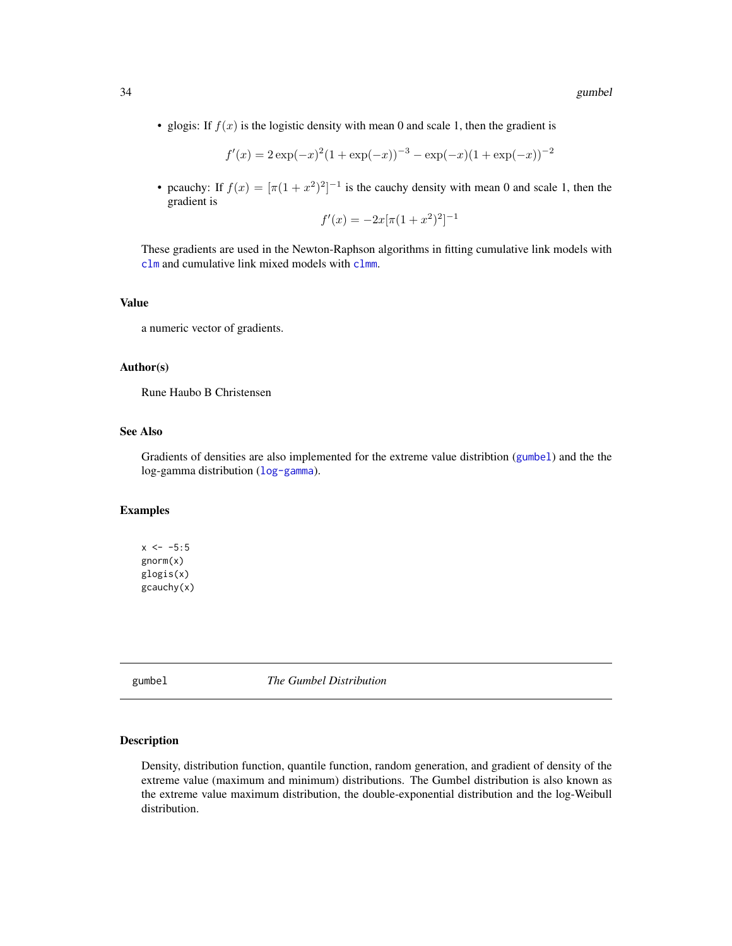<span id="page-33-0"></span>• glogis: If  $f(x)$  is the logistic density with mean 0 and scale 1, then the gradient is

$$
f'(x) = 2 \exp(-x)^{2} (1 + \exp(-x))^{-3} - \exp(-x)(1 + \exp(-x))^{-2}
$$

• pcauchy: If  $f(x) = [\pi(1 + x^2)^2]^{-1}$  is the cauchy density with mean 0 and scale 1, then the gradient is

$$
f'(x) = -2x[\pi(1+x^2)^2]^{-1}
$$

These gradients are used in the Newton-Raphson algorithms in fitting cumulative link models with [clm](#page-4-1) and cumulative link mixed models with [clmm](#page-18-1).

#### Value

a numeric vector of gradients.

#### Author(s)

Rune Haubo B Christensen

#### See Also

Gradients of densities are also implemented for the extreme value distribtion ([gumbel](#page-33-1)) and the the log-gamma distribution ([log-gamma](#page-37-1)).

#### Examples

 $x \le -5:5$ gnorm(x) glogis(x) gcauchy(x)

gumbel *The Gumbel Distribution*

#### <span id="page-33-1"></span>Description

Density, distribution function, quantile function, random generation, and gradient of density of the extreme value (maximum and minimum) distributions. The Gumbel distribution is also known as the extreme value maximum distribution, the double-exponential distribution and the log-Weibull distribution.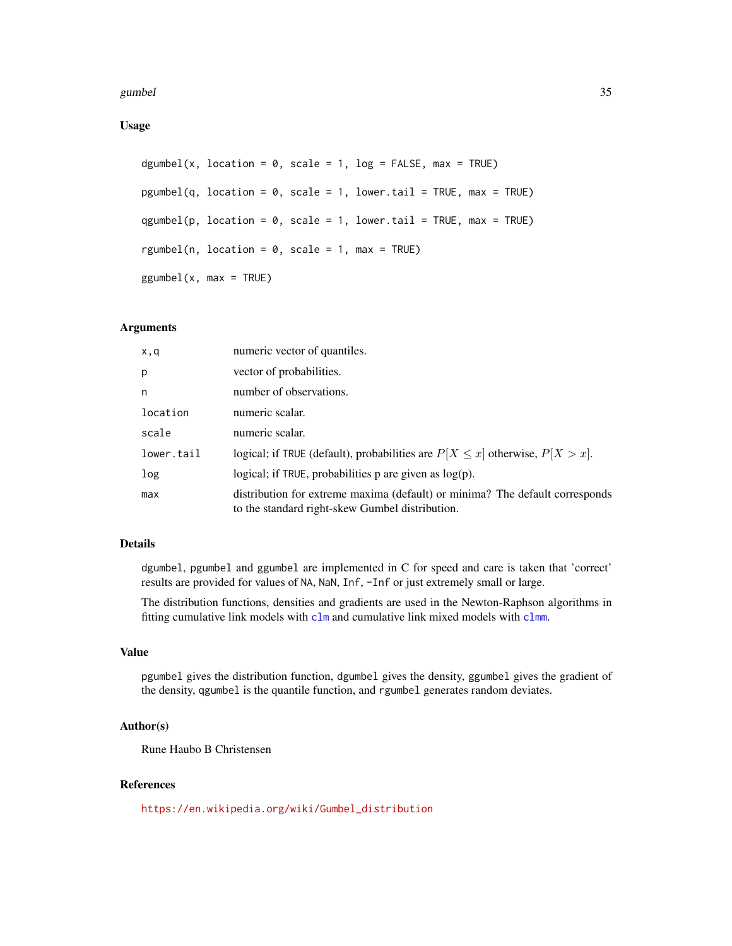#### <span id="page-34-0"></span>gumbel 35

Usage

```
dgumbel(x, location = 0, scale = 1, log = FALSE, max = TRUE)
pgumbel(q, location = 0, scale = 1, lower.tail = TRUE, max = TRUE)
qgumbel(p, location = 0, scale = 1, lower.tail = TRUE, max = TRUE)
rgumbel(n, location = 0, scale = 1, max = TRUE)
ggumbel(x, max = TRUE)
```
#### Arguments

| x,q        | numeric vector of quantiles.                                                                                                    |
|------------|---------------------------------------------------------------------------------------------------------------------------------|
| p          | vector of probabilities.                                                                                                        |
| n          | number of observations.                                                                                                         |
| location   | numeric scalar.                                                                                                                 |
| scale      | numeric scalar.                                                                                                                 |
| lower.tail | logical; if TRUE (default), probabilities are $P[X \le x]$ otherwise, $P[X > x]$ .                                              |
| log        | logical; if TRUE, probabilities $p$ are given as $log(p)$ .                                                                     |
| max        | distribution for extreme maxima (default) or minima? The default corresponds<br>to the standard right-skew Gumbel distribution. |

#### Details

dgumbel, pgumbel and ggumbel are implemented in C for speed and care is taken that 'correct' results are provided for values of NA, NaN, Inf, -Inf or just extremely small or large.

The distribution functions, densities and gradients are used in the Newton-Raphson algorithms in fitting cumulative link models with [clm](#page-4-1) and cumulative link mixed models with [clmm](#page-18-1).

#### Value

pgumbel gives the distribution function, dgumbel gives the density, ggumbel gives the gradient of the density, qgumbel is the quantile function, and rgumbel generates random deviates.

#### Author(s)

Rune Haubo B Christensen

#### References

[https://en.wikipedia.org/wiki/Gumbel\\_distribution](https://en.wikipedia.org/wiki/Gumbel_distribution)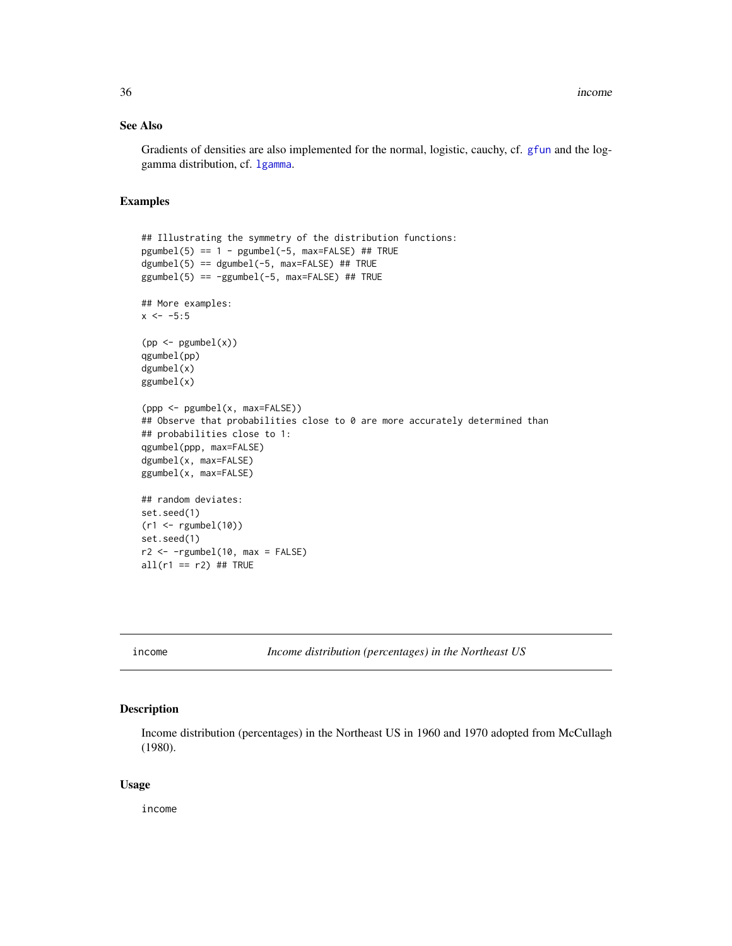#### <span id="page-35-0"></span>See Also

Gradients of densities are also implemented for the normal, logistic, cauchy, cf. [gfun](#page-32-1) and the loggamma distribution, cf. [lgamma](#page-37-1).

#### Examples

```
## Illustrating the symmetry of the distribution functions:
pgumbel(5) == 1 - pgumbel(-5, max=False) # THEdgumbel(5) == dgumbel(-5, max=False) # TRUEggumbel(5) == -ggumbel(-5, max=False) # TRUE## More examples:
x \le -5:5(pp \leftarrow pgumbel(x))qgumbel(pp)
dgumbel(x)
ggumbel(x)
(ppp <- pgumbel(x, max=FALSE))
## Observe that probabilities close to 0 are more accurately determined than
## probabilities close to 1:
qgumbel(ppp, max=FALSE)
dgumbel(x, max=FALSE)
ggumbel(x, max=FALSE)
## random deviates:
set.seed(1)
(r1 <- rgumbel(10))
set.seed(1)
r2 \leq -rgumbel(10, max = FALSE)all(r1 == r2) ## TRUE
```
income *Income distribution (percentages) in the Northeast US*

#### Description

Income distribution (percentages) in the Northeast US in 1960 and 1970 adopted from McCullagh (1980).

#### Usage

income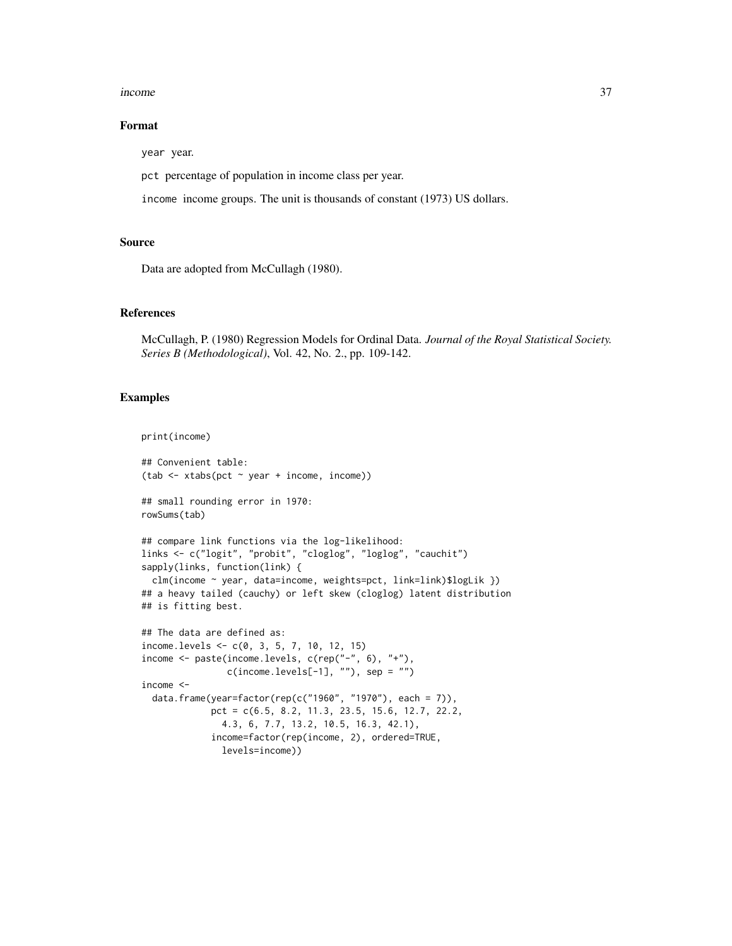#### income 37

#### Format

year year.

pct percentage of population in income class per year.

income income groups. The unit is thousands of constant (1973) US dollars.

#### Source

Data are adopted from McCullagh (1980).

#### References

McCullagh, P. (1980) Regression Models for Ordinal Data. *Journal of the Royal Statistical Society. Series B (Methodological)*, Vol. 42, No. 2., pp. 109-142.

#### Examples

```
print(income)
```

```
## Convenient table:
(tab <- xtabs(pct ~ year + income, income))
## small rounding error in 1970:
rowSums(tab)
## compare link functions via the log-likelihood:
links <- c("logit", "probit", "cloglog", "loglog", "cauchit")
sapply(links, function(link) {
  clm(income ~ year, data=income, weights=pct, link=link)$logLik })
## a heavy tailed (cauchy) or left skew (cloglog) latent distribution
## is fitting best.
## The data are defined as:
income.levels <- c(0, 3, 5, 7, 10, 12, 15)
income <- paste(income.levels, c(rep("-", 6), "+"),
                c(income.levels[-1], ""), sep = "")income <-
  data.frame(year=factor(rep(c("1960", "1970"), each = 7)),
             pct = c(6.5, 8.2, 11.3, 23.5, 15.6, 12.7, 22.2,
               4.3, 6, 7.7, 13.2, 10.5, 16.3, 42.1),
             income=factor(rep(income, 2), ordered=TRUE,
               levels=income))
```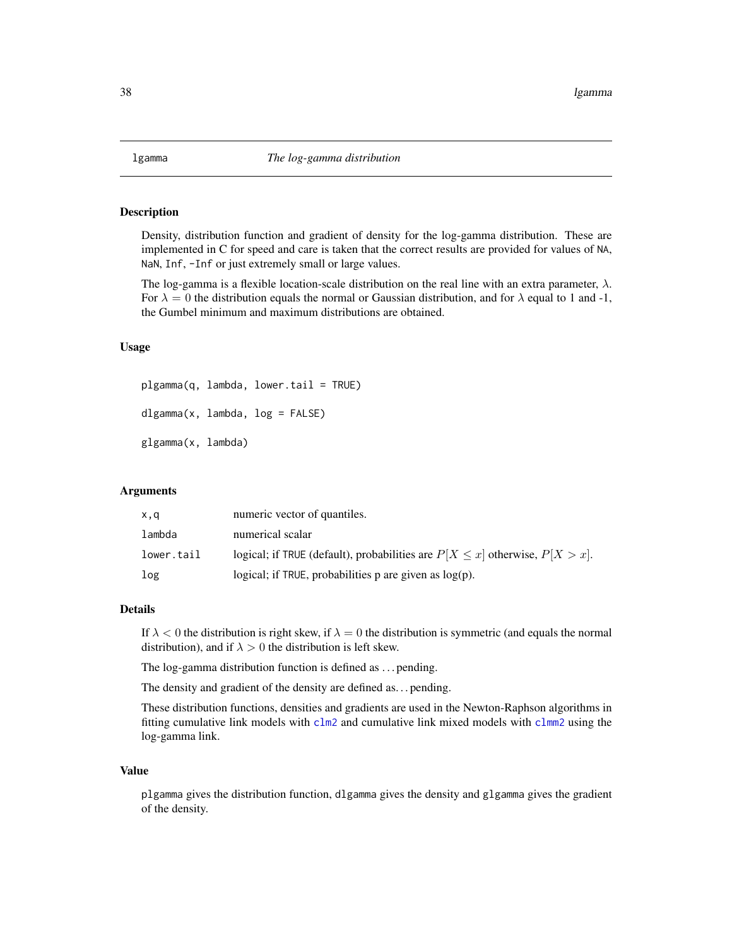#### <span id="page-37-1"></span><span id="page-37-0"></span>**Description**

Density, distribution function and gradient of density for the log-gamma distribution. These are implemented in C for speed and care is taken that the correct results are provided for values of NA, NaN, Inf, -Inf or just extremely small or large values.

The log-gamma is a flexible location-scale distribution on the real line with an extra parameter,  $\lambda$ . For  $\lambda = 0$  the distribution equals the normal or Gaussian distribution, and for  $\lambda$  equal to 1 and -1, the Gumbel minimum and maximum distributions are obtained.

#### Usage

plgamma(q, lambda, lower.tail = TRUE) dlgamma(x, lambda, log = FALSE)

glgamma(x, lambda)

#### Arguments

| x,q        | numeric vector of quantiles.                                                       |
|------------|------------------------------------------------------------------------------------|
| lambda     | numerical scalar                                                                   |
| lower.tail | logical; if TRUE (default), probabilities are $P[X \le x]$ otherwise, $P[X > x]$ . |
| log        | logical; if TRUE, probabilities $p$ are given as $log(p)$ .                        |

#### Details

If  $\lambda < 0$  the distribution is right skew, if  $\lambda = 0$  the distribution is symmetric (and equals the normal distribution), and if  $\lambda > 0$  the distribution is left skew.

The log-gamma distribution function is defined as . . . pending.

The density and gradient of the density are defined as. . . pending.

These distribution functions, densities and gradients are used in the Newton-Raphson algorithms in fitting cumulative link models with  $c \ln 2$  and cumulative link mixed models with  $c \ln 2$  using the log-gamma link.

#### Value

plgamma gives the distribution function, dlgamma gives the density and glgamma gives the gradient of the density.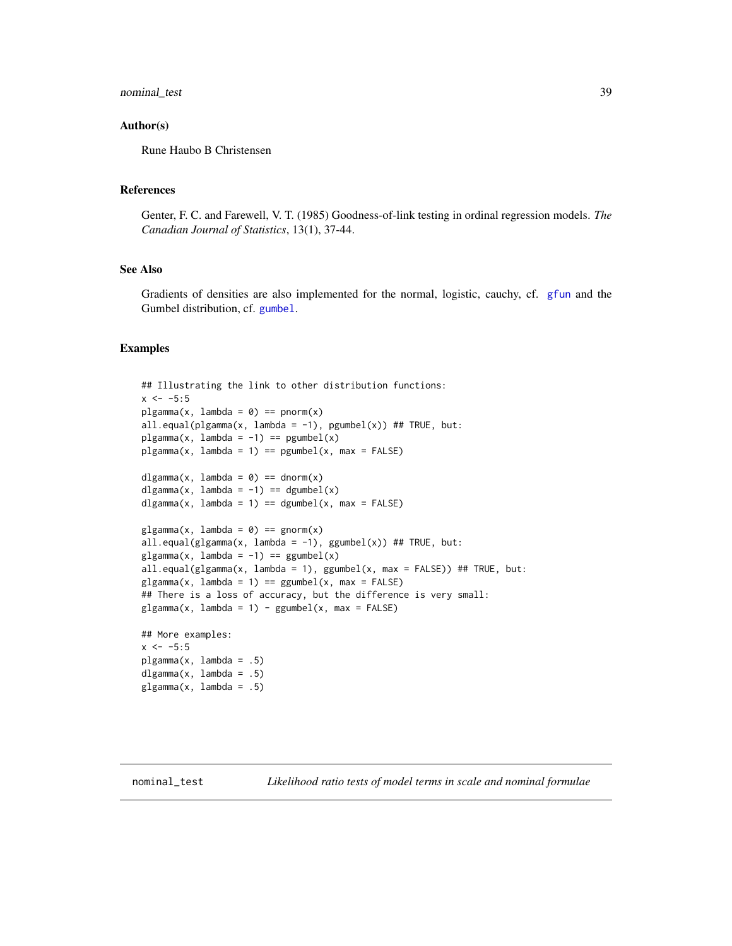#### <span id="page-38-0"></span>nominal\_test 39

#### Author(s)

Rune Haubo B Christensen

#### References

Genter, F. C. and Farewell, V. T. (1985) Goodness-of-link testing in ordinal regression models. *The Canadian Journal of Statistics*, 13(1), 37-44.

#### See Also

Gradients of densities are also implemented for the normal, logistic, cauchy, cf. [gfun](#page-32-1) and the Gumbel distribution, cf. [gumbel](#page-33-1).

#### Examples

```
## Illustrating the link to other distribution functions:
x < -5:5plgamma(x, lambda = 0) == pnorm(x)all.equal(plgamma(x, lambda = -1), pgumbel(x)) ## TRUE, but:
plgamma(x, lambda = -1) == pgumbel(x)plgamma(x, lambda = 1) == pgumbel(x, max = FALSE)dlgamma(x, lambda = 0) == dnorm(x)
dlgamma(x, lambda = -1) == dgumbel(x)
dlgamma(x, lambda = 1) == dgumbel(x, max = FALSE)
glqamma(x, lambda = 0) == qnorm(x)all.equal(glgamma(x, lambda = -1), ggumbel(x)) ## TRUE, but:
glgamma(x, lambda = -1) == ggumberl(x)all.equal(glgamma(x, lambda = 1), ggumbel(x, max = FALSE)) ## TRUE, but:
glgamma(x, lambda = 1) == ggumbel(x, max = FALSE)## There is a loss of accuracy, but the difference is very small:
glgamma(x, lambda = 1) - ggumbel(x, max = FALSE)## More examples:
```
 $x < -5:5$ plgamma(x, lambda = .5) dlgamma $(x, \text{lambda} = .5)$  $glgamma(x, lambda = .5)$ 

nominal\_test *Likelihood ratio tests of model terms in scale and nominal formulae*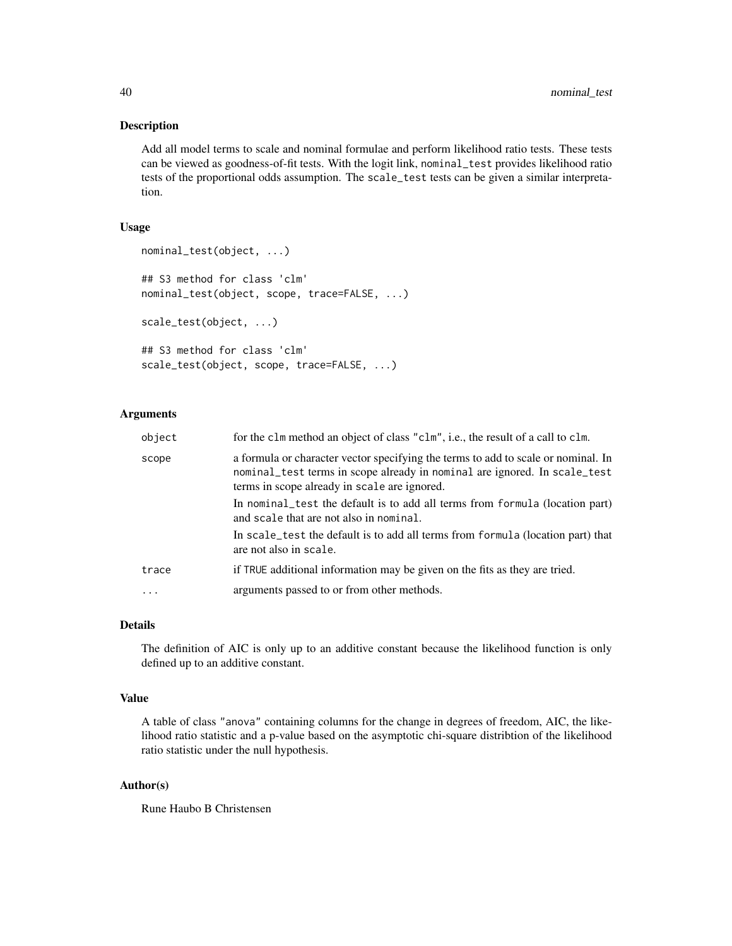#### Description

Add all model terms to scale and nominal formulae and perform likelihood ratio tests. These tests can be viewed as goodness-of-fit tests. With the logit link, nominal\_test provides likelihood ratio tests of the proportional odds assumption. The scale\_test tests can be given a similar interpretation.

#### Usage

```
nominal_test(object, ...)
## S3 method for class 'clm'
nominal_test(object, scope, trace=FALSE, ...)
scale_test(object, ...)
## S3 method for class 'clm'
scale_test(object, scope, trace=FALSE, ...)
```
#### Arguments

| object | for the clm method an object of class "clm", i.e., the result of a call to clm.                                                                                                                                |
|--------|----------------------------------------------------------------------------------------------------------------------------------------------------------------------------------------------------------------|
| scope  | a formula or character vector specifying the terms to add to scale or nominal. In<br>nominal_test terms in scope already in nominal are ignored. In scale_test<br>terms in scope already in scale are ignored. |
|        | In nominal test the default is to add all terms from formula (location part)<br>and scale that are not also in nominal.                                                                                        |
|        | In scale_test the default is to add all terms from formula (location part) that<br>are not also in scale.                                                                                                      |
| trace  | if TRUE additional information may be given on the fits as they are tried.                                                                                                                                     |
|        | arguments passed to or from other methods.                                                                                                                                                                     |

#### Details

The definition of AIC is only up to an additive constant because the likelihood function is only defined up to an additive constant.

#### Value

A table of class "anova" containing columns for the change in degrees of freedom, AIC, the likelihood ratio statistic and a p-value based on the asymptotic chi-square distribtion of the likelihood ratio statistic under the null hypothesis.

#### Author(s)

Rune Haubo B Christensen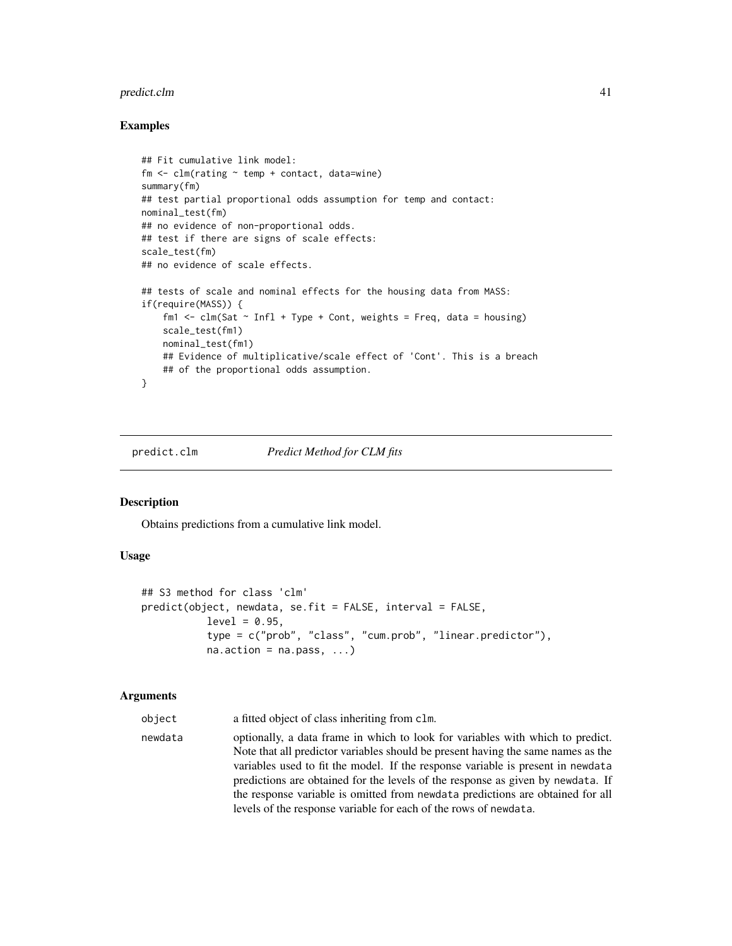#### <span id="page-40-0"></span>predict.clm  $\frac{41}{2}$

#### Examples

```
## Fit cumulative link model:
fm \leq \text{clm}(\text{rating} \sim \text{temp} + \text{contact}, \text{ data} = \text{wine})summary(fm)
## test partial proportional odds assumption for temp and contact:
nominal_test(fm)
## no evidence of non-proportional odds.
## test if there are signs of scale effects:
scale_test(fm)
## no evidence of scale effects.
## tests of scale and nominal effects for the housing data from MASS:
if(require(MASS)) {
    fm1 \le - clm(Sat \sim Infl + Type + Cont, weights = Freq, data = housing)
    scale_test(fm1)
    nominal_test(fm1)
    ## Evidence of multiplicative/scale effect of 'Cont'. This is a breach
    ## of the proportional odds assumption.
}
```
#### predict.clm *Predict Method for CLM fits*

#### Description

Obtains predictions from a cumulative link model.

#### Usage

```
## S3 method for class 'clm'
predict(object, newdata, se.fit = FALSE, interval = FALSE,
           level = 0.95,
           type = c("prob", "class", "cum.prob", "linear.predictor"),
           na. action = na. pass, ...
```
#### Arguments

object a fitted object of class inheriting from clm.

newdata optionally, a data frame in which to look for variables with which to predict. Note that all predictor variables should be present having the same names as the variables used to fit the model. If the response variable is present in newdata predictions are obtained for the levels of the response as given by newdata. If the response variable is omitted from newdata predictions are obtained for all levels of the response variable for each of the rows of newdata.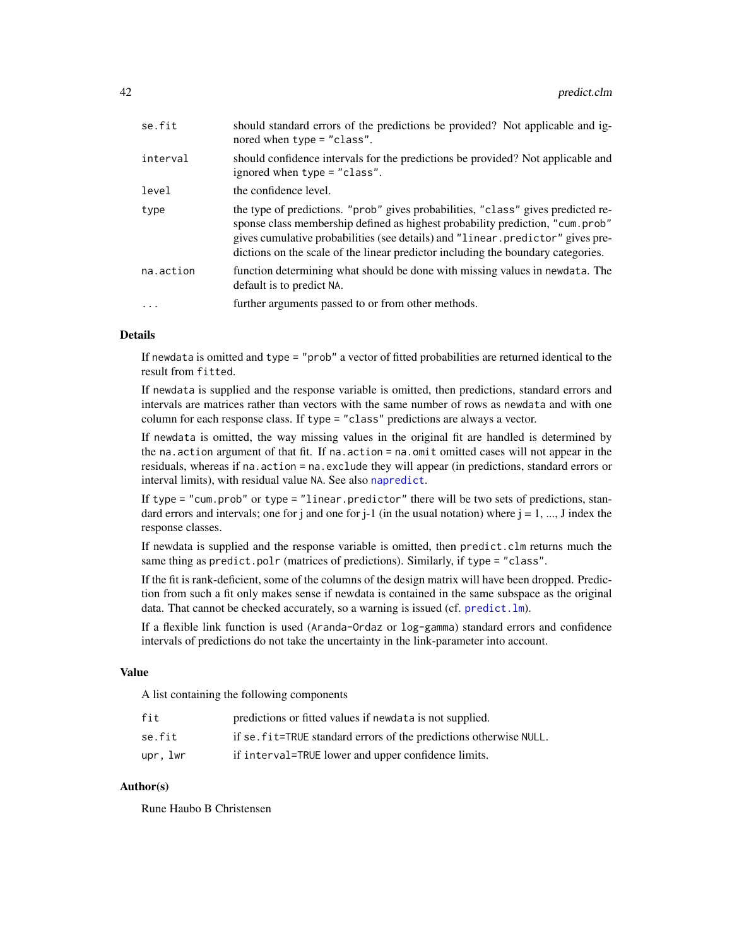<span id="page-41-0"></span>

| se.fit     | should standard errors of the predictions be provided? Not applicable and ig-<br>nored when $type = "class".$                                                                                                                                                                                                                           |
|------------|-----------------------------------------------------------------------------------------------------------------------------------------------------------------------------------------------------------------------------------------------------------------------------------------------------------------------------------------|
| interval   | should confidence intervals for the predictions be provided? Not applicable and<br>ignored when type = "class".                                                                                                                                                                                                                         |
| level      | the confidence level.                                                                                                                                                                                                                                                                                                                   |
| type       | the type of predictions. "prob" gives probabilities, "class" gives predicted re-<br>sponse class membership defined as highest probability prediction, "cum.prob"<br>gives cumulative probabilities (see details) and "linear predictor" gives pre-<br>dictions on the scale of the linear predictor including the boundary categories. |
| na.action  | function determining what should be done with missing values in newdata. The<br>default is to predict NA.                                                                                                                                                                                                                               |
| $\ddots$ . | further arguments passed to or from other methods.                                                                                                                                                                                                                                                                                      |
|            |                                                                                                                                                                                                                                                                                                                                         |

#### Details

If newdata is omitted and type = "prob" a vector of fitted probabilities are returned identical to the result from fitted.

If newdata is supplied and the response variable is omitted, then predictions, standard errors and intervals are matrices rather than vectors with the same number of rows as newdata and with one column for each response class. If type = "class" predictions are always a vector.

If newdata is omitted, the way missing values in the original fit are handled is determined by the na.action argument of that fit. If na.action = na.omit omitted cases will not appear in the residuals, whereas if na.action = na.exclude they will appear (in predictions, standard errors or interval limits), with residual value NA. See also [napredict](#page-0-0).

If type = "cum.prob" or type = "linear.predictor" there will be two sets of predictions, standard errors and intervals; one for j and one for j-1 (in the usual notation) where  $j = 1, ..., J$  index the response classes.

If newdata is supplied and the response variable is omitted, then predict.clm returns much the same thing as predict.polr (matrices of predictions). Similarly, if type = "class".

If the fit is rank-deficient, some of the columns of the design matrix will have been dropped. Prediction from such a fit only makes sense if newdata is contained in the same subspace as the original data. That cannot be checked accurately, so a warning is issued (cf. [predict.lm](#page-0-0)).

If a flexible link function is used (Aranda-Ordaz or log-gamma) standard errors and confidence intervals of predictions do not take the uncertainty in the link-parameter into account.

#### Value

A list containing the following components

| fit     | predictions or fitted values if newdata is not supplied.           |
|---------|--------------------------------------------------------------------|
| se.fit  | if se. fit=TRUE standard errors of the predictions otherwise NULL. |
| upr.lwr | if interval=TRUE lower and upper confidence limits.                |

#### Author(s)

Rune Haubo B Christensen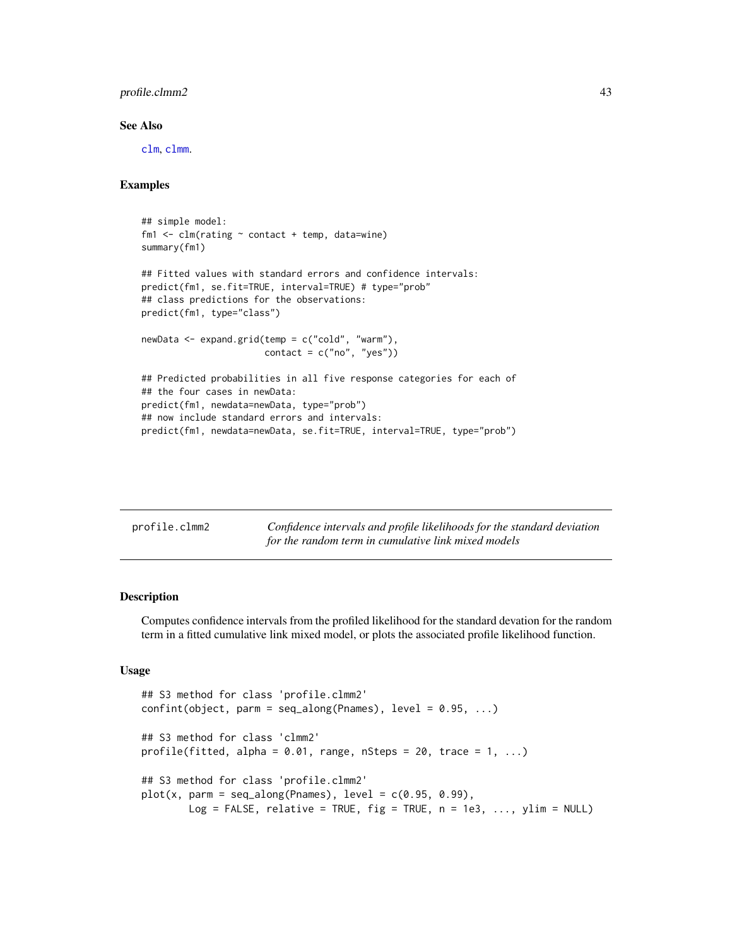#### <span id="page-42-0"></span>profile.clmm2 43

#### See Also

[clm](#page-4-1), [clmm](#page-18-1).

#### Examples

```
## simple model:
fm1 \leftarrow \text{clm}(\text{rating} \sim \text{contact} + \text{temp}, \text{ data} = \text{wire})summary(fm1)
## Fitted values with standard errors and confidence intervals:
predict(fm1, se.fit=TRUE, interval=TRUE) # type="prob"
## class predictions for the observations:
predict(fm1, type="class")
newData <- expand.grid(temp = c("cold", "warm"),
                         contact = c("no", "yes")## Predicted probabilities in all five response categories for each of
## the four cases in newData:
predict(fm1, newdata=newData, type="prob")
## now include standard errors and intervals:
predict(fm1, newdata=newData, se.fit=TRUE, interval=TRUE, type="prob")
```
<span id="page-42-1"></span>

| profile.clmm2 | Confidence intervals and profile likelihoods for the standard deviation |
|---------------|-------------------------------------------------------------------------|
|               | for the random term in cumulative link mixed models                     |

#### <span id="page-42-2"></span>Description

Computes confidence intervals from the profiled likelihood for the standard devation for the random term in a fitted cumulative link mixed model, or plots the associated profile likelihood function.

#### Usage

```
## S3 method for class 'profile.clmm2'
confint(object, parm = seq_along(Parameters), level = 0.95, ...)## S3 method for class 'clmm2'
profile(fitted, alpha = 0.01, range, nSteps = 20, trace = 1, ...)
## S3 method for class 'profile.clmm2'
plot(x, parm = seq_along(Parameters), level = c(0.95, 0.99),Log = FALSE, relative = TRUE, fig = TRUE, n = 1e3, ..., ylim = NULL)
```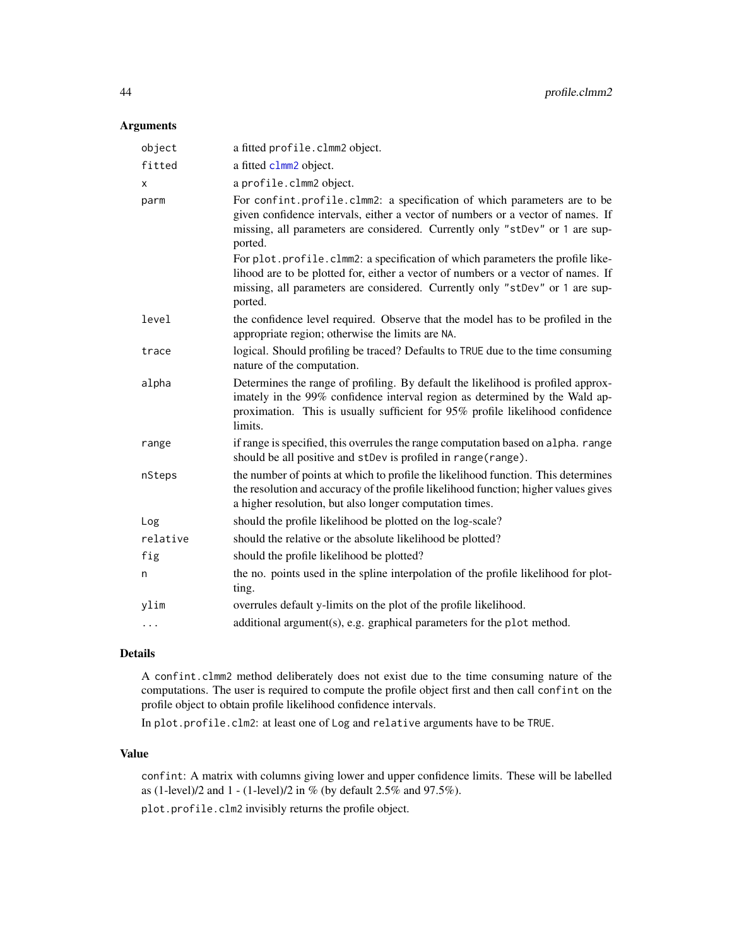#### <span id="page-43-0"></span>Arguments

| object   | a fitted profile.clmm2 object.                                                                                                                                                                                                                                |
|----------|---------------------------------------------------------------------------------------------------------------------------------------------------------------------------------------------------------------------------------------------------------------|
| fitted   | a fitted clmm2 object.                                                                                                                                                                                                                                        |
| x        | a profile.clmm2 object.                                                                                                                                                                                                                                       |
| parm     | For confint.profile.clmm2: a specification of which parameters are to be<br>given confidence intervals, either a vector of numbers or a vector of names. If<br>missing, all parameters are considered. Currently only "stDev" or 1 are sup-<br>ported.        |
|          | For plot.profile.clmm2: a specification of which parameters the profile like-<br>lihood are to be plotted for, either a vector of numbers or a vector of names. If<br>missing, all parameters are considered. Currently only "stDev" or 1 are sup-<br>ported. |
| level    | the confidence level required. Observe that the model has to be profiled in the<br>appropriate region; otherwise the limits are NA.                                                                                                                           |
| trace    | logical. Should profiling be traced? Defaults to TRUE due to the time consuming<br>nature of the computation.                                                                                                                                                 |
| alpha    | Determines the range of profiling. By default the likelihood is profiled approx-<br>imately in the 99% confidence interval region as determined by the Wald ap-<br>proximation. This is usually sufficient for 95% profile likelihood confidence<br>limits.   |
| range    | if range is specified, this overrules the range computation based on alpha. range<br>should be all positive and stDev is profiled in range(range).                                                                                                            |
| nSteps   | the number of points at which to profile the likelihood function. This determines<br>the resolution and accuracy of the profile likelihood function; higher values gives<br>a higher resolution, but also longer computation times.                           |
| Log      | should the profile likelihood be plotted on the log-scale?                                                                                                                                                                                                    |
| relative | should the relative or the absolute likelihood be plotted?                                                                                                                                                                                                    |
| fig      | should the profile likelihood be plotted?                                                                                                                                                                                                                     |
| n        | the no. points used in the spline interpolation of the profile likelihood for plot-<br>ting.                                                                                                                                                                  |
| ylim     | overrules default y-limits on the plot of the profile likelihood.                                                                                                                                                                                             |
| $\ddots$ | additional argument(s), e.g. graphical parameters for the plot method.                                                                                                                                                                                        |
|          |                                                                                                                                                                                                                                                               |

#### Details

A confint.clmm2 method deliberately does not exist due to the time consuming nature of the computations. The user is required to compute the profile object first and then call confint on the profile object to obtain profile likelihood confidence intervals.

In plot.profile.clm2: at least one of Log and relative arguments have to be TRUE.

#### Value

confint: A matrix with columns giving lower and upper confidence limits. These will be labelled as (1-level)/2 and 1 - (1-level)/2 in % (by default 2.5% and 97.5%).

plot.profile.clm2 invisibly returns the profile object.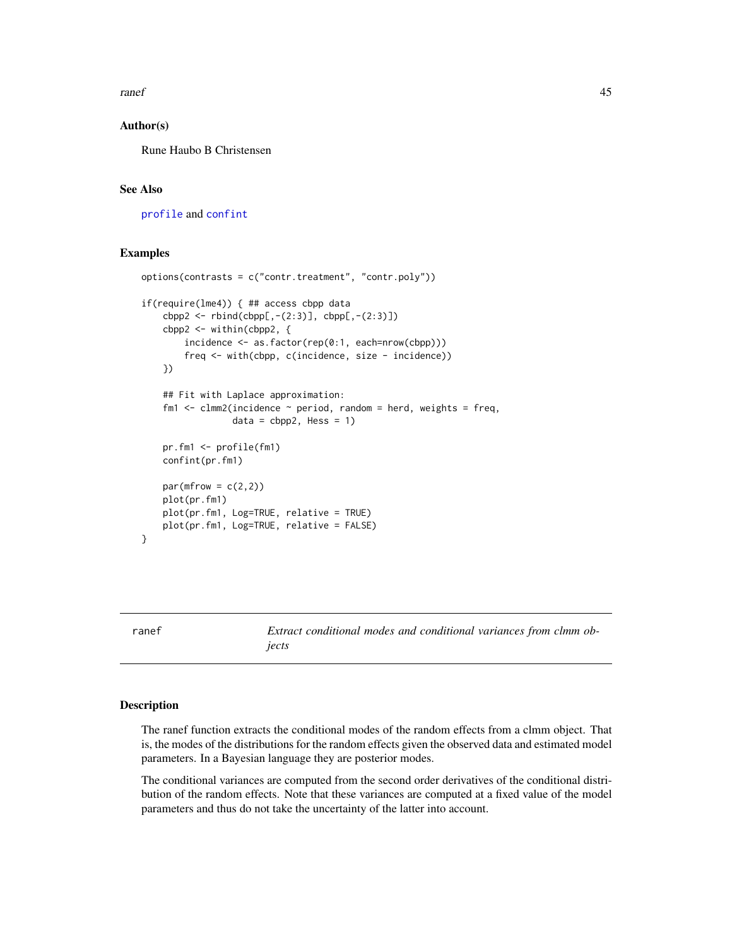<span id="page-44-0"></span>ranef 45

#### Author(s)

Rune Haubo B Christensen

#### See Also

[profile](#page-0-0) and [confint](#page-27-1)

#### Examples

```
options(contrasts = c("contr.treatment", "contr.poly"))
if(require(lme4)) { ## access cbpp data
    cbpp2 < -rbind(cbpp[, -(2:3)], cbpp[, -(2:3)]cbpp2 <- within(cbpp2, {
        incidence <- as.factor(rep(0:1, each=nrow(cbpp)))
        freq <- with(cbpp, c(incidence, size - incidence))
    })
    ## Fit with Laplace approximation:
    fm1 \le - clmm2(incidence \sim period, random = herd, weights = freq,
                 data = cbpp2, Hess = 1pr.fm1 <- profile(fm1)
    confint(pr.fm1)
    par(mfrow = c(2,2))plot(pr.fm1)
   plot(pr.fm1, Log=TRUE, relative = TRUE)
    plot(pr.fm1, Log=TRUE, relative = FALSE)
}
```
ranef *Extract conditional modes and conditional variances from clmm objects*

#### Description

The ranef function extracts the conditional modes of the random effects from a clmm object. That is, the modes of the distributions for the random effects given the observed data and estimated model parameters. In a Bayesian language they are posterior modes.

The conditional variances are computed from the second order derivatives of the conditional distribution of the random effects. Note that these variances are computed at a fixed value of the model parameters and thus do not take the uncertainty of the latter into account.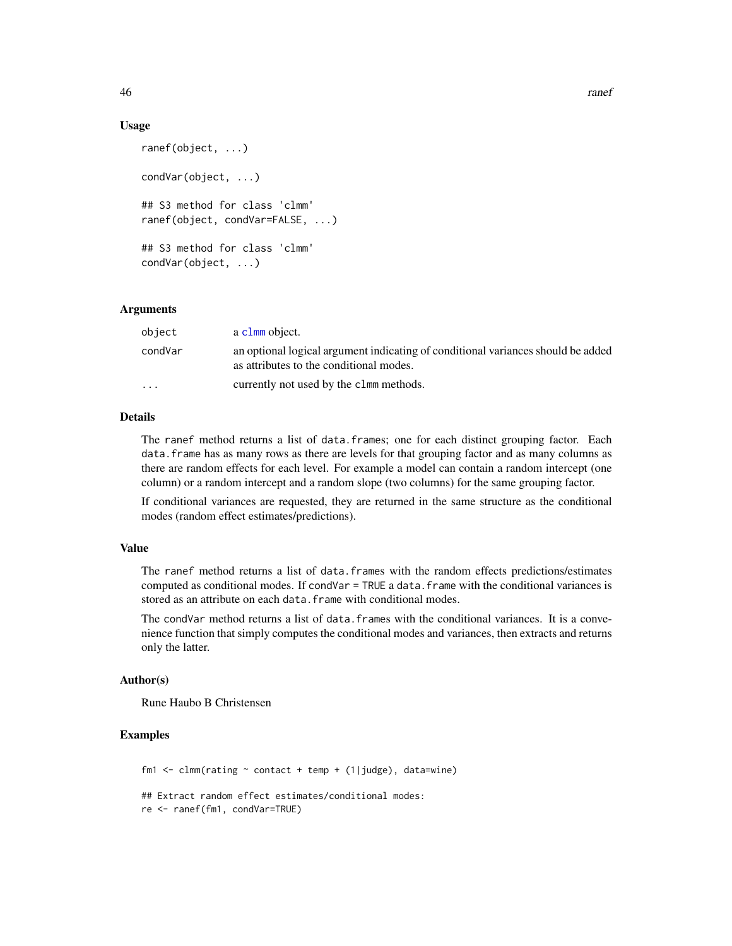46 **ranef** ranef **146** ranef **146** ranef **146** ranef **146** ranef **146** ranef **146** ranef **146** ranef **146 ranef** 

#### Usage

```
ranef(object, ...)
condVar(object, ...)
## S3 method for class 'clmm'
ranef(object, condVar=FALSE, ...)
## S3 method for class 'clmm'
condVar(object, ...)
```
#### Arguments

| object    | a clmm object.                                                                                                              |
|-----------|-----------------------------------------------------------------------------------------------------------------------------|
| condVar   | an optional logical argument indicating of conditional variances should be added<br>as attributes to the conditional modes. |
| $\ddotsc$ | currently not used by the clmm methods.                                                                                     |

#### **Details**

The ranef method returns a list of data.frames; one for each distinct grouping factor. Each data.frame has as many rows as there are levels for that grouping factor and as many columns as there are random effects for each level. For example a model can contain a random intercept (one column) or a random intercept and a random slope (two columns) for the same grouping factor.

If conditional variances are requested, they are returned in the same structure as the conditional modes (random effect estimates/predictions).

#### Value

The ranef method returns a list of data.frames with the random effects predictions/estimates computed as conditional modes. If condVar = TRUE a data. frame with the conditional variances is stored as an attribute on each data. frame with conditional modes.

The condVar method returns a list of data. frames with the conditional variances. It is a convenience function that simply computes the conditional modes and variances, then extracts and returns only the latter.

#### Author(s)

Rune Haubo B Christensen

#### Examples

```
fm1 <- clmm(rating \sim contact + temp + (1|judge), data=wine)
## Extract random effect estimates/conditional modes:
re <- ranef(fm1, condVar=TRUE)
```
<span id="page-45-0"></span>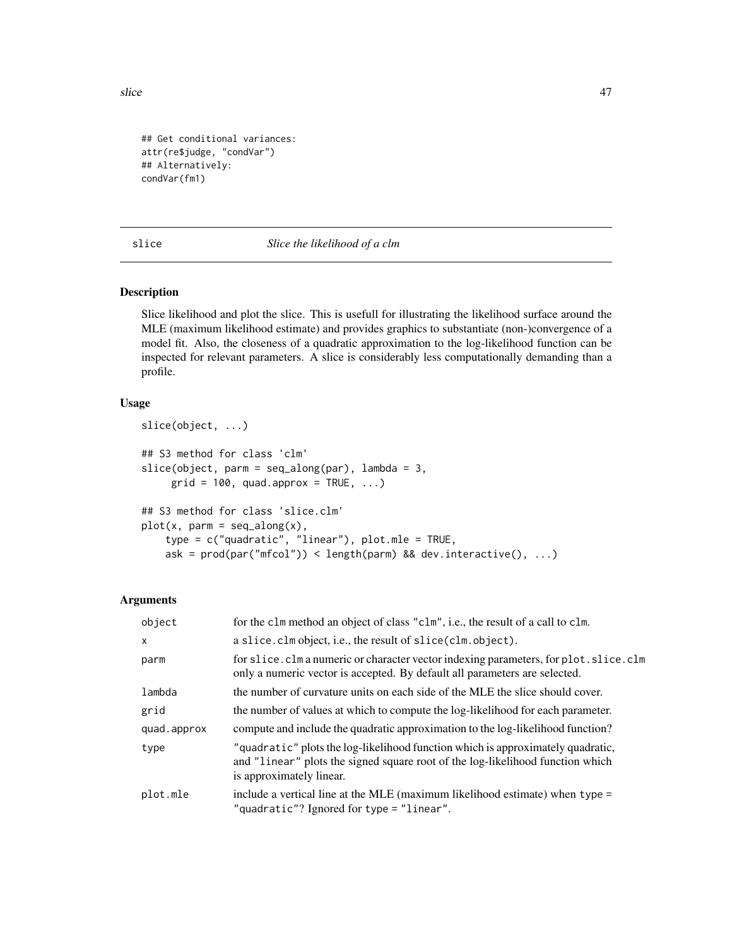<span id="page-46-0"></span>slice 47

```
## Get conditional variances:
attr(re$judge, "condVar")
## Alternatively:
condVar(fm1)
```
#### slice *Slice the likelihood of a clm*

#### <span id="page-46-1"></span>Description

Slice likelihood and plot the slice. This is usefull for illustrating the likelihood surface around the MLE (maximum likelihood estimate) and provides graphics to substantiate (non-)convergence of a model fit. Also, the closeness of a quadratic approximation to the log-likelihood function can be inspected for relevant parameters. A slice is considerably less computationally demanding than a profile.

#### Usage

```
slice(object, ...)
## S3 method for class 'clm'
slice(object, parm = seq\_along(par), lambda = 3,
     grid = 100, quad.approx = TRUE, ...)
## S3 method for class 'slice.clm'
plot(x, parm = seq_along(x),type = c("quadratic", "linear"), plot.mle = TRUE,
   ask = prod(par("mfcol")) < length(parm) && dev.interactive(), ...)
```
#### Arguments

| object       | for the clm method an object of class "clm", i.e., the result of a call to clm.                                                                                                               |
|--------------|-----------------------------------------------------------------------------------------------------------------------------------------------------------------------------------------------|
| $\mathsf{x}$ | a slice. clm object, i.e., the result of slice (clm. object).                                                                                                                                 |
| parm         | for slice. clm a numeric or character vector indexing parameters, for plot. slice. clm<br>only a numeric vector is accepted. By default all parameters are selected.                          |
| lambda       | the number of curvature units on each side of the MLE the slice should cover.                                                                                                                 |
| grid         | the number of values at which to compute the log-likelihood for each parameter.                                                                                                               |
| quad.approx  | compute and include the quadratic approximation to the log-likelihood function?                                                                                                               |
| type         | "quadratic" plots the log-likelihood function which is approximately quadratic,<br>and "linear" plots the signed square root of the log-likelihood function which<br>is approximately linear. |
| plot.mle     | include a vertical line at the MLE (maximum likelihood estimate) when type $=$<br>"quadratic"? Ignored for type = "linear".                                                                   |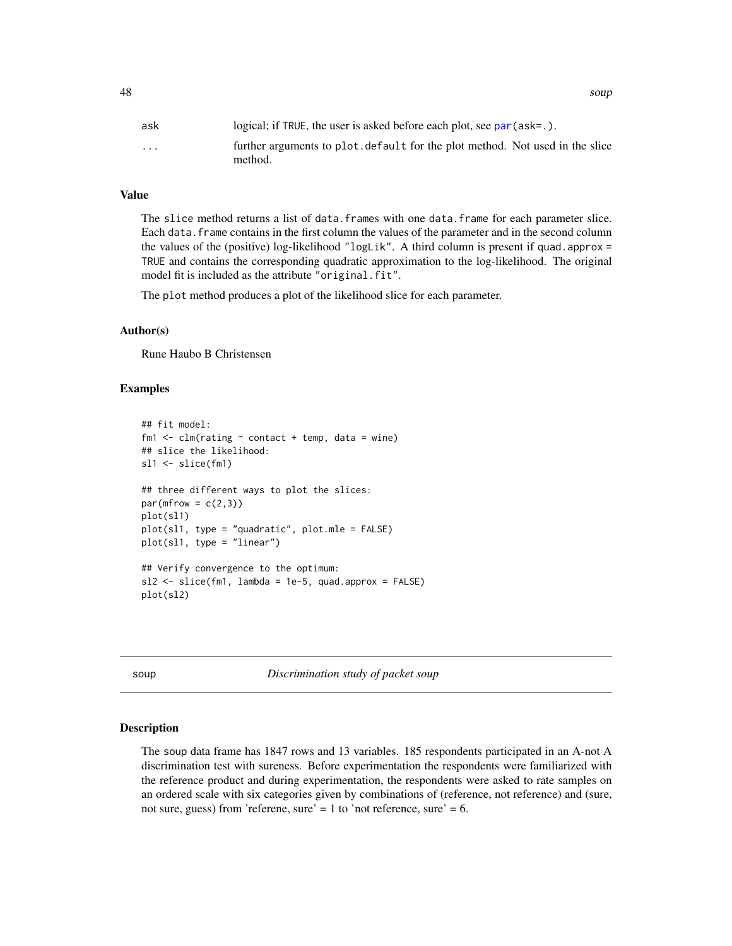<span id="page-47-0"></span>48 soup

| ask                  | logical; if TRUE, the user is asked before each plot, see par $(\text{ask} = .)$ .       |
|----------------------|------------------------------------------------------------------------------------------|
| $\ddot{\phantom{0}}$ | further arguments to plot, default for the plot method. Not used in the slice<br>method. |

#### Value

The slice method returns a list of data.frames with one data.frame for each parameter slice. Each data.frame contains in the first column the values of the parameter and in the second column the values of the (positive) log-likelihood "logLik". A third column is present if quad. approx  $=$ TRUE and contains the corresponding quadratic approximation to the log-likelihood. The original model fit is included as the attribute "original.fit".

The plot method produces a plot of the likelihood slice for each parameter.

#### Author(s)

Rune Haubo B Christensen

#### Examples

```
## fit model:
fm1 \le - clm(rating \sim contact + temp, data = wine)
## slice the likelihood:
sl1 <- slice(fm1)
## three different ways to plot the slices:
par(mfrow = c(2,3))plot(sl1)
plot(sl1, type = "quadratic", plot.mle = FALSE)
plot(sl1, type = "linear")
## Verify convergence to the optimum:
s12 \leq s1ice(fm1, lambda = 1e-5, quad.appendbora = FALSE)plot(sl2)
```
soup *Discrimination study of packet soup*

#### Description

The soup data frame has 1847 rows and 13 variables. 185 respondents participated in an A-not A discrimination test with sureness. Before experimentation the respondents were familiarized with the reference product and during experimentation, the respondents were asked to rate samples on an ordered scale with six categories given by combinations of (reference, not reference) and (sure, not sure, guess) from 'referene, sure' = 1 to 'not reference, sure' = 6.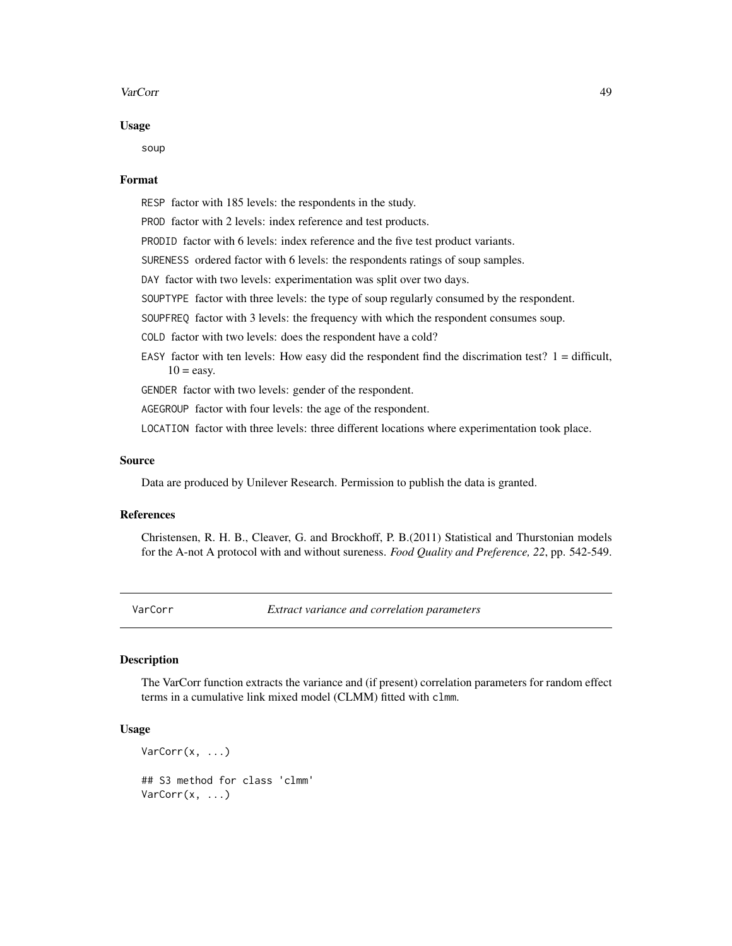#### <span id="page-48-0"></span>VarCorr 49

#### Usage

soup

#### Format

RESP factor with 185 levels: the respondents in the study.

PROD factor with 2 levels: index reference and test products.

PRODID factor with 6 levels: index reference and the five test product variants.

SURENESS ordered factor with 6 levels: the respondents ratings of soup samples.

DAY factor with two levels: experimentation was split over two days.

SOUPTYPE factor with three levels: the type of soup regularly consumed by the respondent.

SOUPFREQ factor with 3 levels: the frequency with which the respondent consumes soup.

COLD factor with two levels: does the respondent have a cold?

EASY factor with ten levels: How easy did the respondent find the discrimation test?  $1 =$  difficult,  $10 = e$ asy.

GENDER factor with two levels: gender of the respondent.

AGEGROUP factor with four levels: the age of the respondent.

LOCATION factor with three levels: three different locations where experimentation took place.

#### Source

Data are produced by Unilever Research. Permission to publish the data is granted.

#### References

Christensen, R. H. B., Cleaver, G. and Brockhoff, P. B.(2011) Statistical and Thurstonian models for the A-not A protocol with and without sureness. *Food Quality and Preference, 22*, pp. 542-549.

VarCorr *Extract variance and correlation parameters*

#### Description

The VarCorr function extracts the variance and (if present) correlation parameters for random effect terms in a cumulative link mixed model (CLMM) fitted with clmm.

#### Usage

```
VarCorr(x, ...)
## S3 method for class 'clmm'
VarCorr(x, ...)
```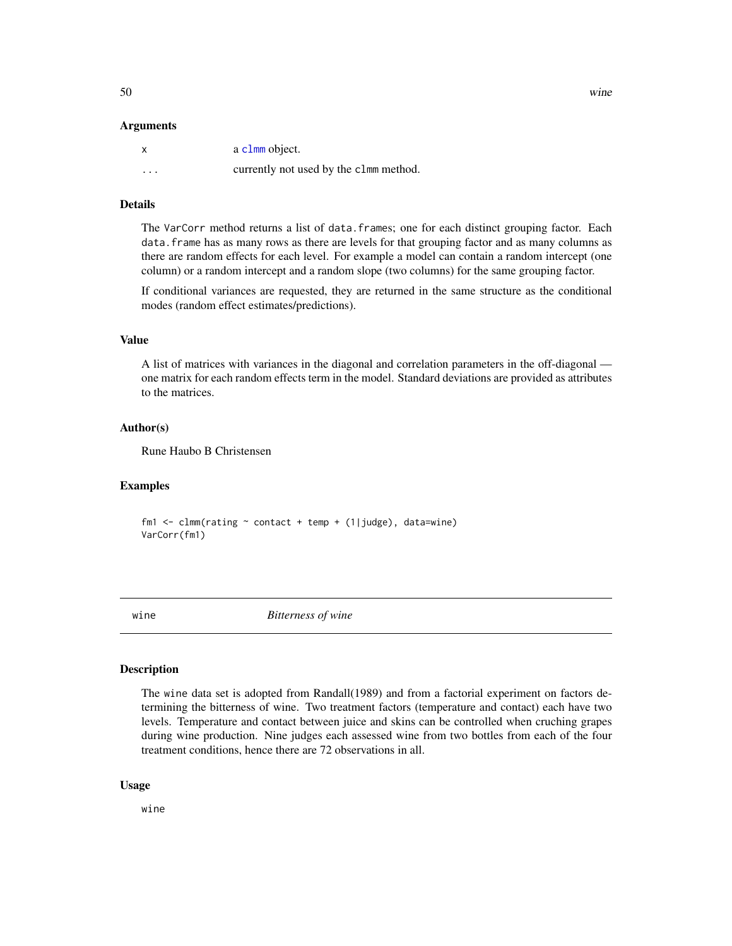#### <span id="page-49-0"></span>Arguments

|          | a c1mm object.                         |
|----------|----------------------------------------|
| $\cdots$ | currently not used by the c1mm method. |

#### Details

The VarCorr method returns a list of data.frames; one for each distinct grouping factor. Each data.frame has as many rows as there are levels for that grouping factor and as many columns as there are random effects for each level. For example a model can contain a random intercept (one column) or a random intercept and a random slope (two columns) for the same grouping factor.

If conditional variances are requested, they are returned in the same structure as the conditional modes (random effect estimates/predictions).

#### Value

A list of matrices with variances in the diagonal and correlation parameters in the off-diagonal one matrix for each random effects term in the model. Standard deviations are provided as attributes to the matrices.

#### Author(s)

Rune Haubo B Christensen

#### Examples

fm1 <- clmm(rating  $\sim$  contact + temp + (1|judge), data=wine) VarCorr(fm1)

wine *Bitterness of wine*

#### Description

The wine data set is adopted from Randall(1989) and from a factorial experiment on factors determining the bitterness of wine. Two treatment factors (temperature and contact) each have two levels. Temperature and contact between juice and skins can be controlled when cruching grapes during wine production. Nine judges each assessed wine from two bottles from each of the four treatment conditions, hence there are 72 observations in all.

#### Usage

wine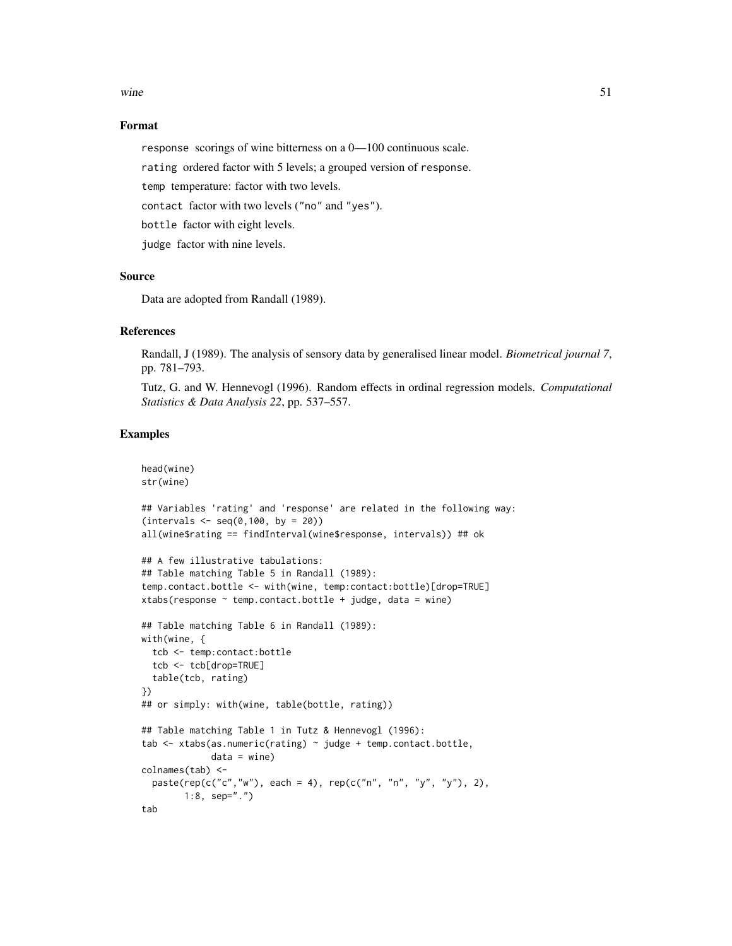wine  $51$ 

#### Format

response scorings of wine bitterness on a 0—100 continuous scale.

rating ordered factor with 5 levels; a grouped version of response.

temp temperature: factor with two levels.

contact factor with two levels ("no" and "yes").

bottle factor with eight levels.

judge factor with nine levels.

#### Source

Data are adopted from Randall (1989).

#### References

Randall, J (1989). The analysis of sensory data by generalised linear model. *Biometrical journal 7*, pp. 781–793.

Tutz, G. and W. Hennevogl (1996). Random effects in ordinal regression models. *Computational Statistics & Data Analysis 22*, pp. 537–557.

#### Examples

```
head(wine)
str(wine)
## Variables 'rating' and 'response' are related in the following way:
(intervals < - seq(0, 100, by = 20))all(wine$rating == findInterval(wine$response, intervals)) ## ok
## A few illustrative tabulations:
## Table matching Table 5 in Randall (1989):
temp.contact.bottle <- with(wine, temp:contact:bottle)[drop=TRUE]
xtabs(response \sim temp.contact.bottle + judge, data = wine)
## Table matching Table 6 in Randall (1989):
with(wine, {
  tcb <- temp:contact:bottle
  tcb <- tcb[drop=TRUE]
  table(tcb, rating)
})
## or simply: with(wine, table(bottle, rating))
## Table matching Table 1 in Tutz & Hennevogl (1996):
tab <- xtabs(as.numeric(rating) ~ judge + temp.contact.bottle,
             data = wine)colnames(tab) <-
  paste(rep(c("c", "w"), each = 4), rep(c("n", "n", "y", "y"), 2),1:8, sep=".")
tab
```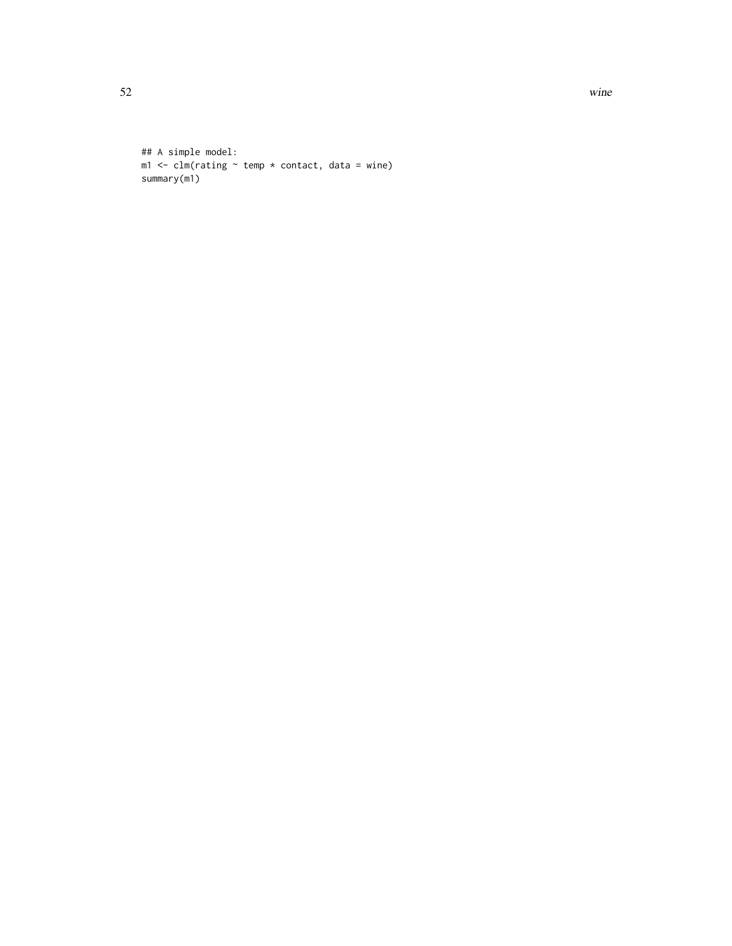52 wine

```
## A simple model:
m1 <- clm(rating ~ rtemp ~ x constant, data = wine)summary(m1)
```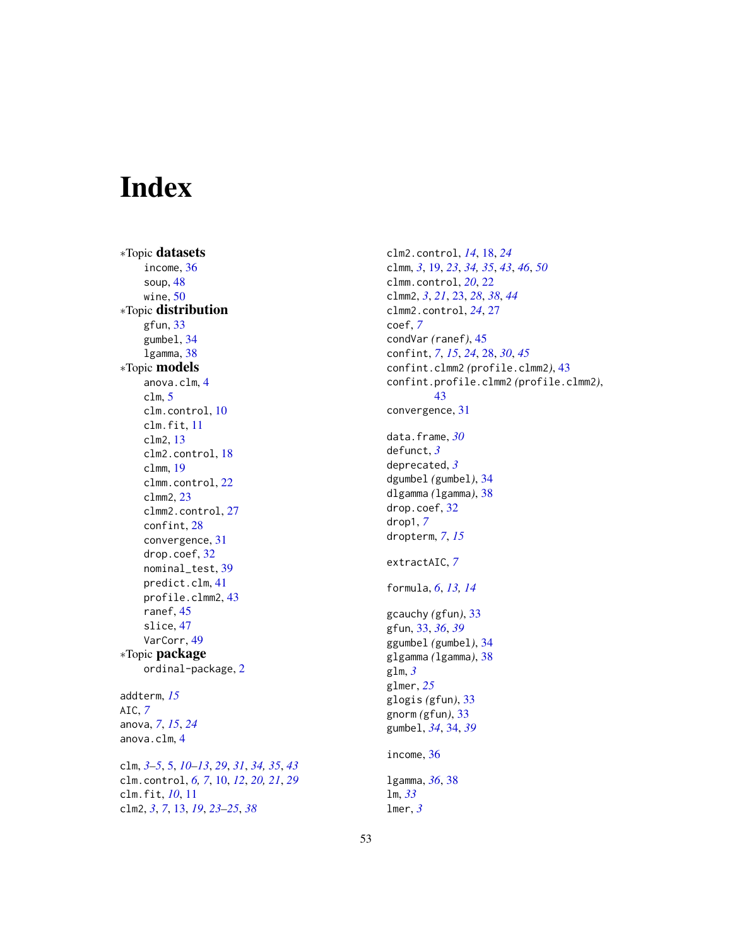# <span id="page-52-0"></span>Index

∗Topic datasets income, [36](#page-35-0) soup, [48](#page-47-0) wine, [50](#page-49-0) ∗Topic distribution gfun, [33](#page-32-0) gumbel, [34](#page-33-0) lgamma, [38](#page-37-0) ∗Topic models anova.clm, [4](#page-3-0) clm, [5](#page-4-0) clm.control, [10](#page-9-0) clm.fit, [11](#page-10-0) clm2, [13](#page-12-0) clm2.control, [18](#page-17-0) clmm, [19](#page-18-0) clmm.control, [22](#page-21-0) clmm2, [23](#page-22-0) clmm2.control, [27](#page-26-0) confint, [28](#page-27-0) convergence, [31](#page-30-0) drop.coef, [32](#page-31-0) nominal\_test, [39](#page-38-0) predict.clm, [41](#page-40-0) profile.clmm2, [43](#page-42-0) ranef, [45](#page-44-0) slice, [47](#page-46-0) VarCorr, [49](#page-48-0) ∗Topic package ordinal-package, [2](#page-1-0) addterm, *[15](#page-14-0)* AIC, *[7](#page-6-0)* anova, *[7](#page-6-0)*, *[15](#page-14-0)*, *[24](#page-23-0)* anova.clm, [4](#page-3-0) clm, *[3](#page-2-0)[–5](#page-4-0)*, [5,](#page-4-0) *[10](#page-9-0)[–13](#page-12-0)*, *[29](#page-28-0)*, *[31](#page-30-0)*, *[34,](#page-33-0) [35](#page-34-0)*, *[43](#page-42-0)* clm.control, *[6,](#page-5-0) [7](#page-6-0)*, [10,](#page-9-0) *[12](#page-11-0)*, *[20,](#page-19-0) [21](#page-20-0)*, *[29](#page-28-0)* clm.fit, *[10](#page-9-0)*, [11](#page-10-0) clm2, *[3](#page-2-0)*, *[7](#page-6-0)*, [13,](#page-12-0) *[19](#page-18-0)*, *[23](#page-22-0)[–25](#page-24-0)*, *[38](#page-37-0)*

clm2.control, *[14](#page-13-0)*, [18,](#page-17-0) *[24](#page-23-0)* clmm, *[3](#page-2-0)*, [19,](#page-18-0) *[23](#page-22-0)*, *[34,](#page-33-0) [35](#page-34-0)*, *[43](#page-42-0)*, *[46](#page-45-0)*, *[50](#page-49-0)* clmm.control, *[20](#page-19-0)*, [22](#page-21-0) clmm2, *[3](#page-2-0)*, *[21](#page-20-0)*, [23,](#page-22-0) *[28](#page-27-0)*, *[38](#page-37-0)*, *[44](#page-43-0)* clmm2.control, *[24](#page-23-0)*, [27](#page-26-0) coef, *[7](#page-6-0)* condVar *(*ranef*)*, [45](#page-44-0) confint, *[7](#page-6-0)*, *[15](#page-14-0)*, *[24](#page-23-0)*, [28,](#page-27-0) *[30](#page-29-0)*, *[45](#page-44-0)* confint.clmm2 *(*profile.clmm2*)*, [43](#page-42-0) confint.profile.clmm2 *(*profile.clmm2*)*, [43](#page-42-0) convergence, [31](#page-30-0) data.frame, *[30](#page-29-0)* defunct, *[3](#page-2-0)* deprecated, *[3](#page-2-0)* dgumbel *(*gumbel*)*, [34](#page-33-0) dlgamma *(*lgamma*)*, [38](#page-37-0) drop.coef, [32](#page-31-0) drop1, *[7](#page-6-0)* dropterm, *[7](#page-6-0)*, *[15](#page-14-0)* extractAIC, *[7](#page-6-0)* formula, *[6](#page-5-0)*, *[13,](#page-12-0) [14](#page-13-0)* gcauchy *(*gfun*)*, [33](#page-32-0) gfun, [33,](#page-32-0) *[36](#page-35-0)*, *[39](#page-38-0)* ggumbel *(*gumbel*)*, [34](#page-33-0) glgamma *(*lgamma*)*, [38](#page-37-0) glm, *[3](#page-2-0)* glmer, *[25](#page-24-0)* glogis *(*gfun*)*, [33](#page-32-0) gnorm *(*gfun*)*, [33](#page-32-0) gumbel, *[34](#page-33-0)*, [34,](#page-33-0) *[39](#page-38-0)* income, [36](#page-35-0) lgamma, *[36](#page-35-0)*, [38](#page-37-0) lm, *[33](#page-32-0)* lmer, *[3](#page-2-0)*